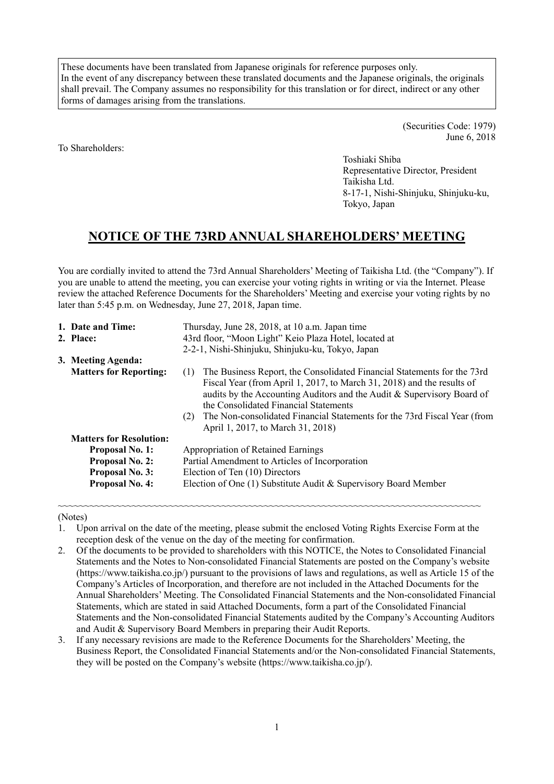These documents have been translated from Japanese originals for reference purposes only. In the event of any discrepancy between these translated documents and the Japanese originals, the originals shall prevail. The Company assumes no responsibility for this translation or for direct, indirect or any other forms of damages arising from the translations.

To Shareholders:

(Securities Code: 1979) June 6, 2018

Toshiaki Shiba Representative Director, President Taikisha Ltd. 8-17-1, Nishi-Shinjuku, Shinjuku-ku, Tokyo, Japan

# **NOTICE OF THE 73RD ANNUAL SHAREHOLDERS' MEETING**

You are cordially invited to attend the 73rd Annual Shareholders' Meeting of Taikisha Ltd. (the "Company"). If you are unable to attend the meeting, you can exercise your voting rights in writing or via the Internet. Please review the attached Reference Documents for the Shareholders' Meeting and exercise your voting rights by no later than 5:45 p.m. on Wednesday, June 27, 2018, Japan time.

| 1. Date and Time:              | Thursday, June 28, 2018, at 10 a.m. Japan time                                                                                                                                                                                                                                                                                                                                                      |  |  |  |  |
|--------------------------------|-----------------------------------------------------------------------------------------------------------------------------------------------------------------------------------------------------------------------------------------------------------------------------------------------------------------------------------------------------------------------------------------------------|--|--|--|--|
| 2. Place:                      | 43rd floor, "Moon Light" Keio Plaza Hotel, located at                                                                                                                                                                                                                                                                                                                                               |  |  |  |  |
|                                | 2-2-1, Nishi-Shinjuku, Shinjuku-ku, Tokyo, Japan                                                                                                                                                                                                                                                                                                                                                    |  |  |  |  |
| 3. Meeting Agenda:             |                                                                                                                                                                                                                                                                                                                                                                                                     |  |  |  |  |
| <b>Matters for Reporting:</b>  | The Business Report, the Consolidated Financial Statements for the 73rd<br>(1)<br>Fiscal Year (from April 1, 2017, to March 31, 2018) and the results of<br>audits by the Accounting Auditors and the Audit & Supervisory Board of<br>the Consolidated Financial Statements<br>The Non-consolidated Financial Statements for the 73rd Fiscal Year (from<br>(2)<br>April 1, 2017, to March 31, 2018) |  |  |  |  |
| <b>Matters for Resolution:</b> |                                                                                                                                                                                                                                                                                                                                                                                                     |  |  |  |  |
| <b>Proposal No. 1:</b>         | <b>Appropriation of Retained Earnings</b>                                                                                                                                                                                                                                                                                                                                                           |  |  |  |  |
| <b>Proposal No. 2:</b>         | Partial Amendment to Articles of Incorporation                                                                                                                                                                                                                                                                                                                                                      |  |  |  |  |
| <b>Proposal No. 3:</b>         | Election of Ten (10) Directors                                                                                                                                                                                                                                                                                                                                                                      |  |  |  |  |
| <b>Proposal No. 4:</b>         | Election of One (1) Substitute Audit & Supervisory Board Member                                                                                                                                                                                                                                                                                                                                     |  |  |  |  |

~~~~~~~~~~~~~~~~~~~~~~~~~~~~~~~~~~~~~~~~~~~~~~~~~~~~~~~~~~~~~~~~~~~~~~~~~~~~~~~~ (Notes)

- 1. Upon arrival on the date of the meeting, please submit the enclosed Voting Rights Exercise Form at the reception desk of the venue on the day of the meeting for confirmation.
- 2. Of the documents to be provided to shareholders with this NOTICE, the Notes to Consolidated Financial Statements and the Notes to Non-consolidated Financial Statements are posted on the Company's website (https://www.taikisha.co.jp/) pursuant to the provisions of laws and regulations, as well as Article 15 of the Company's Articles of Incorporation, and therefore are not included in the Attached Documents for the Annual Shareholders' Meeting. The Consolidated Financial Statements and the Non-consolidated Financial Statements, which are stated in said Attached Documents, form a part of the Consolidated Financial Statements and the Non-consolidated Financial Statements audited by the Company's Accounting Auditors and Audit & Supervisory Board Members in preparing their Audit Reports.
- 3. If any necessary revisions are made to the Reference Documents for the Shareholders' Meeting, the Business Report, the Consolidated Financial Statements and/or the Non-consolidated Financial Statements, they will be posted on the Company's website (https://www.taikisha.co.jp/).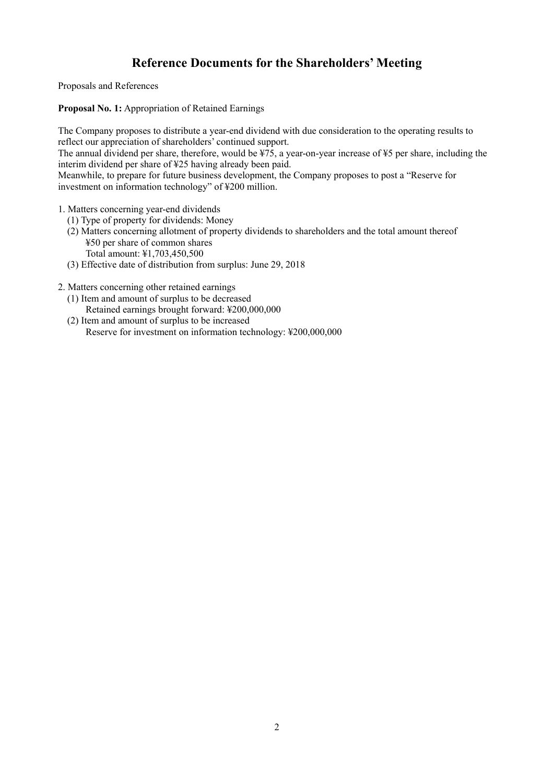# **Reference Documents for the Shareholders' Meeting**

Proposals and References

**Proposal No. 1:** Appropriation of Retained Earnings

The Company proposes to distribute a year-end dividend with due consideration to the operating results to reflect our appreciation of shareholders' continued support.

The annual dividend per share, therefore, would be ¥75, a year-on-year increase of ¥5 per share, including the interim dividend per share of ¥25 having already been paid.

Meanwhile, to prepare for future business development, the Company proposes to post a "Reserve for investment on information technology" of ¥200 million.

- 1. Matters concerning year-end dividends
	- (1) Type of property for dividends: Money
	- (2) Matters concerning allotment of property dividends to shareholders and the total amount thereof ¥50 per share of common shares Total amount: ¥1,703,450,500
	- (3) Effective date of distribution from surplus: June 29, 2018

2. Matters concerning other retained earnings

- (1) Item and amount of surplus to be decreased Retained earnings brought forward: ¥200,000,000
- (2) Item and amount of surplus to be increased Reserve for investment on information technology: ¥200,000,000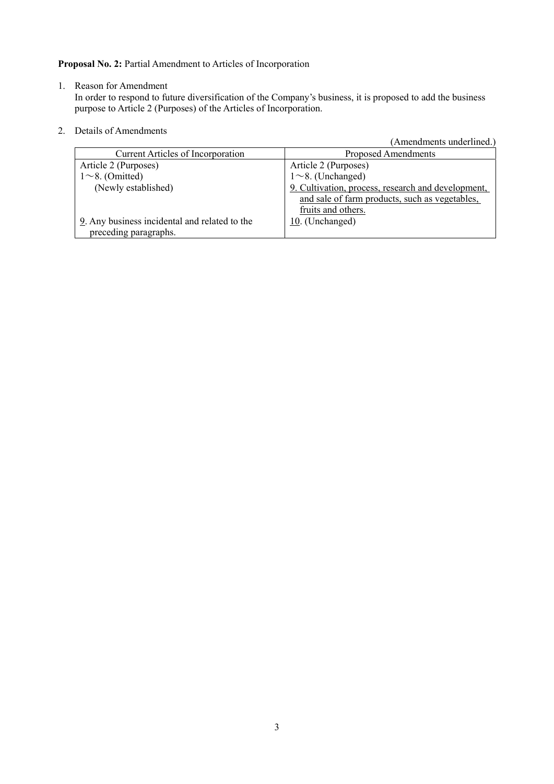**Proposal No. 2:** Partial Amendment to Articles of Incorporation

1. Reason for Amendment

In order to respond to future diversification of the Company's business, it is proposed to add the business purpose to Article 2 (Purposes) of the Articles of Incorporation.

2. Details of Amendments

| telatis of Allietiuliteills                   |                                                    |
|-----------------------------------------------|----------------------------------------------------|
|                                               | (Amendments underlined.)                           |
| <b>Current Articles of Incorporation</b>      | Proposed Amendments                                |
| Article 2 (Purposes)                          | Article 2 (Purposes)                               |
| $1 \sim 8$ . (Omitted)                        | $1 \sim 8$ . (Unchanged)                           |
| (Newly established)                           | 9. Cultivation, process, research and development, |
|                                               | and sale of farm products, such as vegetables,     |
|                                               | fruits and others.                                 |
| 9. Any business incidental and related to the | 10. (Unchanged)                                    |
| preceding paragraphs.                         |                                                    |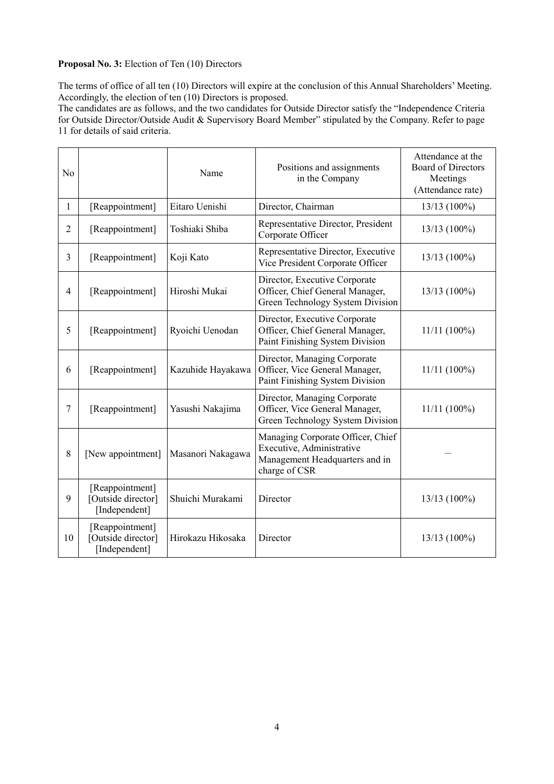### **Proposal No. 3:** Election of Ten (10) Directors

The terms of office of all ten (10) Directors will expire at the conclusion of this Annual Shareholders' Meeting. Accordingly, the election of ten (10) Directors is proposed.

The candidates are as follows, and the two candidates for Outside Director satisfy the "Independence Criteria for Outside Director/Outside Audit & Supervisory Board Member" stipulated by the Company. Refer to page 11 for details of said criteria.

| No             | Name                                                   |                                                                                                                        | Positions and assignments<br>in the Company                                                                       | Attendance at the<br><b>Board of Directors</b><br>Meetings<br>(Attendance rate) |
|----------------|--------------------------------------------------------|------------------------------------------------------------------------------------------------------------------------|-------------------------------------------------------------------------------------------------------------------|---------------------------------------------------------------------------------|
| $\mathbf{1}$   | [Reappointment]                                        | Eitaro Uenishi                                                                                                         | Director, Chairman                                                                                                | 13/13 (100%)                                                                    |
| $\overline{2}$ | [Reappointment]                                        | Toshiaki Shiba                                                                                                         | Representative Director, President<br>Corporate Officer                                                           | 13/13 (100%)                                                                    |
| $\overline{3}$ | [Reappointment]                                        | Koji Kato                                                                                                              | Representative Director, Executive<br>Vice President Corporate Officer                                            | 13/13 (100%)                                                                    |
| 4              | [Reappointment]                                        | Director, Executive Corporate<br>Officer, Chief General Manager,<br>Hiroshi Mukai<br>Green Technology System Division  |                                                                                                                   | $13/13(100\%)$                                                                  |
| 5              | [Reappointment]                                        | Ryoichi Uenodan                                                                                                        | Director, Executive Corporate<br>Officer, Chief General Manager,<br>Paint Finishing System Division               | $11/11(100\%)$                                                                  |
| 6              | [Reappointment]                                        | Kazuhide Hayakawa                                                                                                      | Director, Managing Corporate<br>Officer, Vice General Manager,<br>Paint Finishing System Division                 | $11/11(100\%)$                                                                  |
| $\tau$         | [Reappointment]                                        | Director, Managing Corporate<br>Officer, Vice General Manager,<br>Yasushi Nakajima<br>Green Technology System Division |                                                                                                                   | $11/11(100\%)$                                                                  |
| 8              | [New appointment]                                      | Masanori Nakagawa                                                                                                      | Managing Corporate Officer, Chief<br>Executive, Administrative<br>Management Headquarters and in<br>charge of CSR |                                                                                 |
| 9              | [Reappointment]<br>[Outside director]<br>[Independent] | Shuichi Murakami                                                                                                       | Director                                                                                                          | $13/13(100\%)$                                                                  |
| 10             | [Reappointment]<br>[Outside director]<br>[Independent] | Hirokazu Hikosaka                                                                                                      | Director                                                                                                          | $13/13(100\%)$                                                                  |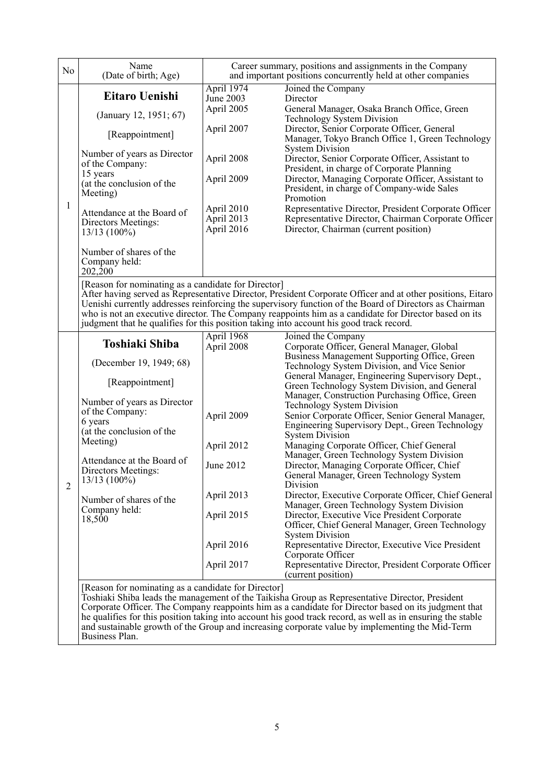| N <sub>o</sub> | Name<br>(Date of birth; Age)                                                                        |                                        | Career summary, positions and assignments in the Company<br>and important positions concurrently held at other companies                                                                                                                                                                                                                                                                                                  |
|----------------|-----------------------------------------------------------------------------------------------------|----------------------------------------|---------------------------------------------------------------------------------------------------------------------------------------------------------------------------------------------------------------------------------------------------------------------------------------------------------------------------------------------------------------------------------------------------------------------------|
|                | Eitaro Uenishi                                                                                      | April 1974<br>June 2003                | Joined the Company<br>Director                                                                                                                                                                                                                                                                                                                                                                                            |
|                | (January 12, 1951; 67)                                                                              | April 2005                             | General Manager, Osaka Branch Office, Green<br><b>Technology System Division</b>                                                                                                                                                                                                                                                                                                                                          |
|                | [Reappointment]                                                                                     | April 2007                             | Director, Senior Corporate Officer, General<br>Manager, Tokyo Branch Office 1, Green Technology                                                                                                                                                                                                                                                                                                                           |
|                | Number of years as Director<br>of the Company:<br>15 years<br>(at the conclusion of the<br>Meeting) | April 2008<br>April 2009               | <b>System Division</b><br>Director, Senior Corporate Officer, Assistant to<br>President, in charge of Corporate Planning<br>Director, Managing Corporate Officer, Assistant to<br>President, in charge of Company-wide Sales                                                                                                                                                                                              |
| 1              | Attendance at the Board of<br>Directors Meetings:<br>$13/13(100\%)$                                 | April 2010<br>April 2013<br>April 2016 | Promotion<br>Representative Director, President Corporate Officer<br>Representative Director, Chairman Corporate Officer<br>Director, Chairman (current position)                                                                                                                                                                                                                                                         |
|                | Number of shares of the<br>Company held:<br>202,200                                                 |                                        |                                                                                                                                                                                                                                                                                                                                                                                                                           |
|                | [Reason for nominating as a candidate for Director]                                                 |                                        | After having served as Representative Director, President Corporate Officer and at other positions, Eitaro<br>Uenishi currently addresses reinforcing the supervisory function of the Board of Directors as Chairman<br>who is not an executive director. The Company reappoints him as a candidate for Director based on its<br>judgment that he qualifies for this position taking into account his good track record.  |
|                | <b>Toshiaki Shiba</b>                                                                               | April 1968<br>April 2008               | Joined the Company<br>Corporate Officer, General Manager, Global                                                                                                                                                                                                                                                                                                                                                          |
|                | (December 19, 1949; 68)                                                                             |                                        | Business Management Supporting Office, Green<br>Technology System Division, and Vice Senior                                                                                                                                                                                                                                                                                                                               |
|                | [Reappointment]                                                                                     |                                        | General Manager, Engineering Supervisory Dept.,<br>Green Technology System Division, and General                                                                                                                                                                                                                                                                                                                          |
|                | Number of years as Director<br>of the Company:<br>6 years                                           | April 2009                             | Manager, Construction Purchasing Office, Green<br><b>Technology System Division</b><br>Senior Corporate Officer, Senior General Manager,                                                                                                                                                                                                                                                                                  |
|                | (at the conclusion of the                                                                           |                                        | Engineering Supervisory Dept., Green Technology<br><b>System Division</b>                                                                                                                                                                                                                                                                                                                                                 |
|                | Meeting)                                                                                            | April 2012                             | Managing Corporate Officer, Chief General<br>Manager, Green Technology System Division                                                                                                                                                                                                                                                                                                                                    |
| 2              | Attendance at the Board of<br>Directors Meetings:<br>$13/13(100\%)$                                 | June 2012                              | Director, Managing Corporate Officer, Chief<br>General Manager, Green Technology System<br>Division                                                                                                                                                                                                                                                                                                                       |
|                | Number of shares of the                                                                             | April 2013                             | Director, Executive Corporate Officer, Chief General<br>Manager, Green Technology System Division                                                                                                                                                                                                                                                                                                                         |
|                | Company held:<br>18,500                                                                             | April 2015                             | Director, Executive Vice President Corporate<br>Officer, Chief General Manager, Green Technology                                                                                                                                                                                                                                                                                                                          |
|                |                                                                                                     | April 2016                             | <b>System Division</b><br>Representative Director, Executive Vice President<br>Corporate Officer                                                                                                                                                                                                                                                                                                                          |
|                |                                                                                                     | April 2017                             | Representative Director, President Corporate Officer<br>(current position)                                                                                                                                                                                                                                                                                                                                                |
|                | [Reason for nominating as a candidate for Director]                                                 |                                        | Toshiaki Shiba leads the management of the Taikisha Group as Representative Director, President<br>Corporate Officer. The Company reappoints him as a candidate for Director based on its judgment that<br>he qualifies for this position taking into account his good track record, as well as in ensuring the stable<br>and sustainable growth of the Group and increasing corporate value by implementing the Mid-Term |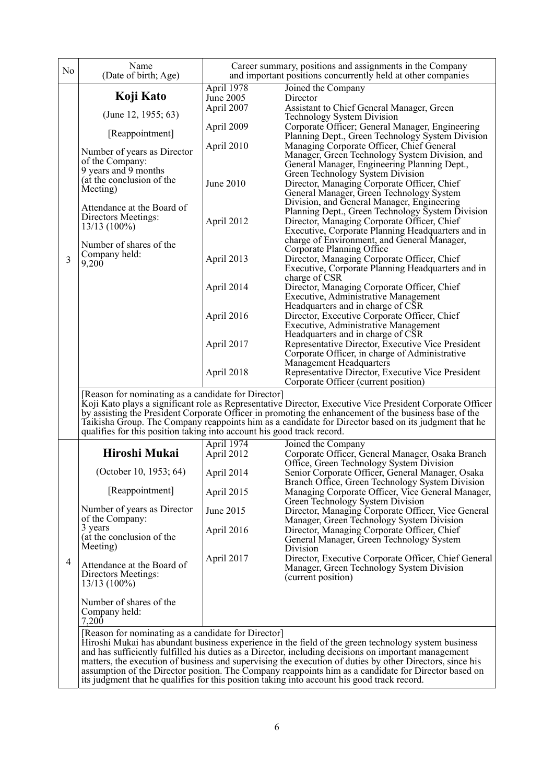| No | Name<br>(Date of birth; Age)                                                                         |                          | Career summary, positions and assignments in the Company<br>and important positions concurrently held at other companies                                                                                         |  |  |
|----|------------------------------------------------------------------------------------------------------|--------------------------|------------------------------------------------------------------------------------------------------------------------------------------------------------------------------------------------------------------|--|--|
|    | Koji Kato                                                                                            | April 1978<br>June 2005  | Joined the Company<br>Director                                                                                                                                                                                   |  |  |
|    |                                                                                                      | April 2007               | Assistant to Chief General Manager, Green                                                                                                                                                                        |  |  |
|    | (June 12, 1955; 63)                                                                                  | April 2009               | <b>Technology System Division</b><br>Corporate Officer; General Manager, Engineering                                                                                                                             |  |  |
|    | [Reappointment]                                                                                      |                          | Planning Dept., Green Technology System Division                                                                                                                                                                 |  |  |
|    | Number of years as Director                                                                          | April 2010               | Managing Corporate Officer, Chief General<br>Manager, Green Technology System Division, and                                                                                                                      |  |  |
|    | of the Company:<br>9 years and 9 months                                                              |                          | General Manager, Engineering Planning Dept.,                                                                                                                                                                     |  |  |
|    | (at the conclusion of the                                                                            | June 2010                | Green Technology System Division<br>Director, Managing Corporate Officer, Chief                                                                                                                                  |  |  |
|    | Meeting)                                                                                             |                          | General Manager, Green Technology System                                                                                                                                                                         |  |  |
|    | Attendance at the Board of                                                                           |                          | Division, and General Manager, Engineering<br>Planning Dept., Green Technology System Division                                                                                                                   |  |  |
|    | Directors Meetings:<br>$13/13(100\%)$                                                                | April 2012               | Director, Managing Corporate Officer, Chief                                                                                                                                                                      |  |  |
|    |                                                                                                      |                          | Executive, Corporate Planning Headquarters and in<br>charge of Environment, and General Manager,                                                                                                                 |  |  |
|    | Number of shares of the<br>Company held:                                                             |                          | Corporate Planning Office                                                                                                                                                                                        |  |  |
| 3  | 9,200                                                                                                | April 2013               | Director, Managing Corporate Officer, Chief<br>Executive, Corporate Planning Headquarters and in                                                                                                                 |  |  |
|    |                                                                                                      | April 2014               | charge of CSR<br>Director, Managing Corporate Officer, Chief                                                                                                                                                     |  |  |
|    |                                                                                                      |                          | Executive, Administrative Management                                                                                                                                                                             |  |  |
|    |                                                                                                      | April 2016               | Headquarters and in charge of CSR<br>Director, Executive Corporate Officer, Chief                                                                                                                                |  |  |
|    |                                                                                                      |                          | Executive, Administrative Management                                                                                                                                                                             |  |  |
|    |                                                                                                      | April 2017               | Headquarters and in charge of CSR<br>Representative Director, Executive Vice President                                                                                                                           |  |  |
|    |                                                                                                      |                          | Corporate Officer, in charge of Administrative                                                                                                                                                                   |  |  |
|    |                                                                                                      | April 2018               | Management Headquarters<br>Representative Director, Executive Vice President                                                                                                                                     |  |  |
|    |                                                                                                      |                          | Corporate Officer (current position)                                                                                                                                                                             |  |  |
|    | [Reason for nominating as a candidate for Director]                                                  |                          | Koji Kato plays a significant role as Representative Director, Executive Vice President Corporate Officer                                                                                                        |  |  |
|    |                                                                                                      |                          | by assisting the President Corporate Officer in promoting the enhancement of the business base of the<br>Taikisha Group. The Company reappoints him as a candidate for Director based on its judgment that he    |  |  |
|    | qualifies for this position taking into account his good track record.                               |                          |                                                                                                                                                                                                                  |  |  |
|    | Hiroshi Mukai                                                                                        | April 1974<br>April 2012 | Joined the Company<br>Corporate Officer, General Manager, Osaka Branch                                                                                                                                           |  |  |
|    |                                                                                                      |                          | Office, Green Technology System Division                                                                                                                                                                         |  |  |
|    | (October 10, 1953; 64)                                                                               | April 2014               | Senior Corporate Officer, General Manager, Osaka<br>Branch Office, Green Technology System Division                                                                                                              |  |  |
|    | [Reappointment]                                                                                      | April 2015               | Managing Corporate Officer, Vice General Manager,                                                                                                                                                                |  |  |
|    | Number of years as Director                                                                          | June 2015                | Green Technology System Division<br>Director, Managing Corporate Officer, Vice General                                                                                                                           |  |  |
|    | of the Company:<br>3 years                                                                           |                          | Manager, Green Technology System Division                                                                                                                                                                        |  |  |
|    | (at the conclusion of the                                                                            | April 2016               | Director, Managing Corporate Officer, Chief<br>General Manager, Green Technology System                                                                                                                          |  |  |
|    | Meeting)                                                                                             |                          | Division<br>Director, Executive Corporate Officer, Chief General                                                                                                                                                 |  |  |
| 4  | Attendance at the Board of                                                                           | April 2017               | Manager, Green Technology System Division                                                                                                                                                                        |  |  |
|    | Directors Meetings:<br>$13/13(100\%)$                                                                |                          | (current position)                                                                                                                                                                                               |  |  |
|    | Number of shares of the                                                                              |                          |                                                                                                                                                                                                                  |  |  |
|    | Company held:                                                                                        |                          |                                                                                                                                                                                                                  |  |  |
|    | 7,200<br>[Reason for nominating as a candidate for Director]                                         |                          |                                                                                                                                                                                                                  |  |  |
|    |                                                                                                      |                          | Hiroshi Mukai has abundant business experience in the field of the green technology system business                                                                                                              |  |  |
|    |                                                                                                      |                          | and has sufficiently fulfilled his duties as a Director, including decisions on important management<br>matters, the execution of business and supervising the execution of duties by other Directors, since his |  |  |
|    | assumption of the Director position. The Company reappoints him as a candidate for Director based on |                          |                                                                                                                                                                                                                  |  |  |

its judgment that he qualifies for this position taking into account his good track record.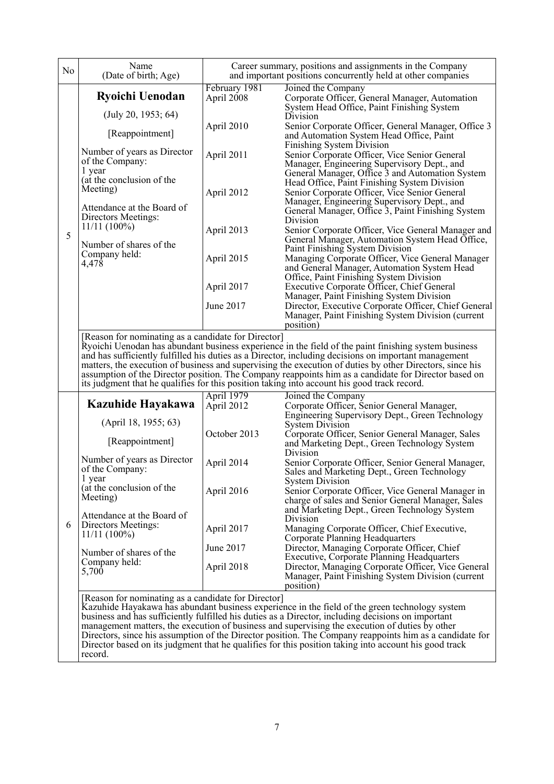| No | Name<br>(Date of birth; Age)                                        |                             | Career summary, positions and assignments in the Company<br>and important positions concurrently held at other companies                                                                                                                                                                                                                                                                                                                                                                                                        |
|----|---------------------------------------------------------------------|-----------------------------|---------------------------------------------------------------------------------------------------------------------------------------------------------------------------------------------------------------------------------------------------------------------------------------------------------------------------------------------------------------------------------------------------------------------------------------------------------------------------------------------------------------------------------|
|    | <b>Ryoichi Uenodan</b>                                              | February 1981<br>April 2008 | Joined the Company<br>Corporate Officer, General Manager, Automation<br>System Head Office, Paint Finishing System                                                                                                                                                                                                                                                                                                                                                                                                              |
|    | (July 20, 1953; 64)<br>[Reappointment]                              | April 2010                  | Division<br>Senior Corporate Officer, General Manager, Office 3<br>and Automation System Head Office, Paint                                                                                                                                                                                                                                                                                                                                                                                                                     |
|    | Number of years as Director<br>of the Company:<br>1 year            | April 2011                  | Finishing System Division<br>Senior Corporate Officer, Vice Senior General<br>Manager, Engineering Supervisory Dept., and                                                                                                                                                                                                                                                                                                                                                                                                       |
|    | (at the conclusion of the<br>Meeting)                               | April 2012                  | General Manager, Office 3 and Automation System<br>Head Office, Paint Finishing System Division<br>Senior Corporate Officer, Vice Senior General<br>Manager, Engineering Supervisory Dept., and                                                                                                                                                                                                                                                                                                                                 |
|    | Attendance at the Board of<br>Directors Meetings:<br>$11/11(100\%)$ | April 2013                  | General Manager, Office 3, Paint Finishing System<br>Division<br>Senior Corporate Officer, Vice General Manager and                                                                                                                                                                                                                                                                                                                                                                                                             |
| 5  | Number of shares of the<br>Company held:                            | April 2015                  | General Manager, Automation System Head Office,<br>Paint Finishing System Division<br>Managing Corporate Officer, Vice General Manager                                                                                                                                                                                                                                                                                                                                                                                          |
|    | 4,478                                                               | April 2017                  | and General Manager, Automation System Head<br>Office, Paint Finishing System Division<br>Executive Corporate Officer, Chief General                                                                                                                                                                                                                                                                                                                                                                                            |
|    |                                                                     | June 2017                   | Manager, Paint Finishing System Division<br>Director, Executive Corporate Officer, Chief General<br>Manager, Paint Finishing System Division (current<br>position)                                                                                                                                                                                                                                                                                                                                                              |
|    |                                                                     |                             | Ryoichi Uenodan has abundant business experience in the field of the paint finishing system business<br>and has sufficiently fulfilled his duties as a Director, including decisions on important management<br>matters, the execution of business and supervising the execution of duties by other Directors, since his<br>assumption of the Director position. The Company reappoints him as a candidate for Director based on<br>its judgment that he qualifies for this position taking into account his good track record. |
|    | Kazuhide Hayakawa                                                   | April 1979<br>April 2012    | Joined the Company<br>Corporate Officer, Senior General Manager,<br>Engineering Supervisory Dept., Green Technology                                                                                                                                                                                                                                                                                                                                                                                                             |
|    | (April 18, 1955; 63)<br>[Reappointment]                             | October 2013                | <b>System Division</b><br>Corporate Officer, Senior General Manager, Sales<br>and Marketing Dept., Green Technology System                                                                                                                                                                                                                                                                                                                                                                                                      |
|    | Number of years as Director<br>of the Company:<br>1 year            | April 2014                  | Division<br>Senior Corporate Officer, Senior General Manager,<br>Sales and Marketing Dept., Green Technology<br><b>System Division</b>                                                                                                                                                                                                                                                                                                                                                                                          |
|    | (at the conclusion of the<br>Meeting)                               | April 2016                  | Senior Corporate Officer, Vice General Manager in<br>charge of sales and Senior General Manager, Sales<br>and Marketing Dept., Green Technology System                                                                                                                                                                                                                                                                                                                                                                          |
| 6  | Attendance at the Board of<br>Directors Meetings:<br>$11/11(100\%)$ | April 2017                  | Division<br>Managing Corporate Officer, Chief Executive,<br>Corporate Planning Headquarters                                                                                                                                                                                                                                                                                                                                                                                                                                     |
|    | Number of shares of the<br>Company held:<br>5,700                   | June 2017<br>April 2018     | Director, Managing Corporate Officer, Chief<br>Executive, Corporate Planning Headquarters<br>Director, Managing Corporate Officer, Vice General<br>Manager, Paint Finishing System Division (current<br>position)                                                                                                                                                                                                                                                                                                               |
|    | [Reason for nominating as a candidate for Director]                 |                             | Kazuhide Hayakawa has abundant business experience in the field of the green technology system<br>business and has sufficiently fulfilled his duties as a Director, including decisions on important<br>management matters, the execution of business and supervising the execution of duties by other<br>Directors, since his assumption of the Director position. The Company reappoints him as a candidate for                                                                                                               |

Director based on its judgment that he qualifies for this position taking into account his good track

record.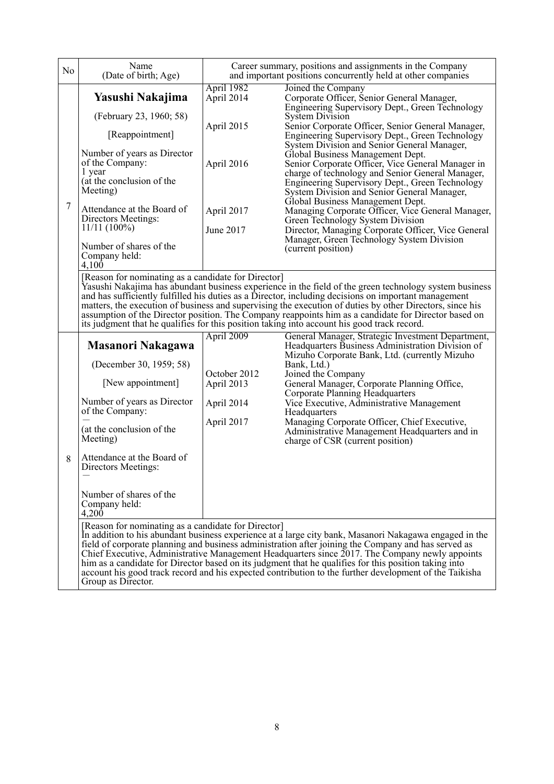| No | Name<br>(Date of birth; Age)                                                                                                                                                                                                                                                                    |                                                                                 | Career summary, positions and assignments in the Company<br>and important positions concurrently held at other companies                                                                                                                                                                                                                                                                                                                                                                                                                                                                                                                                                                                                                                                                                  |
|----|-------------------------------------------------------------------------------------------------------------------------------------------------------------------------------------------------------------------------------------------------------------------------------------------------|---------------------------------------------------------------------------------|-----------------------------------------------------------------------------------------------------------------------------------------------------------------------------------------------------------------------------------------------------------------------------------------------------------------------------------------------------------------------------------------------------------------------------------------------------------------------------------------------------------------------------------------------------------------------------------------------------------------------------------------------------------------------------------------------------------------------------------------------------------------------------------------------------------|
| 7  | Yasushi Nakajima<br>(February 23, 1960; 58)<br>[Reappointment]<br>Number of years as Director<br>of the Company:<br>1 year<br>(at the conclusion of the<br>Meeting)<br>Attendance at the Board of<br>Directors Meetings:<br>$11/11(100\%)$<br>Number of shares of the<br>Company held:<br>4,100 | April 1982<br>April 2014<br>April 2015<br>April 2016<br>April 2017<br>June 2017 | Joined the Company<br>Corporate Officer, Senior General Manager,<br>Engineering Supervisory Dept., Green Technology<br><b>System Division</b><br>Senior Corporate Officer, Senior General Manager,<br>Engineering Supervisory Dept., Green Technology<br>System Division and Senior General Manager,<br>Global Business Management Dept.<br>Senior Corporate Officer, Vice General Manager in<br>charge of technology and Senior General Manager,<br>Engineering Supervisory Dept., Green Technology<br>System Division and Senior General Manager,<br>Global Business Management Dept.<br>Managing Corporate Officer, Vice General Manager,<br>Green Technology System Division<br>Director, Managing Corporate Officer, Vice General<br>Manager, Green Technology System Division<br>(current position) |
|    | [Reason for nominating as a candidate for Director]                                                                                                                                                                                                                                             |                                                                                 | Yasushi Nakajima has abundant business experience in the field of the green technology system business<br>and has sufficiently fulfilled his duties as a Director, including decisions on important management<br>matters, the execution of business and supervising the execution of duties by other Directors, since his<br>assumption of the Director position. The Company reappoints him as a candidate for Director based on<br>its judgment that he qualifies for this position taking into account his good track record.                                                                                                                                                                                                                                                                         |
| 8  | Masanori Nakagawa<br>(December 30, 1959; 58)<br>[New appointment]<br>Number of years as Director<br>of the Company:<br>(at the conclusion of the<br>Meeting)<br>Attendance at the Board of<br>Directors Meetings:<br>Number of shares of the<br>Company held:<br>4,200                          | April 2009<br>October 2012<br>April 2013<br>April 2014<br>April 2017            | General Manager, Strategic Investment Department,<br>Headquarters Business Administration Division of<br>Mizuho Corporate Bank, Ltd. (currently Mizuho<br>Bank, Ltd.)<br>Joined the Company<br>General Manager, Corporate Planning Office,<br><b>Corporate Planning Headquarters</b><br>Vice Executive, Administrative Management<br>Headquarters<br>Managing Corporate Officer, Chief Executive,<br>Administrative Management Headquarters and in<br>charge of CSR (current position)                                                                                                                                                                                                                                                                                                                    |
|    | [Reason for nominating as a candidate for Director]<br>Group as Director.                                                                                                                                                                                                                       |                                                                                 | In addition to his abundant business experience at a large city bank, Masanori Nakagawa engaged in the<br>field of corporate planning and business administration after joining the Company and has served as<br>Chief Executive, Administrative Management Headquarters since 2017. The Company newly appoints<br>him as a candidate for Director based on its judgment that he qualifies for this position taking into<br>account his good track record and his expected contribution to the further development of the Taikisha                                                                                                                                                                                                                                                                        |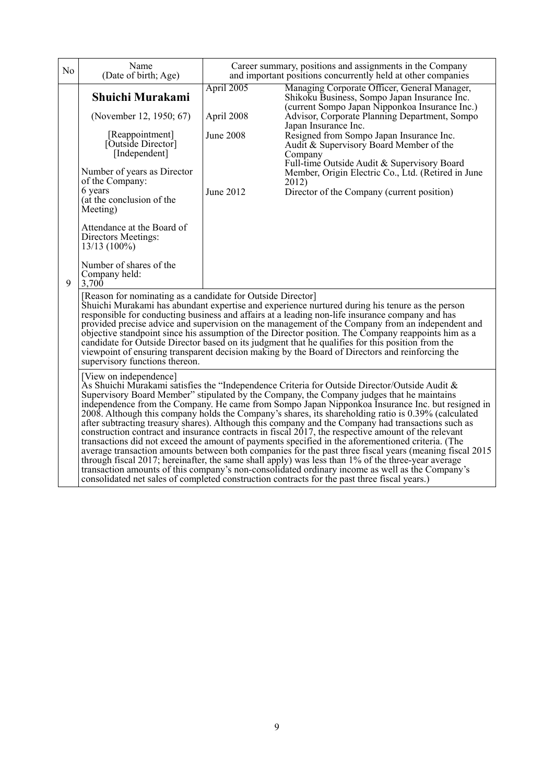| N <sub>o</sub> | Name<br>(Date of birth; Age)                                                                                                                                                                                                                                                                                                                                                                                                                                                                                                                                                                                                                                                                                                                                                                                                                                                                                                                                                                                                                                                                                                                                           | Career summary, positions and assignments in the Company<br>and important positions concurrently held at other companies |                                                                                                                                                                                                                                                                                                                                                                                                                                                                                       |  |  |  |
|----------------|------------------------------------------------------------------------------------------------------------------------------------------------------------------------------------------------------------------------------------------------------------------------------------------------------------------------------------------------------------------------------------------------------------------------------------------------------------------------------------------------------------------------------------------------------------------------------------------------------------------------------------------------------------------------------------------------------------------------------------------------------------------------------------------------------------------------------------------------------------------------------------------------------------------------------------------------------------------------------------------------------------------------------------------------------------------------------------------------------------------------------------------------------------------------|--------------------------------------------------------------------------------------------------------------------------|---------------------------------------------------------------------------------------------------------------------------------------------------------------------------------------------------------------------------------------------------------------------------------------------------------------------------------------------------------------------------------------------------------------------------------------------------------------------------------------|--|--|--|
|                | Shuichi Murakami<br>(November 12, 1950; 67)<br>[Reappointment]<br>[Outside Director]<br>[Independent]<br>Number of years as Director<br>of the Company:<br>6 years<br>(at the conclusion of the<br>Meeting)<br>Attendance at the Board of<br>Directors Meetings:<br>$13/13(100\%)$<br>Number of shares of the<br>Company held:                                                                                                                                                                                                                                                                                                                                                                                                                                                                                                                                                                                                                                                                                                                                                                                                                                         | April 2005<br>April 2008<br>June 2008<br>June 2012                                                                       | Managing Corporate Officer, General Manager,<br>Shikoku Business, Sompo Japan Insurance Inc.<br>(current Sompo Japan Nipponkoa Insurance Inc.)<br>Advisor, Corporate Planning Department, Sompo<br>Japan Insurance Inc.<br>Resigned from Sompo Japan Insurance Inc.<br>Audit & Supervisory Board Member of the<br>Company<br>Full-time Outside Audit & Supervisory Board<br>Member, Origin Electric Co., Ltd. (Retired in June<br>2012)<br>Director of the Company (current position) |  |  |  |
| 9              | 3,700<br>[Reason for nominating as a candidate for Outside Director]<br>Shuichi Murakami has abundant expertise and experience nurtured during his tenure as the person<br>responsible for conducting business and affairs at a leading non-life insurance company and has<br>provided precise advice and supervision on the management of the Company from an independent and<br>objective standpoint since his assumption of the Director position. The Company reappoints him as a<br>candidate for Outside Director based on its judgment that he qualifies for this position from the<br>viewpoint of ensuring transparent decision making by the Board of Directors and reinforcing the<br>supervisory functions thereon.                                                                                                                                                                                                                                                                                                                                                                                                                                        |                                                                                                                          |                                                                                                                                                                                                                                                                                                                                                                                                                                                                                       |  |  |  |
|                | [View on independence]<br>As Shuichi Murakami satisfies the "Independence Criteria for Outside Director/Outside Audit &<br>Supervisory Board Member" stipulated by the Company, the Company judges that he maintains<br>independence from the Company. He came from Sompo Japan Nipponkoa Insurance Inc. but resigned in<br>2008. Although this company holds the Company's shares, its shareholding ratio is 0.39% (calculated<br>after subtracting treasury shares). Although this company and the Company had transactions such as<br>construction contract and insurance contracts in fiscal 2017, the respective amount of the relevant<br>transactions did not exceed the amount of payments specified in the aforementioned criteria. (The<br>average transaction amounts between both companies for the past three fiscal years (meaning fiscal 2015)<br>through fiscal 2017; hereinafter, the same shall apply) was less than 1% of the three-year average<br>transaction amounts of this company's non-consolidated ordinary income as well as the Company's<br>consolidated net sales of completed construction contracts for the past three fiscal years.) |                                                                                                                          |                                                                                                                                                                                                                                                                                                                                                                                                                                                                                       |  |  |  |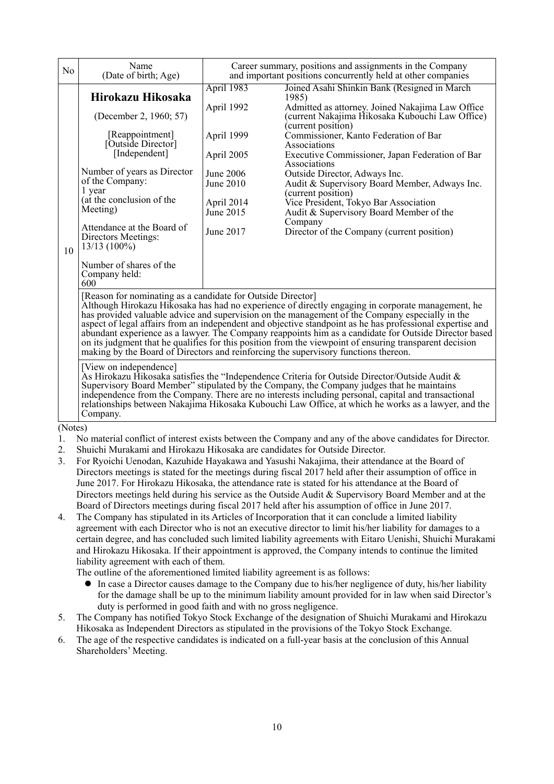| N <sub>o</sub> | Name<br>(Date of birth; Age)                                                                                                                                                                                                                                                                                                                                                                                                                                                                                                                                                                                                                                                                                                                                                                                                                                                                                                                                                                                                |                                                                                                                        | Career summary, positions and assignments in the Company<br>and important positions concurrently held at other companies                                                                                                                                                                                                                                                                                                                                                                                                                                            |  |  |  |
|----------------|-----------------------------------------------------------------------------------------------------------------------------------------------------------------------------------------------------------------------------------------------------------------------------------------------------------------------------------------------------------------------------------------------------------------------------------------------------------------------------------------------------------------------------------------------------------------------------------------------------------------------------------------------------------------------------------------------------------------------------------------------------------------------------------------------------------------------------------------------------------------------------------------------------------------------------------------------------------------------------------------------------------------------------|------------------------------------------------------------------------------------------------------------------------|---------------------------------------------------------------------------------------------------------------------------------------------------------------------------------------------------------------------------------------------------------------------------------------------------------------------------------------------------------------------------------------------------------------------------------------------------------------------------------------------------------------------------------------------------------------------|--|--|--|
| 10             | Hirokazu Hikosaka<br>(December 2, 1960; 57)<br>[Reappointment]<br>[Outside Director]<br>[Independent]<br>Number of years as Director<br>of the Company:<br>1 year<br>(at the conclusion of the<br>Meeting)<br>Attendance at the Board of<br>Directors Meetings:<br>$13/13(100\%)$<br>Number of shares of the<br>Company held:<br>600                                                                                                                                                                                                                                                                                                                                                                                                                                                                                                                                                                                                                                                                                        | April 1983<br>April 1992<br>April 1999<br>April 2005<br>June 2006<br>June 2010<br>April 2014<br>June 2015<br>June 2017 | Joined Asahi Shinkin Bank (Resigned in March<br>1985)<br>Admitted as attorney. Joined Nakajima Law Office<br>(current Nakajima Hikosaka Kubouchi Law Office)<br>(current position)<br>Commissioner, Kanto Federation of Bar<br>Associations<br>Executive Commissioner, Japan Federation of Bar<br>Associations<br>Outside Director, Adways Inc.<br>Audit & Supervisory Board Member, Adways Inc.<br>(current position)<br>Vice President, Tokyo Bar Association<br>Audit & Supervisory Board Member of the<br>Company<br>Director of the Company (current position) |  |  |  |
|                | [Reason for nominating as a candidate for Outside Director]<br>Although Hirokazu Hikosaka has had no experience of directly engaging in corporate management, he<br>has provided valuable advice and supervision on the management of the Company especially in the<br>aspect of legal affairs from an independent and objective standpoint as he has professional expertise and<br>abundant experience as a lawyer. The Company reappoints him as a candidate for Outside Director based<br>on its judgment that he qualifies for this position from the viewpoint of ensuring transparent decision<br>making by the Board of Directors and reinforcing the supervisory functions thereon.<br>[View on independence]<br>As Hirokazu Hikosaka satisfies the "Independence Criteria for Outside Director/Outside Audit &<br>Supervisory Board Member" stipulated by the Company, the Company judges that he maintains<br>independence from the Company. There are no interests including personal, capital and transactional |                                                                                                                        |                                                                                                                                                                                                                                                                                                                                                                                                                                                                                                                                                                     |  |  |  |
|                | Company.                                                                                                                                                                                                                                                                                                                                                                                                                                                                                                                                                                                                                                                                                                                                                                                                                                                                                                                                                                                                                    |                                                                                                                        | relationships between Nakajima Hikosaka Kubouchi Law Office, at which he works as a lawyer, and the                                                                                                                                                                                                                                                                                                                                                                                                                                                                 |  |  |  |
|                | (Notes)<br>$\mathbf{M}_1$ and internal conflict of internal enters horizon the Common confliction function in distance from $\mathbf{D}_{10}$                                                                                                                                                                                                                                                                                                                                                                                                                                                                                                                                                                                                                                                                                                                                                                                                                                                                               |                                                                                                                        |                                                                                                                                                                                                                                                                                                                                                                                                                                                                                                                                                                     |  |  |  |

- 1. No material conflict of interest exists between the Company and any of the above candidates for Director.
- 2. Shuichi Murakami and Hirokazu Hikosaka are candidates for Outside Director.
- 3. For Ryoichi Uenodan, Kazuhide Hayakawa and Yasushi Nakajima, their attendance at the Board of Directors meetings is stated for the meetings during fiscal 2017 held after their assumption of office in June 2017. For Hirokazu Hikosaka, the attendance rate is stated for his attendance at the Board of Directors meetings held during his service as the Outside Audit & Supervisory Board Member and at the Board of Directors meetings during fiscal 2017 held after his assumption of office in June 2017.
- 4. The Company has stipulated in its Articles of Incorporation that it can conclude a limited liability agreement with each Director who is not an executive director to limit his/her liability for damages to a certain degree, and has concluded such limited liability agreements with Eitaro Uenishi, Shuichi Murakami and Hirokazu Hikosaka. If their appointment is approved, the Company intends to continue the limited liability agreement with each of them.

The outline of the aforementioned limited liability agreement is as follows:

- In case a Director causes damage to the Company due to his/her negligence of duty, his/her liability for the damage shall be up to the minimum liability amount provided for in law when said Director's duty is performed in good faith and with no gross negligence.
- 5. The Company has notified Tokyo Stock Exchange of the designation of Shuichi Murakami and Hirokazu Hikosaka as Independent Directors as stipulated in the provisions of the Tokyo Stock Exchange.
- 6. The age of the respective candidates is indicated on a full-year basis at the conclusion of this Annual Shareholders' Meeting.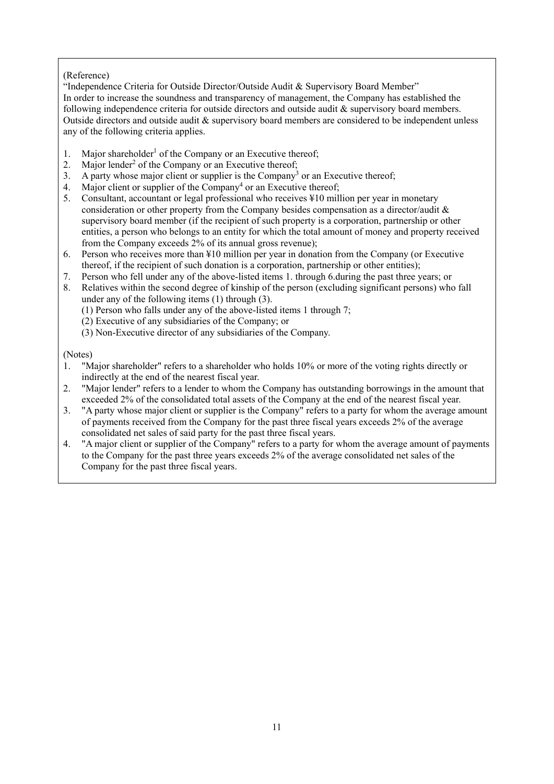# (Reference)

"Independence Criteria for Outside Director/Outside Audit & Supervisory Board Member" In order to increase the soundness and transparency of management, the Company has established the following independence criteria for outside directors and outside audit & supervisory board members. Outside directors and outside audit & supervisory board members are considered to be independent unless any of the following criteria applies.

- 1. Major shareholder<sup>1</sup> of the Company or an Executive thereof;
- 2. Major lender<sup>2</sup> of the Company or an Executive thereof;
- 3. A party whose major client or supplier is the Company<sup>3</sup> or an Executive thereof;
- 4. Major client or supplier of the Company<sup>4</sup> or an Executive thereof;
- 5. Consultant, accountant or legal professional who receives ¥10 million per year in monetary consideration or other property from the Company besides compensation as a director/audit & supervisory board member (if the recipient of such property is a corporation, partnership or other entities, a person who belongs to an entity for which the total amount of money and property received from the Company exceeds 2% of its annual gross revenue);
- 6. Person who receives more than ¥10 million per year in donation from the Company (or Executive thereof, if the recipient of such donation is a corporation, partnership or other entities);
- 7. Person who fell under any of the above-listed items 1. through 6.during the past three years; or
- 8. Relatives within the second degree of kinship of the person (excluding significant persons) who fall under any of the following items (1) through (3).
	- (1) Person who falls under any of the above-listed items 1 through 7;
	- (2) Executive of any subsidiaries of the Company; or
	- (3) Non-Executive director of any subsidiaries of the Company.

(Notes)

- 1. "Major shareholder" refers to a shareholder who holds 10% or more of the voting rights directly or indirectly at the end of the nearest fiscal year.
- 2. "Major lender" refers to a lender to whom the Company has outstanding borrowings in the amount that exceeded 2% of the consolidated total assets of the Company at the end of the nearest fiscal year.
- 3. "A party whose major client or supplier is the Company" refers to a party for whom the average amount of payments received from the Company for the past three fiscal years exceeds 2% of the average consolidated net sales of said party for the past three fiscal years.
- 4. "A major client or supplier of the Company" refers to a party for whom the average amount of payments to the Company for the past three years exceeds 2% of the average consolidated net sales of the Company for the past three fiscal years.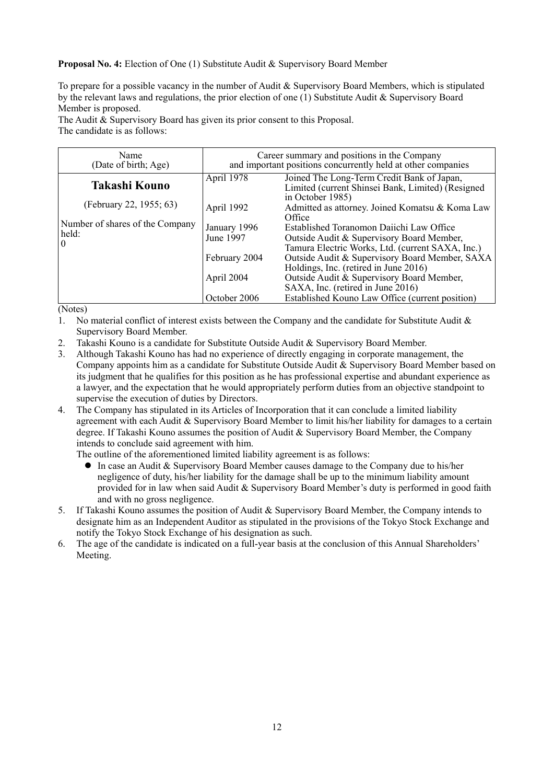## **Proposal No. 4:** Election of One (1) Substitute Audit & Supervisory Board Member

To prepare for a possible vacancy in the number of Audit & Supervisory Board Members, which is stipulated by the relevant laws and regulations, the prior election of one (1) Substitute Audit & Supervisory Board Member is proposed.

The Audit & Supervisory Board has given its prior consent to this Proposal. The candidate is as follows:

| Name<br>(Date of birth; Age)                               | Career summary and positions in the Company<br>and important positions concurrently held at other companies |                                                                                                                                           |  |  |  |
|------------------------------------------------------------|-------------------------------------------------------------------------------------------------------------|-------------------------------------------------------------------------------------------------------------------------------------------|--|--|--|
| Takashi Kouno                                              | April 1978                                                                                                  | Joined The Long-Term Credit Bank of Japan,<br>Limited (current Shinsei Bank, Limited) (Resigned<br>in October 1985)                       |  |  |  |
| (February 22, 1955; 63)                                    | April 1992                                                                                                  | Admitted as attorney. Joined Komatsu & Koma Law<br>Office                                                                                 |  |  |  |
| Number of shares of the Company<br>held:<br>$\overline{0}$ | January 1996<br>June 1997                                                                                   | Established Toranomon Daiichi Law Office<br>Outside Audit & Supervisory Board Member,<br>Tamura Electric Works, Ltd. (current SAXA, Inc.) |  |  |  |
|                                                            | February 2004                                                                                               | Outside Audit & Supervisory Board Member, SAXA<br>Holdings, Inc. (retired in June 2016)                                                   |  |  |  |
|                                                            | April 2004                                                                                                  | Outside Audit & Supervisory Board Member,<br>SAXA, Inc. (retired in June 2016)                                                            |  |  |  |
|                                                            | October 2006                                                                                                | Established Kouno Law Office (current position)                                                                                           |  |  |  |

(Notes)

1. No material conflict of interest exists between the Company and the candidate for Substitute Audit & Supervisory Board Member.

- 2. Takashi Kouno is a candidate for Substitute Outside Audit & Supervisory Board Member.
- 3. Although Takashi Kouno has had no experience of directly engaging in corporate management, the Company appoints him as a candidate for Substitute Outside Audit & Supervisory Board Member based on its judgment that he qualifies for this position as he has professional expertise and abundant experience as a lawyer, and the expectation that he would appropriately perform duties from an objective standpoint to supervise the execution of duties by Directors.
- 4. The Company has stipulated in its Articles of Incorporation that it can conclude a limited liability agreement with each Audit & Supervisory Board Member to limit his/her liability for damages to a certain degree. If Takashi Kouno assumes the position of Audit & Supervisory Board Member, the Company intends to conclude said agreement with him.

The outline of the aforementioned limited liability agreement is as follows:

- In case an Audit & Supervisory Board Member causes damage to the Company due to his/her negligence of duty, his/her liability for the damage shall be up to the minimum liability amount provided for in law when said Audit & Supervisory Board Member's duty is performed in good faith and with no gross negligence.
- 5. If Takashi Kouno assumes the position of Audit & Supervisory Board Member, the Company intends to designate him as an Independent Auditor as stipulated in the provisions of the Tokyo Stock Exchange and notify the Tokyo Stock Exchange of his designation as such.
- 6. The age of the candidate is indicated on a full-year basis at the conclusion of this Annual Shareholders' Meeting.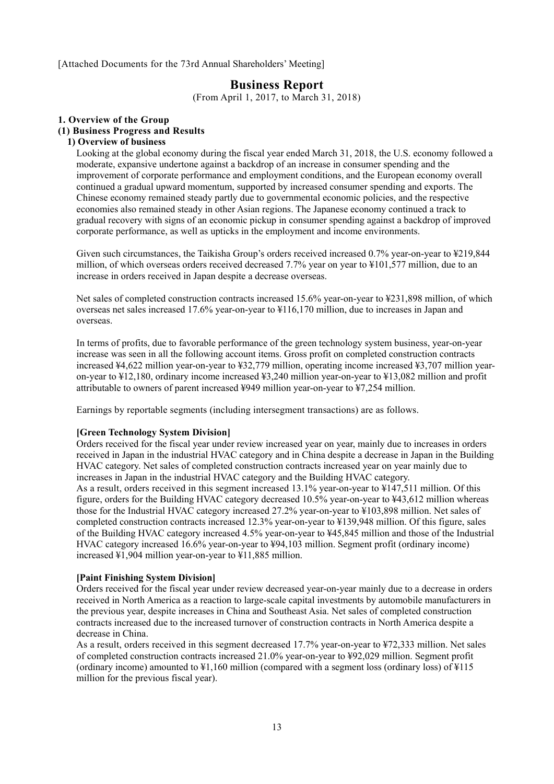[Attached Documents for the 73rd Annual Shareholders' Meeting]

# **Business Report**

(From April 1, 2017, to March 31, 2018)

#### **1. Overview of the Group**

#### **(1) Business Progress and Results**

#### **1) Overview of business**

Looking at the global economy during the fiscal year ended March 31, 2018, the U.S. economy followed a moderate, expansive undertone against a backdrop of an increase in consumer spending and the improvement of corporate performance and employment conditions, and the European economy overall continued a gradual upward momentum, supported by increased consumer spending and exports. The Chinese economy remained steady partly due to governmental economic policies, and the respective economies also remained steady in other Asian regions. The Japanese economy continued a track to gradual recovery with signs of an economic pickup in consumer spending against a backdrop of improved corporate performance, as well as upticks in the employment and income environments.

Given such circumstances, the Taikisha Group's orders received increased 0.7% year-on-year to ¥219,844 million, of which overseas orders received decreased 7.7% year on year to ¥101,577 million, due to an increase in orders received in Japan despite a decrease overseas.

Net sales of completed construction contracts increased 15.6% year-on-year to ¥231,898 million, of which overseas net sales increased 17.6% year-on-year to ¥116,170 million, due to increases in Japan and overseas.

In terms of profits, due to favorable performance of the green technology system business, year-on-year increase was seen in all the following account items. Gross profit on completed construction contracts increased ¥4,622 million year-on-year to ¥32,779 million, operating income increased ¥3,707 million yearon-year to ¥12,180, ordinary income increased ¥3,240 million year-on-year to ¥13,082 million and profit attributable to owners of parent increased ¥949 million year-on-year to ¥7,254 million.

Earnings by reportable segments (including intersegment transactions) are as follows.

#### **[Green Technology System Division]**

Orders received for the fiscal year under review increased year on year, mainly due to increases in orders received in Japan in the industrial HVAC category and in China despite a decrease in Japan in the Building HVAC category. Net sales of completed construction contracts increased year on year mainly due to increases in Japan in the industrial HVAC category and the Building HVAC category. As a result, orders received in this segment increased 13.1% year-on-year to ¥147,511 million. Of this figure, orders for the Building HVAC category decreased 10.5% year-on-year to ¥43,612 million whereas those for the Industrial HVAC category increased 27.2% year-on-year to ¥103,898 million. Net sales of completed construction contracts increased 12.3% year-on-year to ¥139,948 million. Of this figure, sales of the Building HVAC category increased 4.5% year-on-year to ¥45,845 million and those of the Industrial HVAC category increased 16.6% year-on-year to ¥94,103 million. Segment profit (ordinary income) increased ¥1,904 million year-on-year to ¥11,885 million.

#### **[Paint Finishing System Division]**

Orders received for the fiscal year under review decreased year-on-year mainly due to a decrease in orders received in North America as a reaction to large-scale capital investments by automobile manufacturers in the previous year, despite increases in China and Southeast Asia. Net sales of completed construction contracts increased due to the increased turnover of construction contracts in North America despite a decrease in China.

As a result, orders received in this segment decreased 17.7% year-on-year to ¥72,333 million. Net sales of completed construction contracts increased 21.0% year-on-year to ¥92,029 million. Segment profit (ordinary income) amounted to ¥1,160 million (compared with a segment loss (ordinary loss) of ¥115 million for the previous fiscal year).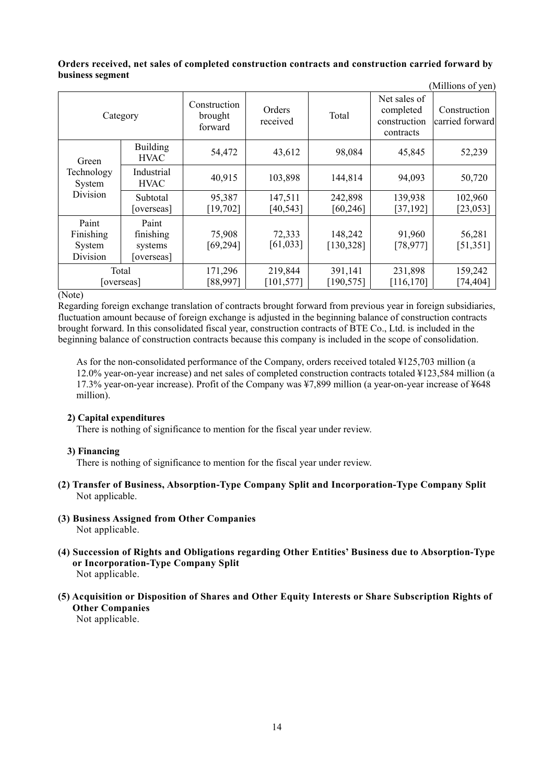#### **Orders received, net sales of completed construction contracts and construction carried forward by business segment**  (Millions of yen)

| TMITHOIIS OF ACITY                       |                                             |                                    |                       |                       |                                                        |                                 |
|------------------------------------------|---------------------------------------------|------------------------------------|-----------------------|-----------------------|--------------------------------------------------------|---------------------------------|
| Category                                 |                                             | Construction<br>brought<br>forward | Orders<br>received    | Total                 | Net sales of<br>completed<br>construction<br>contracts | Construction<br>carried forward |
| Green                                    | <b>Building</b><br><b>HVAC</b>              | 54,472                             | 43,612                | 98,084                | 45,845                                                 | 52,239                          |
| Technology<br>System                     | Industrial<br><b>HVAC</b>                   | 40,915                             | 103,898               | 144,814               | 94,093                                                 | 50,720                          |
| Division                                 | Subtotal<br>[overseas]                      | 95,387<br>[19, 702]                | 147,511<br>[40, 543]  | 242,898<br>[60, 246]  | 139,938<br>[37, 192]                                   | 102,960<br>[23,053]             |
| Paint<br>Finishing<br>System<br>Division | Paint<br>finishing<br>systems<br>[overseas] | 75,908<br>[69, 294]                | 72,333<br>[61,033]    | 148,242<br>[130, 328] | 91,960<br>[78, 977]                                    | 56,281<br>[51, 351]             |
| Total<br>[overseas]                      |                                             | 171,296<br>[88,997]                | 219,844<br>[101, 577] | 391,141<br>[190, 575] | 231,898<br>[116, 170]                                  | 159,242<br>[74, 404]            |

(Note)

Regarding foreign exchange translation of contracts brought forward from previous year in foreign subsidiaries, fluctuation amount because of foreign exchange is adjusted in the beginning balance of construction contracts brought forward. In this consolidated fiscal year, construction contracts of BTE Co., Ltd. is included in the beginning balance of construction contracts because this company is included in the scope of consolidation.

As for the non-consolidated performance of the Company, orders received totaled ¥125,703 million (a 12.0% year-on-year increase) and net sales of completed construction contracts totaled ¥123,584 million (a 17.3% year-on-year increase). Profit of the Company was ¥7,899 million (a year-on-year increase of ¥648 million).

### **2) Capital expenditures**

There is nothing of significance to mention for the fiscal year under review.

### **3) Financing**

There is nothing of significance to mention for the fiscal year under review.

- **(2) Transfer of Business, Absorption-Type Company Split and Incorporation-Type Company Split**  Not applicable.
- **(3) Business Assigned from Other Companies**  Not applicable.
- **(4) Succession of Rights and Obligations regarding Other Entities' Business due to Absorption-Type or Incorporation-Type Company Split**  Not applicable.
- **(5) Acquisition or Disposition of Shares and Other Equity Interests or Share Subscription Rights of Other Companies**

Not applicable.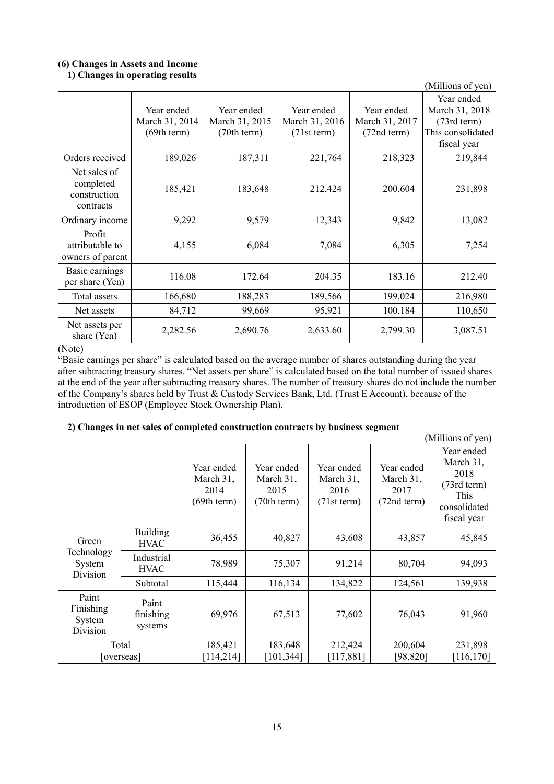# **(6) Changes in Assets and Income**

# **1) Changes in operating results**

| $\epsilon$ and $\epsilon$ is the spectrum $\epsilon$<br>(Millions of yen) |                                             |                                             |                                             |                                             |                                                                                           |  |  |  |
|---------------------------------------------------------------------------|---------------------------------------------|---------------------------------------------|---------------------------------------------|---------------------------------------------|-------------------------------------------------------------------------------------------|--|--|--|
|                                                                           | Year ended<br>March 31, 2014<br>(69th term) | Year ended<br>March 31, 2015<br>(70th term) | Year ended<br>March 31, 2016<br>(71st term) | Year ended<br>March 31, 2017<br>(72nd term) | Year ended<br>March 31, 2018<br>$(73rd \text{ term})$<br>This consolidated<br>fiscal year |  |  |  |
| Orders received                                                           | 189,026                                     | 187,311                                     | 221,764                                     | 218,323                                     | 219,844                                                                                   |  |  |  |
| Net sales of<br>completed<br>construction<br>contracts                    | 185,421                                     | 183,648                                     | 212,424                                     | 200,604                                     | 231,898                                                                                   |  |  |  |
| Ordinary income                                                           | 9,292                                       | 9,579                                       | 12,343                                      | 9,842                                       | 13,082                                                                                    |  |  |  |
| Profit<br>attributable to<br>owners of parent                             | 4,155                                       | 6,084                                       | 7,084                                       | 6,305                                       | 7,254                                                                                     |  |  |  |
| Basic earnings<br>per share (Yen)                                         | 116.08                                      | 172.64                                      | 204.35                                      | 183.16                                      | 212.40                                                                                    |  |  |  |
| Total assets                                                              | 166,680                                     | 188,283                                     | 189,566                                     | 199,024                                     | 216,980                                                                                   |  |  |  |
| Net assets                                                                | 84,712                                      | 99,669                                      | 95,921                                      | 100,184                                     | 110,650                                                                                   |  |  |  |
| Net assets per<br>share (Yen)                                             | 2,282.56                                    | 2,690.76                                    | 2,633.60                                    | 2,799.30                                    | 3,087.51                                                                                  |  |  |  |

#### (Note)

"Basic earnings per share" is calculated based on the average number of shares outstanding during the year after subtracting treasury shares. "Net assets per share" is calculated based on the total number of issued shares at the end of the year after subtracting treasury shares. The number of treasury shares do not include the number of the Company's shares held by Trust & Custody Services Bank, Ltd. (Trust E Account), because of the introduction of ESOP (Employee Stock Ownership Plan).

# **2) Changes in net sales of completed construction contracts by business segment**

|                                          |                                | $\blacksquare$ ) changes in het sures of completed construction contructs $\kappa_f$ business segment |                                                |                                                |                                                | (Millions of yen)                                                                          |
|------------------------------------------|--------------------------------|-------------------------------------------------------------------------------------------------------|------------------------------------------------|------------------------------------------------|------------------------------------------------|--------------------------------------------------------------------------------------------|
|                                          |                                | Year ended<br>March 31,<br>2014<br>(69th term)                                                        | Year ended<br>March 31,<br>2015<br>(70th term) | Year ended<br>March 31,<br>2016<br>(71st term) | Year ended<br>March 31,<br>2017<br>(72nd term) | Year ended<br>March 31,<br>2018<br>$(73rd$ term $)$<br>This<br>consolidated<br>fiscal year |
| Green                                    | <b>Building</b><br><b>HVAC</b> | 36,455                                                                                                | 40,827                                         | 43,608                                         | 43,857                                         | 45,845                                                                                     |
| Technology<br>System<br>Division         | Industrial<br><b>HVAC</b>      | 78,989                                                                                                | 75,307                                         | 91,214                                         | 80,704                                         | 94,093                                                                                     |
|                                          | Subtotal                       | 115,444                                                                                               | 116,134                                        | 134,822                                        | 124,561                                        | 139,938                                                                                    |
| Paint<br>Finishing<br>System<br>Division | Paint<br>finishing<br>systems  | 69,976                                                                                                | 67,513                                         | 77,602                                         | 76,043                                         | 91,960                                                                                     |
| Total<br>[overseas]                      |                                | 185,421<br>[114,214]                                                                                  | 183,648<br>[101, 344]                          | 212,424<br>[117, 881]                          | 200,604<br>[98, 820]                           | 231,898<br>[116, 170]                                                                      |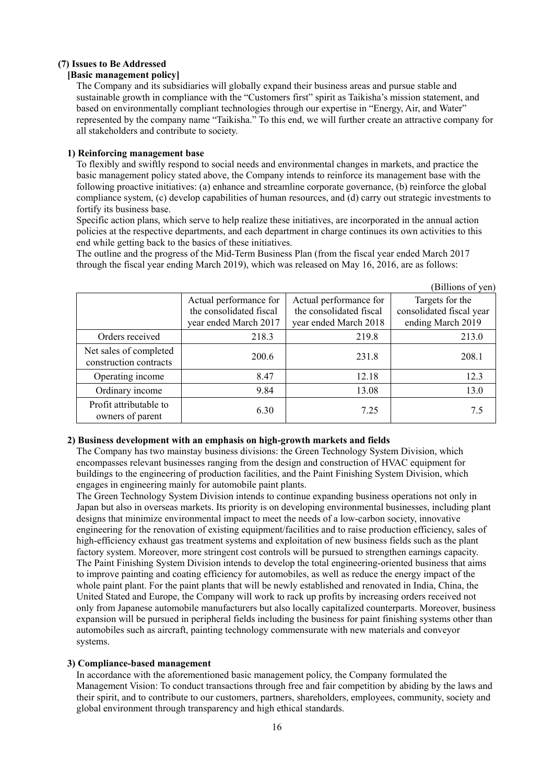#### **(7) Issues to Be Addressed**

# **[Basic management policy]**

The Company and its subsidiaries will globally expand their business areas and pursue stable and sustainable growth in compliance with the "Customers first" spirit as Taikisha's mission statement, and based on environmentally compliant technologies through our expertise in "Energy, Air, and Water" represented by the company name "Taikisha." To this end, we will further create an attractive company for all stakeholders and contribute to society.

#### **1) Reinforcing management base**

To flexibly and swiftly respond to social needs and environmental changes in markets, and practice the basic management policy stated above, the Company intends to reinforce its management base with the following proactive initiatives: (a) enhance and streamline corporate governance, (b) reinforce the global compliance system, (c) develop capabilities of human resources, and (d) carry out strategic investments to fortify its business base.

Specific action plans, which serve to help realize these initiatives, are incorporated in the annual action policies at the respective departments, and each department in charge continues its own activities to this end while getting back to the basics of these initiatives.

The outline and the progress of the Mid-Term Business Plan (from the fiscal year ended March 2017 through the fiscal year ending March 2019), which was released on May 16, 2016, are as follows:

|                                                  |                                                                            |                                                                            | (Billions of yen)                                                |
|--------------------------------------------------|----------------------------------------------------------------------------|----------------------------------------------------------------------------|------------------------------------------------------------------|
|                                                  | Actual performance for<br>the consolidated fiscal<br>year ended March 2017 | Actual performance for<br>the consolidated fiscal<br>year ended March 2018 | Targets for the<br>consolidated fiscal year<br>ending March 2019 |
| Orders received                                  | 218.3                                                                      | 219.8                                                                      | 213.0                                                            |
| Net sales of completed<br>construction contracts | 200.6                                                                      | 231.8                                                                      | 208.1                                                            |
| Operating income                                 | 8.47                                                                       | 12.18                                                                      | 12.3                                                             |
| Ordinary income                                  | 9.84                                                                       | 13.08                                                                      | 13.0                                                             |
| Profit attributable to<br>owners of parent       | 6.30                                                                       | 7.25                                                                       | 7.5                                                              |

### **2) Business development with an emphasis on high-growth markets and fields**

The Company has two mainstay business divisions: the Green Technology System Division, which encompasses relevant businesses ranging from the design and construction of HVAC equipment for buildings to the engineering of production facilities, and the Paint Finishing System Division, which engages in engineering mainly for automobile paint plants.

The Green Technology System Division intends to continue expanding business operations not only in Japan but also in overseas markets. Its priority is on developing environmental businesses, including plant designs that minimize environmental impact to meet the needs of a low-carbon society, innovative engineering for the renovation of existing equipment/facilities and to raise production efficiency, sales of high-efficiency exhaust gas treatment systems and exploitation of new business fields such as the plant factory system. Moreover, more stringent cost controls will be pursued to strengthen earnings capacity. The Paint Finishing System Division intends to develop the total engineering-oriented business that aims to improve painting and coating efficiency for automobiles, as well as reduce the energy impact of the whole paint plant. For the paint plants that will be newly established and renovated in India, China, the United Stated and Europe, the Company will work to rack up profits by increasing orders received not only from Japanese automobile manufacturers but also locally capitalized counterparts. Moreover, business expansion will be pursued in peripheral fields including the business for paint finishing systems other than automobiles such as aircraft, painting technology commensurate with new materials and conveyor systems.

### **3) Compliance-based management**

In accordance with the aforementioned basic management policy, the Company formulated the Management Vision: To conduct transactions through free and fair competition by abiding by the laws and their spirit, and to contribute to our customers, partners, shareholders, employees, community, society and global environment through transparency and high ethical standards.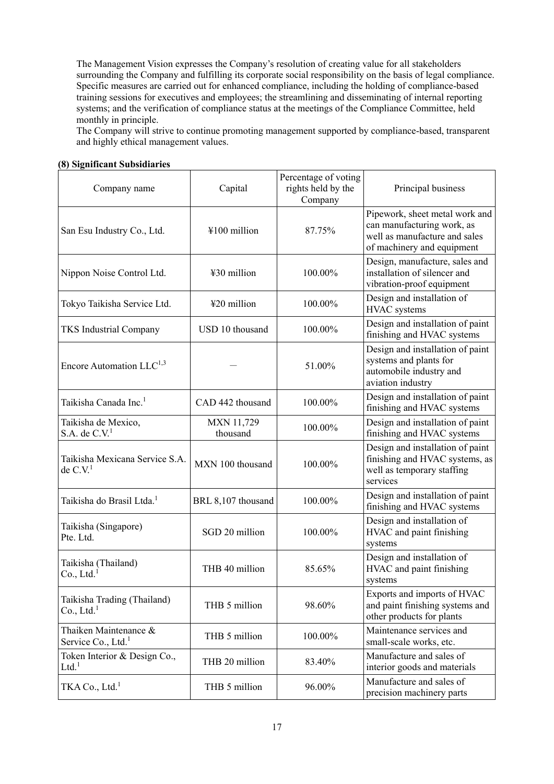The Management Vision expresses the Company's resolution of creating value for all stakeholders surrounding the Company and fulfilling its corporate social responsibility on the basis of legal compliance. Specific measures are carried out for enhanced compliance, including the holding of compliance-based training sessions for executives and employees; the streamlining and disseminating of internal reporting systems; and the verification of compliance status at the meetings of the Compliance Committee, held monthly in principle.

The Company will strive to continue promoting management supported by compliance-based, transparent and highly ethical management values.

| o) organiteame oubsidiar les                            |                               |                                                       |                                                                                                                             |
|---------------------------------------------------------|-------------------------------|-------------------------------------------------------|-----------------------------------------------------------------------------------------------------------------------------|
| Company name                                            | Capital                       | Percentage of voting<br>rights held by the<br>Company | Principal business                                                                                                          |
| San Esu Industry Co., Ltd.                              | ¥100 million                  | 87.75%                                                | Pipework, sheet metal work and<br>can manufacturing work, as<br>well as manufacture and sales<br>of machinery and equipment |
| Nippon Noise Control Ltd.                               | ¥30 million                   | 100.00%                                               | Design, manufacture, sales and<br>installation of silencer and<br>vibration-proof equipment                                 |
| Tokyo Taikisha Service Ltd.                             | ¥20 million                   | 100.00%                                               | Design and installation of<br><b>HVAC</b> systems                                                                           |
| <b>TKS Industrial Company</b>                           | USD 10 thousand               | 100.00%                                               | Design and installation of paint<br>finishing and HVAC systems                                                              |
| Encore Automation LLC <sup>1,3</sup>                    |                               | 51.00%                                                | Design and installation of paint<br>systems and plants for<br>automobile industry and<br>aviation industry                  |
| Taikisha Canada Inc. <sup>1</sup>                       | CAD 442 thousand              | 100.00%                                               | Design and installation of paint<br>finishing and HVAC systems                                                              |
| Taikisha de Mexico,<br>$S.A.$ de $C.V.1$                | <b>MXN 11,729</b><br>thousand | 100.00%                                               | Design and installation of paint<br>finishing and HVAC systems                                                              |
| Taikisha Mexicana Service S.A.<br>de $C.V.^1$           | MXN 100 thousand              | 100.00%                                               | Design and installation of paint<br>finishing and HVAC systems, as<br>well as temporary staffing<br>services                |
| Taikisha do Brasil Ltda. <sup>1</sup>                   | BRL 8,107 thousand            | 100.00%                                               | Design and installation of paint<br>finishing and HVAC systems                                                              |
| Taikisha (Singapore)<br>Pte. Ltd.                       | SGD 20 million                | 100.00%                                               | Design and installation of<br>HVAC and paint finishing<br>systems                                                           |
| Taikisha (Thailand)<br>Co., Ltd. <sup>1</sup>           | THB 40 million                | 85.65%                                                | Design and installation of<br>HVAC and paint finishing<br>systems                                                           |
| Taikisha Trading (Thailand)<br>Co., Ltd. <sup>1</sup>   | THB 5 million                 | 98.60%                                                | Exports and imports of HVAC<br>and paint finishing systems and<br>other products for plants                                 |
| Thaiken Maintenance &<br>Service Co., Ltd. <sup>1</sup> | THB 5 million                 | 100.00%                                               | Maintenance services and<br>small-scale works, etc.                                                                         |
| Token Interior & Design Co.,<br>$Ltd.$ <sup>1</sup>     | THB 20 million                | 83.40%                                                | Manufacture and sales of<br>interior goods and materials                                                                    |
| TKA Co., Ltd. <sup>1</sup>                              | THB 5 million                 | 96.00%                                                | Manufacture and sales of<br>precision machinery parts                                                                       |

#### **(8) Significant Subsidiaries**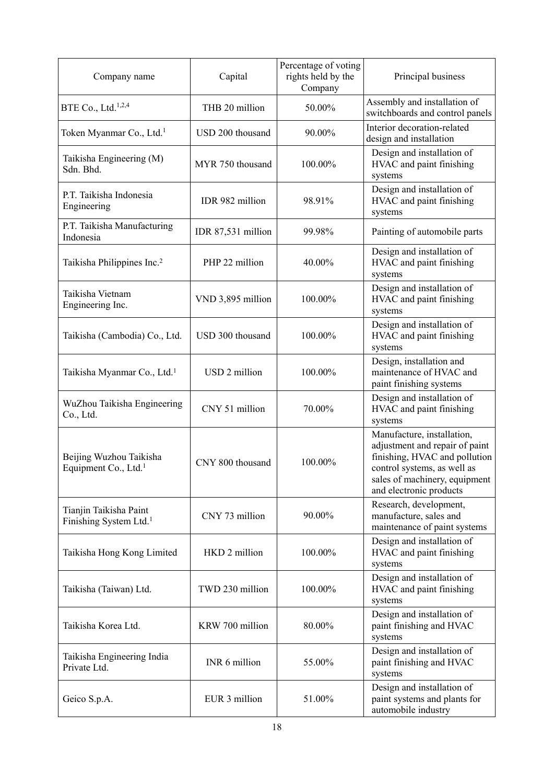| Company name                                                 | Capital            | Percentage of voting<br>rights held by the<br>Company | Principal business                                                                                                                                                                       |
|--------------------------------------------------------------|--------------------|-------------------------------------------------------|------------------------------------------------------------------------------------------------------------------------------------------------------------------------------------------|
| BTE Co., Ltd. $1,2,4$                                        | THB 20 million     | 50.00%                                                | Assembly and installation of<br>switchboards and control panels                                                                                                                          |
| Token Myanmar Co., Ltd. <sup>1</sup>                         | USD 200 thousand   | 90.00%                                                | Interior decoration-related<br>design and installation                                                                                                                                   |
| Taikisha Engineering (M)<br>Sdn. Bhd.                        | MYR 750 thousand   | 100.00%                                               | Design and installation of<br>HVAC and paint finishing<br>systems                                                                                                                        |
| P.T. Taikisha Indonesia<br>Engineering                       | IDR 982 million    | 98.91%                                                | Design and installation of<br>HVAC and paint finishing<br>systems                                                                                                                        |
| P.T. Taikisha Manufacturing<br>Indonesia                     | IDR 87,531 million | 99.98%                                                | Painting of automobile parts                                                                                                                                                             |
| Taikisha Philippines Inc. <sup>2</sup>                       | PHP 22 million     | 40.00%                                                | Design and installation of<br>HVAC and paint finishing<br>systems                                                                                                                        |
| Taikisha Vietnam<br>Engineering Inc.                         | VND 3,895 million  | 100.00%                                               | Design and installation of<br>HVAC and paint finishing<br>systems                                                                                                                        |
| Taikisha (Cambodia) Co., Ltd.                                | USD 300 thousand   | 100.00%                                               | Design and installation of<br>HVAC and paint finishing<br>systems                                                                                                                        |
| Taikisha Myanmar Co., Ltd. <sup>1</sup>                      | USD 2 million      | 100.00%                                               | Design, installation and<br>maintenance of HVAC and<br>paint finishing systems                                                                                                           |
| WuZhou Taikisha Engineering<br>Co., Ltd.                     | CNY 51 million     | 70.00%                                                | Design and installation of<br>HVAC and paint finishing<br>systems                                                                                                                        |
| Beijing Wuzhou Taikisha<br>Equipment Co., Ltd. <sup>1</sup>  | CNY 800 thousand   | 100.00%                                               | Manufacture, installation,<br>adjustment and repair of paint<br>finishing, HVAC and pollution<br>control systems, as well as<br>sales of machinery, equipment<br>and electronic products |
| Tianjin Taikisha Paint<br>Finishing System Ltd. <sup>1</sup> | CNY 73 million     | 90.00%                                                | Research, development,<br>manufacture, sales and<br>maintenance of paint systems                                                                                                         |
| Taikisha Hong Kong Limited                                   | HKD 2 million      | 100.00%                                               | Design and installation of<br>HVAC and paint finishing<br>systems                                                                                                                        |
| Taikisha (Taiwan) Ltd.                                       | TWD 230 million    | 100.00%                                               | Design and installation of<br>HVAC and paint finishing<br>systems                                                                                                                        |
| Taikisha Korea Ltd.                                          | KRW 700 million    | 80.00%                                                | Design and installation of<br>paint finishing and HVAC<br>systems                                                                                                                        |
| Taikisha Engineering India<br>Private Ltd.                   | INR 6 million      | 55.00%                                                | Design and installation of<br>paint finishing and HVAC<br>systems                                                                                                                        |
| Geico S.p.A.                                                 | EUR 3 million      | 51.00%                                                | Design and installation of<br>paint systems and plants for<br>automobile industry                                                                                                        |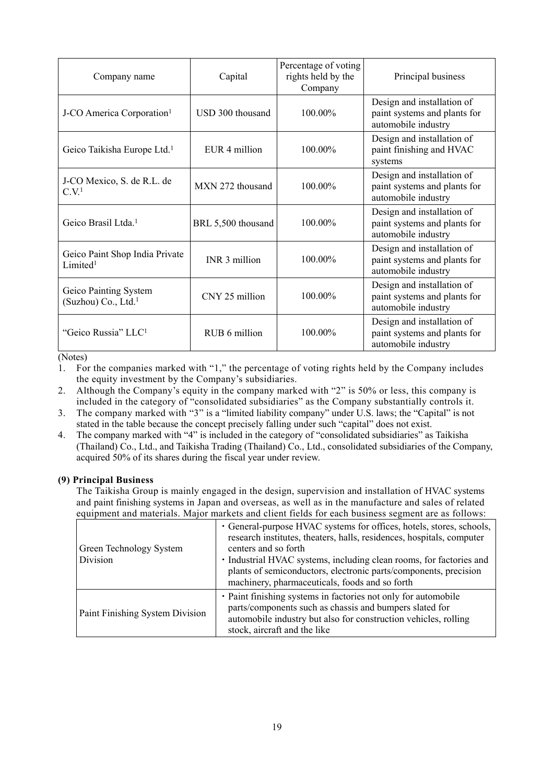| Company name                                             | Capital            | Percentage of voting<br>rights held by the<br>Company | Principal business                                                                |
|----------------------------------------------------------|--------------------|-------------------------------------------------------|-----------------------------------------------------------------------------------|
| J-CO America Corporation <sup>1</sup>                    | USD 300 thousand   | 100.00%                                               | Design and installation of<br>paint systems and plants for<br>automobile industry |
| Geico Taikisha Europe Ltd. <sup>1</sup>                  | EUR 4 million      | 100.00%                                               | Design and installation of<br>paint finishing and HVAC<br>systems                 |
| J-CO Mexico, S. de R.L. de<br>C.V <sup>1</sup>           | MXN 272 thousand   | 100.00%                                               | Design and installation of<br>paint systems and plants for<br>automobile industry |
| Geico Brasil Ltda. <sup>1</sup>                          | BRL 5,500 thousand | 100.00%                                               | Design and installation of<br>paint systems and plants for<br>automobile industry |
| Geico Paint Shop India Private<br>Limited <sup>1</sup>   | INR 3 million      | 100.00%                                               | Design and installation of<br>paint systems and plants for<br>automobile industry |
| Geico Painting System<br>(Suzhou) Co., Ltd. <sup>1</sup> | CNY 25 million     | 100.00%                                               | Design and installation of<br>paint systems and plants for<br>automobile industry |
| "Geico Russia" LLC <sup>1</sup>                          | RUB 6 million      | 100.00%                                               | Design and installation of<br>paint systems and plants for<br>automobile industry |

(Notes)

1. For the companies marked with "1," the percentage of voting rights held by the Company includes the equity investment by the Company's subsidiaries.

2. Although the Company's equity in the company marked with "2" is 50% or less, this company is included in the category of "consolidated subsidiaries" as the Company substantially controls it.

- 3. The company marked with "3" is a "limited liability company" under U.S. laws; the "Capital" is not stated in the table because the concept precisely falling under such "capital" does not exist.
- 4. The company marked with "4" is included in the category of "consolidated subsidiaries" as Taikisha (Thailand) Co., Ltd., and Taikisha Trading (Thailand) Co., Ltd., consolidated subsidiaries of the Company, acquired 50% of its shares during the fiscal year under review.

### **(9) Principal Business**

The Taikisha Group is mainly engaged in the design, supervision and installation of HVAC systems and paint finishing systems in Japan and overseas, as well as in the manufacture and sales of related equipment and materials. Major markets and client fields for each business segment are as follows:

| <u>oquiphiont und mutorums, niujor muritols und onont norus for ouon cusmoss sogniont uro us fono ws.</u> |                                                                                                                                                                                                                                                                                                                                                                    |  |  |
|-----------------------------------------------------------------------------------------------------------|--------------------------------------------------------------------------------------------------------------------------------------------------------------------------------------------------------------------------------------------------------------------------------------------------------------------------------------------------------------------|--|--|
| Green Technology System<br>Division                                                                       | • General-purpose HVAC systems for offices, hotels, stores, schools,<br>research institutes, theaters, halls, residences, hospitals, computer<br>centers and so forth<br>• Industrial HVAC systems, including clean rooms, for factories and<br>plants of semiconductors, electronic parts/components, precision<br>machinery, pharmaceuticals, foods and so forth |  |  |
| Paint Finishing System Division                                                                           | • Paint finishing systems in factories not only for automobile<br>parts/components such as chassis and bumpers slated for<br>automobile industry but also for construction vehicles, rolling<br>stock, aircraft and the like                                                                                                                                       |  |  |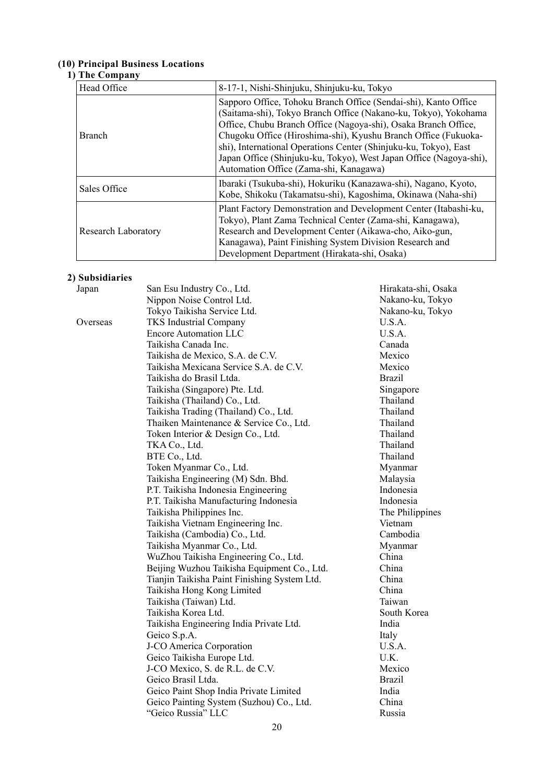#### **(10) Principal Business Locations**

## **1) The Company**

| Head Office                | 8-17-1, Nishi-Shinjuku, Shinjuku-ku, Tokyo                                                                                                                                                                                                                                                                                                                                                                                                                 |  |
|----------------------------|------------------------------------------------------------------------------------------------------------------------------------------------------------------------------------------------------------------------------------------------------------------------------------------------------------------------------------------------------------------------------------------------------------------------------------------------------------|--|
| <b>Branch</b>              | Sapporo Office, Tohoku Branch Office (Sendai-shi), Kanto Office<br>(Saitama-shi), Tokyo Branch Office (Nakano-ku, Tokyo), Yokohama<br>Office, Chubu Branch Office (Nagoya-shi), Osaka Branch Office,<br>Chugoku Office (Hiroshima-shi), Kyushu Branch Office (Fukuoka-<br>shi), International Operations Center (Shinjuku-ku, Tokyo), East<br>Japan Office (Shinjuku-ku, Tokyo), West Japan Office (Nagoya-shi),<br>Automation Office (Zama-shi, Kanagawa) |  |
| Sales Office               | Ibaraki (Tsukuba-shi), Hokuriku (Kanazawa-shi), Nagano, Kyoto,<br>Kobe, Shikoku (Takamatsu-shi), Kagoshima, Okinawa (Naha-shi)                                                                                                                                                                                                                                                                                                                             |  |
| <b>Research Laboratory</b> | Plant Factory Demonstration and Development Center (Itabashi-ku,<br>Tokyo), Plant Zama Technical Center (Zama-shi, Kanagawa),<br>Research and Development Center (Aikawa-cho, Aiko-gun,<br>Kanagawa), Paint Finishing System Division Research and<br>Development Department (Hirakata-shi, Osaka)                                                                                                                                                         |  |

# **2) Subsidiaries**

| Japan    | San Esu Industry Co., Ltd.                   | Hirakata-shi, Osaka |
|----------|----------------------------------------------|---------------------|
|          | Nippon Noise Control Ltd.                    | Nakano-ku, Tokyo    |
|          | Tokyo Taikisha Service Ltd.                  | Nakano-ku, Tokyo    |
| Overseas | <b>TKS</b> Industrial Company                | U.S.A.              |
|          | <b>Encore Automation LLC</b>                 | U.S.A.              |
|          | Taikisha Canada Inc.                         | Canada              |
|          | Taikisha de Mexico, S.A. de C.V.             | Mexico              |
|          | Taikisha Mexicana Service S.A. de C.V.       | Mexico              |
|          | Taikisha do Brasil Ltda.                     | <b>Brazil</b>       |
|          | Taikisha (Singapore) Pte. Ltd.               | Singapore           |
|          | Taikisha (Thailand) Co., Ltd.                | Thailand            |
|          | Taikisha Trading (Thailand) Co., Ltd.        | Thailand            |
|          | Thaiken Maintenance & Service Co., Ltd.      | Thailand            |
|          | Token Interior & Design Co., Ltd.            | Thailand            |
|          | TKA Co., Ltd.                                | Thailand            |
|          | BTE Co., Ltd.                                | Thailand            |
|          | Token Myanmar Co., Ltd.                      | Myanmar             |
|          | Taikisha Engineering (M) Sdn. Bhd.           | Malaysia            |
|          | P.T. Taikisha Indonesia Engineering          | Indonesia           |
|          | P.T. Taikisha Manufacturing Indonesia        | Indonesia           |
|          | Taikisha Philippines Inc.                    | The Philippines     |
|          | Taikisha Vietnam Engineering Inc.            | Vietnam             |
|          | Taikisha (Cambodia) Co., Ltd.                | Cambodia            |
|          | Taikisha Myanmar Co., Ltd.                   | Myanmar             |
|          | WuZhou Taikisha Engineering Co., Ltd.        | China               |
|          | Beijing Wuzhou Taikisha Equipment Co., Ltd.  | China               |
|          | Tianjin Taikisha Paint Finishing System Ltd. | China               |
|          | Taikisha Hong Kong Limited                   | China               |
|          | Taikisha (Taiwan) Ltd.                       | Taiwan              |
|          | Taikisha Korea Ltd.                          | South Korea         |
|          | Taikisha Engineering India Private Ltd.      | India               |
|          | Geico S.p.A.                                 | Italy               |
|          | J-CO America Corporation                     | U.S.A.              |
|          | Geico Taikisha Europe Ltd.                   | U.K.                |
|          | J-CO Mexico, S. de R.L. de C.V.              | Mexico              |
|          | Geico Brasil Ltda.                           | <b>Brazil</b>       |
|          | Geico Paint Shop India Private Limited       | India               |
|          | Geico Painting System (Suzhou) Co., Ltd.     | China               |
|          | "Geico Russia" LLC                           | Russia              |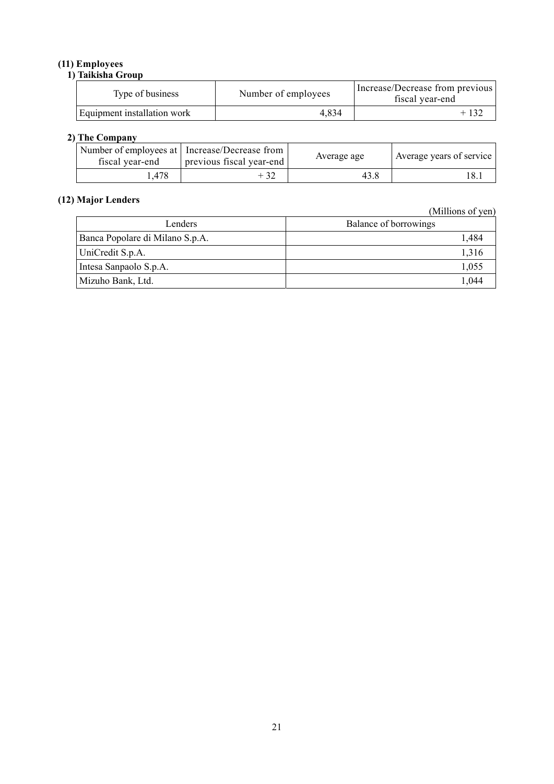# **(11) Employees**

# **1) Taikisha Group**  Type of business Number of employees Increase/Decrease from previous fiscal year-end Equipment installation work  $4,834$  + 132

#### **2) The Company**

| fiscal year-end | Number of employees at   Increase/Decrease from<br>previous fiscal year-end | Average age | Average years of service |
|-----------------|-----------------------------------------------------------------------------|-------------|--------------------------|
| . 478           |                                                                             | 43.8        | 18.1                     |

# **(12) Major Lenders**

(Millions of yen)

| Lenders                         | Balance of borrowings |
|---------------------------------|-----------------------|
| Banca Popolare di Milano S.p.A. | 1.484                 |
| UniCredit S.p.A.                | 1.316                 |
| Intesa Sanpaolo S.p.A.          | 1,055                 |
| Mizuho Bank, Ltd.               | 1.044                 |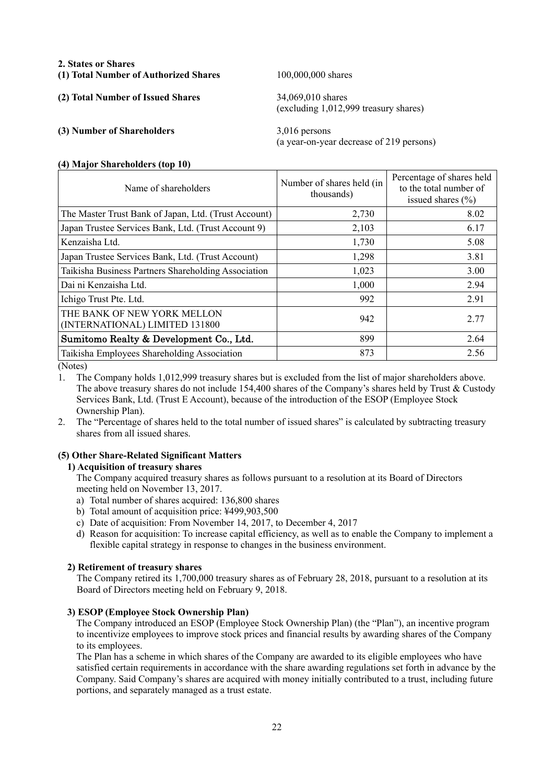#### **2. States or Shares**

**(1) Total Number of Authorized Shares** 100,000,000 shares

**(2) Total Number of Issued Shares** 34,069,010 shares

# **(3) Number of Shareholders** 3,016 persons

(excluding 1,012,999 treasury shares)

(a year-on-year decrease of 219 persons)

#### **(4) Major Shareholders (top 10)**

| Name of shareholders                                          | Number of shares held (in<br>thousands) | Percentage of shares held<br>to the total number of<br>issued shares $(\% )$ |
|---------------------------------------------------------------|-----------------------------------------|------------------------------------------------------------------------------|
| The Master Trust Bank of Japan, Ltd. (Trust Account)          | 2,730                                   | 8.02                                                                         |
| Japan Trustee Services Bank, Ltd. (Trust Account 9)           | 2,103                                   | 6.17                                                                         |
| Kenzaisha Ltd.                                                | 1,730                                   | 5.08                                                                         |
| Japan Trustee Services Bank, Ltd. (Trust Account)             | 1,298                                   | 3.81                                                                         |
| Taikisha Business Partners Shareholding Association           | 1,023                                   | 3.00                                                                         |
| Dai ni Kenzaisha Ltd.                                         | 1,000                                   | 2.94                                                                         |
| Ichigo Trust Pte. Ltd.                                        | 992                                     | 2.91                                                                         |
| THE BANK OF NEW YORK MELLON<br>(INTERNATIONAL) LIMITED 131800 | 942                                     | 2.77                                                                         |
| Sumitomo Realty & Development Co., Ltd.                       | 899                                     | 2.64                                                                         |
| Taikisha Employees Shareholding Association                   | 873                                     | 2.56                                                                         |

(Notes)

1. The Company holds 1,012,999 treasury shares but is excluded from the list of major shareholders above. The above treasury shares do not include 154,400 shares of the Company's shares held by Trust & Custody Services Bank, Ltd. (Trust E Account), because of the introduction of the ESOP (Employee Stock Ownership Plan).

2. The "Percentage of shares held to the total number of issued shares" is calculated by subtracting treasury shares from all issued shares.

## **(5) Other Share-Related Significant Matters**

## **1) Acquisition of treasury shares**

The Company acquired treasury shares as follows pursuant to a resolution at its Board of Directors meeting held on November 13, 2017.

- a) Total number of shares acquired: 136,800 shares
- b) Total amount of acquisition price: ¥499,903,500
- c) Date of acquisition: From November 14, 2017, to December 4, 2017
- d) Reason for acquisition: To increase capital efficiency, as well as to enable the Company to implement a flexible capital strategy in response to changes in the business environment.

#### **2) Retirement of treasury shares**

The Company retired its 1,700,000 treasury shares as of February 28, 2018, pursuant to a resolution at its Board of Directors meeting held on February 9, 2018.

### **3) ESOP (Employee Stock Ownership Plan)**

The Company introduced an ESOP (Employee Stock Ownership Plan) (the "Plan"), an incentive program to incentivize employees to improve stock prices and financial results by awarding shares of the Company to its employees.

The Plan has a scheme in which shares of the Company are awarded to its eligible employees who have satisfied certain requirements in accordance with the share awarding regulations set forth in advance by the Company. Said Company's shares are acquired with money initially contributed to a trust, including future portions, and separately managed as a trust estate.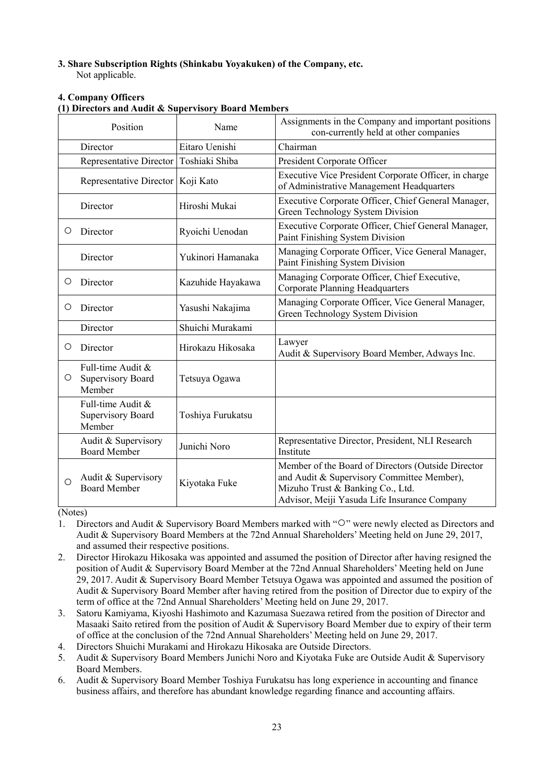# **3. Share Subscription Rights (Shinkabu Yoyakuken) of the Company, etc.**

Not applicable.

## **4. Company Officers**

#### **(1) Directors and Audit & Supervisory Board Members**

| Position |                                                  | Name              | Assignments in the Company and important positions<br>con-currently held at other companies                                                                                          |
|----------|--------------------------------------------------|-------------------|--------------------------------------------------------------------------------------------------------------------------------------------------------------------------------------|
| Director |                                                  | Eitaro Uenishi    | Chairman                                                                                                                                                                             |
|          | Representative Director                          | Toshiaki Shiba    | President Corporate Officer                                                                                                                                                          |
|          | Representative Director   Koji Kato              |                   | Executive Vice President Corporate Officer, in charge<br>of Administrative Management Headquarters                                                                                   |
|          | Director                                         | Hiroshi Mukai     | Executive Corporate Officer, Chief General Manager,<br>Green Technology System Division                                                                                              |
| O        | Director                                         | Ryoichi Uenodan   | Executive Corporate Officer, Chief General Manager,<br>Paint Finishing System Division                                                                                               |
|          | Director                                         | Yukinori Hamanaka | Managing Corporate Officer, Vice General Manager,<br>Paint Finishing System Division                                                                                                 |
| O        | Director                                         | Kazuhide Hayakawa | Managing Corporate Officer, Chief Executive,<br><b>Corporate Planning Headquarters</b>                                                                                               |
| О        | Director                                         | Yasushi Nakajima  | Managing Corporate Officer, Vice General Manager,<br>Green Technology System Division                                                                                                |
|          | Director                                         | Shuichi Murakami  |                                                                                                                                                                                      |
| $\circ$  | Director                                         | Hirokazu Hikosaka | Lawyer<br>Audit & Supervisory Board Member, Adways Inc.                                                                                                                              |
| O        | Full-time Audit &<br>Supervisory Board<br>Member | Tetsuya Ogawa     |                                                                                                                                                                                      |
|          | Full-time Audit &<br>Supervisory Board<br>Member | Toshiya Furukatsu |                                                                                                                                                                                      |
|          | Audit & Supervisory<br><b>Board Member</b>       | Junichi Noro      | Representative Director, President, NLI Research<br>Institute                                                                                                                        |
| Ο        | Audit & Supervisory<br><b>Board Member</b>       | Kiyotaka Fuke     | Member of the Board of Directors (Outside Director<br>and Audit & Supervisory Committee Member),<br>Mizuho Trust & Banking Co., Ltd.<br>Advisor, Meiji Yasuda Life Insurance Company |

(Notes)

- 1. Directors and Audit & Supervisory Board Members marked with "○" were newly elected as Directors and Audit & Supervisory Board Members at the 72nd Annual Shareholders' Meeting held on June 29, 2017, and assumed their respective positions.
- 2. Director Hirokazu Hikosaka was appointed and assumed the position of Director after having resigned the position of Audit & Supervisory Board Member at the 72nd Annual Shareholders' Meeting held on June 29, 2017. Audit & Supervisory Board Member Tetsuya Ogawa was appointed and assumed the position of Audit & Supervisory Board Member after having retired from the position of Director due to expiry of the term of office at the 72nd Annual Shareholders' Meeting held on June 29, 2017.
- 3. Satoru Kamiyama, Kiyoshi Hashimoto and Kazumasa Suezawa retired from the position of Director and Masaaki Saito retired from the position of Audit & Supervisory Board Member due to expiry of their term of office at the conclusion of the 72nd Annual Shareholders' Meeting held on June 29, 2017.
- 4. Directors Shuichi Murakami and Hirokazu Hikosaka are Outside Directors.
- 5. Audit & Supervisory Board Members Junichi Noro and Kiyotaka Fuke are Outside Audit & Supervisory Board Members.
- 6. Audit & Supervisory Board Member Toshiya Furukatsu has long experience in accounting and finance business affairs, and therefore has abundant knowledge regarding finance and accounting affairs.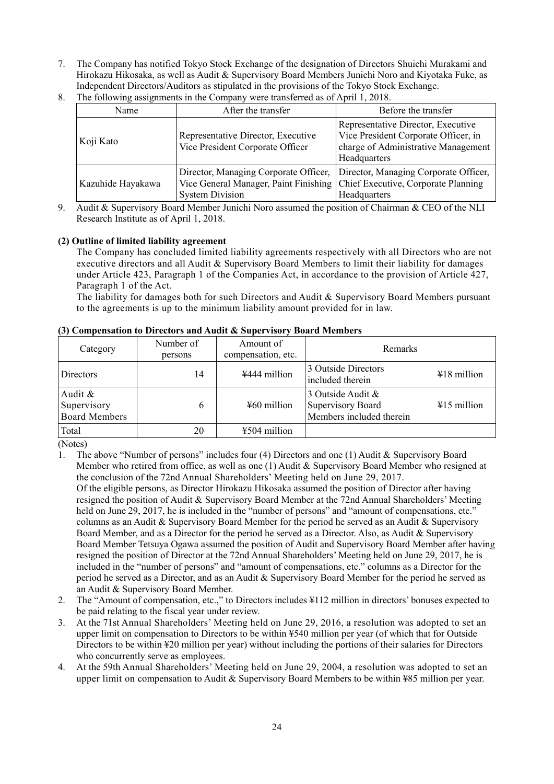7. The Company has notified Tokyo Stock Exchange of the designation of Directors Shuichi Murakami and Hirokazu Hikosaka, as well as Audit & Supervisory Board Members Junichi Noro and Kiyotaka Fuke, as Independent Directors/Auditors as stipulated in the provisions of the Tokyo Stock Exchange.

| Name              | After the transfer                                                                                                                           | Before the transfer                                                                                                               |
|-------------------|----------------------------------------------------------------------------------------------------------------------------------------------|-----------------------------------------------------------------------------------------------------------------------------------|
| Koji Kato         | Representative Director, Executive<br>Vice President Corporate Officer                                                                       | Representative Director, Executive<br>Vice President Corporate Officer, in<br>charge of Administrative Management<br>Headquarters |
| Kazuhide Hayakawa | Director, Managing Corporate Officer,<br>Vice General Manager, Paint Finishing Chief Executive, Corporate Planning<br><b>System Division</b> | Director, Managing Corporate Officer,<br>Headquarters                                                                             |

8. The following assignments in the Company were transferred as of April 1, 2018.

9. Audit & Supervisory Board Member Junichi Noro assumed the position of Chairman & CEO of the NLI Research Institute as of April 1, 2018.

### **(2) Outline of limited liability agreement**

The Company has concluded limited liability agreements respectively with all Directors who are not executive directors and all Audit & Supervisory Board Members to limit their liability for damages under Article 423, Paragraph 1 of the Companies Act, in accordance to the provision of Article 427, Paragraph 1 of the Act.

The liability for damages both for such Directors and Audit & Supervisory Board Members pursuant to the agreements is up to the minimum liability amount provided for in law.

|                                                |                      | $\mathcal{O}$ compensation to DH ectors and Rudit $\alpha$ super visor $j$ Doard Members |                                                                    |               |
|------------------------------------------------|----------------------|------------------------------------------------------------------------------------------|--------------------------------------------------------------------|---------------|
| Category                                       | Number of<br>persons | Amount of<br>compensation, etc.                                                          | Remarks                                                            |               |
| Directors                                      | 14                   | ¥444 million                                                                             | 3 Outside Directors<br>included therein                            | $418$ million |
| Audit &<br>Supervisory<br><b>Board Members</b> | 6                    | $460$ million                                                                            | 3 Outside Audit &<br>Supervisory Board<br>Members included therein | $415$ million |
| Total                                          | 20                   | ¥504 million                                                                             |                                                                    |               |

#### **(3) Compensation to Directors and Audit & Supervisory Board Members**

(Notes)

1. The above "Number of persons" includes four (4) Directors and one (1) Audit & Supervisory Board Member who retired from office, as well as one (1) Audit & Supervisory Board Member who resigned at the conclusion of the 72nd Annual Shareholders' Meeting held on June 29, 2017.

Of the eligible persons, as Director Hirokazu Hikosaka assumed the position of Director after having resigned the position of Audit & Supervisory Board Member at the 72nd Annual Shareholders' Meeting held on June 29, 2017, he is included in the "number of persons" and "amount of compensations, etc." columns as an Audit & Supervisory Board Member for the period he served as an Audit & Supervisory Board Member, and as a Director for the period he served as a Director. Also, as Audit & Supervisory Board Member Tetsuya Ogawa assumed the position of Audit and Supervisory Board Member after having resigned the position of Director at the 72nd Annual Shareholders' Meeting held on June 29, 2017, he is included in the "number of persons" and "amount of compensations, etc." columns as a Director for the period he served as a Director, and as an Audit & Supervisory Board Member for the period he served as an Audit & Supervisory Board Member.

- 2. The "Amount of compensation, etc.," to Directors includes ¥112 million in directors' bonuses expected to be paid relating to the fiscal year under review.
- 3. At the 71st Annual Shareholders' Meeting held on June 29, 2016, a resolution was adopted to set an upper limit on compensation to Directors to be within ¥540 million per year (of which that for Outside Directors to be within ¥20 million per year) without including the portions of their salaries for Directors who concurrently serve as employees.
- 4. At the 59th Annual Shareholders' Meeting held on June 29, 2004, a resolution was adopted to set an upper limit on compensation to Audit & Supervisory Board Members to be within ¥85 million per year.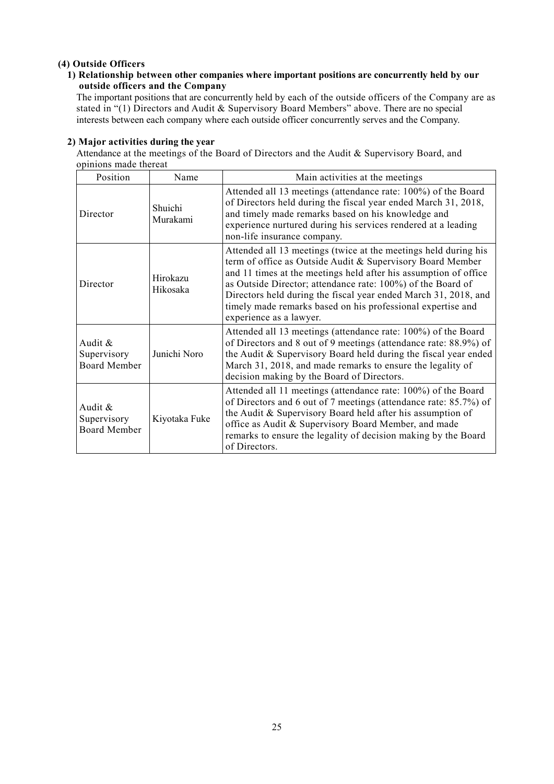## **(4) Outside Officers**

### **1) Relationship between other companies where important positions are concurrently held by our outside officers and the Company**

The important positions that are concurrently held by each of the outside officers of the Company are as stated in "(1) Directors and Audit & Supervisory Board Members" above. There are no special interests between each company where each outside officer concurrently serves and the Company.

#### **2) Major activities during the year**

Attendance at the meetings of the Board of Directors and the Audit & Supervisory Board, and opinions made thereat

| Position                                      | Name                 | Main activities at the meetings                                                                                                                                                                                                                                                                                                                                                                                               |
|-----------------------------------------------|----------------------|-------------------------------------------------------------------------------------------------------------------------------------------------------------------------------------------------------------------------------------------------------------------------------------------------------------------------------------------------------------------------------------------------------------------------------|
| Director                                      | Shuichi<br>Murakami  | Attended all 13 meetings (attendance rate: 100%) of the Board<br>of Directors held during the fiscal year ended March 31, 2018,<br>and timely made remarks based on his knowledge and<br>experience nurtured during his services rendered at a leading<br>non-life insurance company.                                                                                                                                         |
| Director                                      | Hirokazu<br>Hikosaka | Attended all 13 meetings (twice at the meetings held during his<br>term of office as Outside Audit & Supervisory Board Member<br>and 11 times at the meetings held after his assumption of office<br>as Outside Director; attendance rate: 100%) of the Board of<br>Directors held during the fiscal year ended March 31, 2018, and<br>timely made remarks based on his professional expertise and<br>experience as a lawyer. |
| Audit &<br>Supervisory<br><b>Board Member</b> | Junichi Noro         | Attended all 13 meetings (attendance rate: 100%) of the Board<br>of Directors and 8 out of 9 meetings (attendance rate: 88.9%) of<br>the Audit & Supervisory Board held during the fiscal year ended<br>March 31, 2018, and made remarks to ensure the legality of<br>decision making by the Board of Directors.                                                                                                              |
| Audit &<br>Supervisory<br><b>Board Member</b> | Kiyotaka Fuke        | Attended all 11 meetings (attendance rate: 100%) of the Board<br>of Directors and 6 out of 7 meetings (attendance rate: 85.7%) of<br>the Audit & Supervisory Board held after his assumption of<br>office as Audit & Supervisory Board Member, and made<br>remarks to ensure the legality of decision making by the Board<br>of Directors.                                                                                    |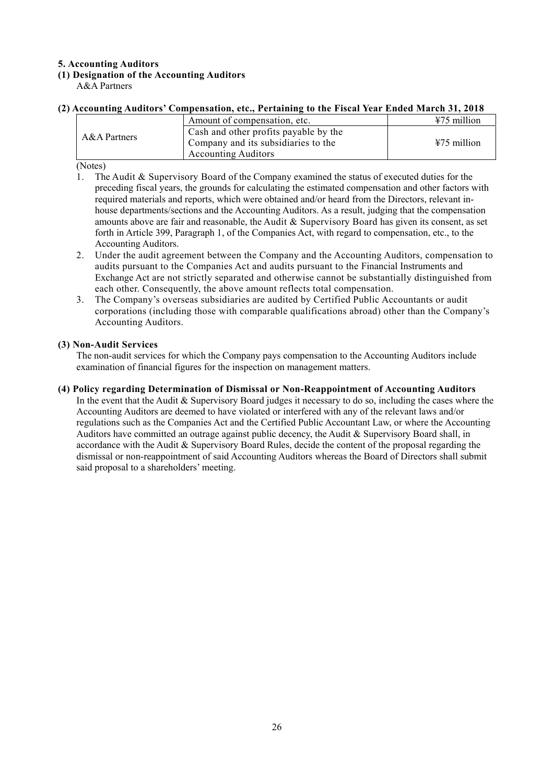## **5. Accounting Auditors**

## **(1) Designation of the Accounting Auditors**

A&A Partners

## **(2) Accounting Auditors' Compensation, etc., Pertaining to the Fiscal Year Ended March 31, 2018**

|                | Amount of compensation, etc.                                                 | $\frac{1275}{120}$ million |
|----------------|------------------------------------------------------------------------------|----------------------------|
| $A&A$ Partners | Cash and other profits payable by the<br>Company and its subsidiaries to the | $475$ million              |
|                | <b>Accounting Auditors</b>                                                   |                            |

(Notes)

- 1. The Audit & Supervisory Board of the Company examined the status of executed duties for the preceding fiscal years, the grounds for calculating the estimated compensation and other factors with required materials and reports, which were obtained and/or heard from the Directors, relevant inhouse departments/sections and the Accounting Auditors. As a result, judging that the compensation amounts above are fair and reasonable, the Audit & Supervisory Board has given its consent, as set forth in Article 399, Paragraph 1, of the Companies Act, with regard to compensation, etc., to the Accounting Auditors.
- 2. Under the audit agreement between the Company and the Accounting Auditors, compensation to audits pursuant to the Companies Act and audits pursuant to the Financial Instruments and Exchange Act are not strictly separated and otherwise cannot be substantially distinguished from each other. Consequently, the above amount reflects total compensation.
- 3. The Company's overseas subsidiaries are audited by Certified Public Accountants or audit corporations (including those with comparable qualifications abroad) other than the Company's Accounting Auditors.

### **(3) Non-Audit Services**

The non-audit services for which the Company pays compensation to the Accounting Auditors include examination of financial figures for the inspection on management matters.

#### **(4) Policy regarding Determination of Dismissal or Non-Reappointment of Accounting Auditors**

In the event that the Audit & Supervisory Board judges it necessary to do so, including the cases where the Accounting Auditors are deemed to have violated or interfered with any of the relevant laws and/or regulations such as the Companies Act and the Certified Public Accountant Law, or where the Accounting Auditors have committed an outrage against public decency, the Audit & Supervisory Board shall, in accordance with the Audit & Supervisory Board Rules, decide the content of the proposal regarding the dismissal or non-reappointment of said Accounting Auditors whereas the Board of Directors shall submit said proposal to a shareholders' meeting.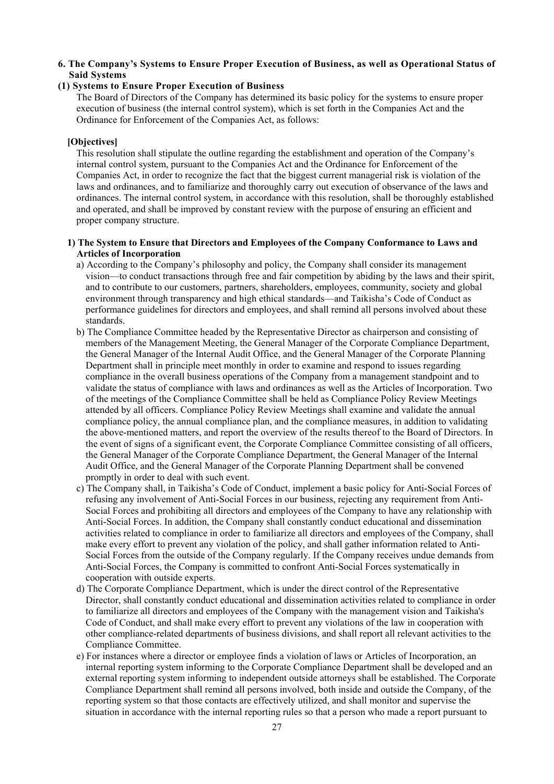#### **6. The Company's Systems to Ensure Proper Execution of Business, as well as Operational Status of Said Systems**

#### **(1) Systems to Ensure Proper Execution of Business**

The Board of Directors of the Company has determined its basic policy for the systems to ensure proper execution of business (the internal control system), which is set forth in the Companies Act and the Ordinance for Enforcement of the Companies Act, as follows:

#### **[Objectives]**

This resolution shall stipulate the outline regarding the establishment and operation of the Company's internal control system, pursuant to the Companies Act and the Ordinance for Enforcement of the Companies Act, in order to recognize the fact that the biggest current managerial risk is violation of the laws and ordinances, and to familiarize and thoroughly carry out execution of observance of the laws and ordinances. The internal control system, in accordance with this resolution, shall be thoroughly established and operated, and shall be improved by constant review with the purpose of ensuring an efficient and proper company structure.

#### **1) The System to Ensure that Directors and Employees of the Company Conformance to Laws and Articles of Incorporation**

- a) According to the Company's philosophy and policy, the Company shall consider its management vision—to conduct transactions through free and fair competition by abiding by the laws and their spirit, and to contribute to our customers, partners, shareholders, employees, community, society and global environment through transparency and high ethical standards—and Taikisha's Code of Conduct as performance guidelines for directors and employees, and shall remind all persons involved about these standards.
- b) The Compliance Committee headed by the Representative Director as chairperson and consisting of members of the Management Meeting, the General Manager of the Corporate Compliance Department, the General Manager of the Internal Audit Office, and the General Manager of the Corporate Planning Department shall in principle meet monthly in order to examine and respond to issues regarding compliance in the overall business operations of the Company from a management standpoint and to validate the status of compliance with laws and ordinances as well as the Articles of Incorporation. Two of the meetings of the Compliance Committee shall be held as Compliance Policy Review Meetings attended by all officers. Compliance Policy Review Meetings shall examine and validate the annual compliance policy, the annual compliance plan, and the compliance measures, in addition to validating the above-mentioned matters, and report the overview of the results thereof to the Board of Directors. In the event of signs of a significant event, the Corporate Compliance Committee consisting of all officers, the General Manager of the Corporate Compliance Department, the General Manager of the Internal Audit Office, and the General Manager of the Corporate Planning Department shall be convened promptly in order to deal with such event.
- c) The Company shall, in Taikisha's Code of Conduct, implement a basic policy for Anti-Social Forces of refusing any involvement of Anti-Social Forces in our business, rejecting any requirement from Anti-Social Forces and prohibiting all directors and employees of the Company to have any relationship with Anti-Social Forces. In addition, the Company shall constantly conduct educational and dissemination activities related to compliance in order to familiarize all directors and employees of the Company, shall make every effort to prevent any violation of the policy, and shall gather information related to Anti-Social Forces from the outside of the Company regularly. If the Company receives undue demands from Anti-Social Forces, the Company is committed to confront Anti-Social Forces systematically in cooperation with outside experts.
- d) The Corporate Compliance Department, which is under the direct control of the Representative Director, shall constantly conduct educational and dissemination activities related to compliance in order to familiarize all directors and employees of the Company with the management vision and Taikisha's Code of Conduct, and shall make every effort to prevent any violations of the law in cooperation with other compliance-related departments of business divisions, and shall report all relevant activities to the Compliance Committee.
- e) For instances where a director or employee finds a violation of laws or Articles of Incorporation, an internal reporting system informing to the Corporate Compliance Department shall be developed and an external reporting system informing to independent outside attorneys shall be established. The Corporate Compliance Department shall remind all persons involved, both inside and outside the Company, of the reporting system so that those contacts are effectively utilized, and shall monitor and supervise the situation in accordance with the internal reporting rules so that a person who made a report pursuant to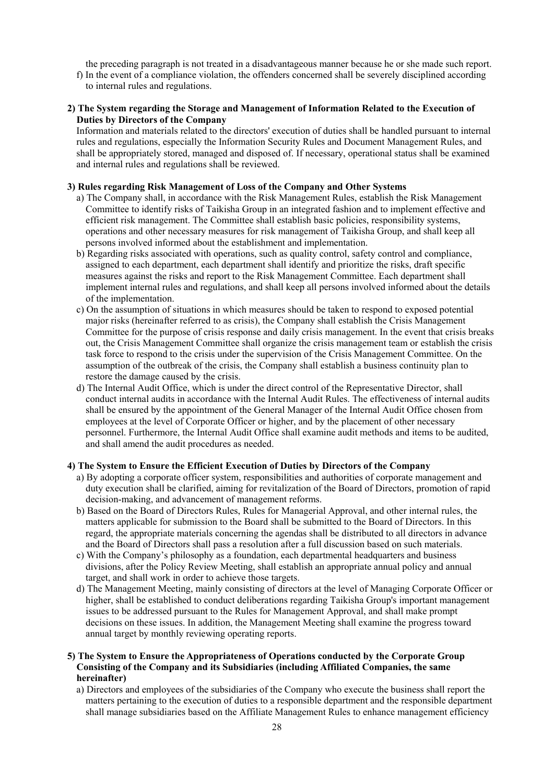the preceding paragraph is not treated in a disadvantageous manner because he or she made such report.

f) In the event of a compliance violation, the offenders concerned shall be severely disciplined according to internal rules and regulations.

#### **2) The System regarding the Storage and Management of Information Related to the Execution of Duties by Directors of the Company**

Information and materials related to the directors' execution of duties shall be handled pursuant to internal rules and regulations, especially the Information Security Rules and Document Management Rules, and shall be appropriately stored, managed and disposed of. If necessary, operational status shall be examined and internal rules and regulations shall be reviewed.

#### **3) Rules regarding Risk Management of Loss of the Company and Other Systems**

- a) The Company shall, in accordance with the Risk Management Rules, establish the Risk Management Committee to identify risks of Taikisha Group in an integrated fashion and to implement effective and efficient risk management. The Committee shall establish basic policies, responsibility systems, operations and other necessary measures for risk management of Taikisha Group, and shall keep all persons involved informed about the establishment and implementation.
- b) Regarding risks associated with operations, such as quality control, safety control and compliance, assigned to each department, each department shall identify and prioritize the risks, draft specific measures against the risks and report to the Risk Management Committee. Each department shall implement internal rules and regulations, and shall keep all persons involved informed about the details of the implementation.
- c) On the assumption of situations in which measures should be taken to respond to exposed potential major risks (hereinafter referred to as crisis), the Company shall establish the Crisis Management Committee for the purpose of crisis response and daily crisis management. In the event that crisis breaks out, the Crisis Management Committee shall organize the crisis management team or establish the crisis task force to respond to the crisis under the supervision of the Crisis Management Committee. On the assumption of the outbreak of the crisis, the Company shall establish a business continuity plan to restore the damage caused by the crisis.
- d) The Internal Audit Office, which is under the direct control of the Representative Director, shall conduct internal audits in accordance with the Internal Audit Rules. The effectiveness of internal audits shall be ensured by the appointment of the General Manager of the Internal Audit Office chosen from employees at the level of Corporate Officer or higher, and by the placement of other necessary personnel. Furthermore, the Internal Audit Office shall examine audit methods and items to be audited, and shall amend the audit procedures as needed.

#### **4) The System to Ensure the Efficient Execution of Duties by Directors of the Company**

- a) By adopting a corporate officer system, responsibilities and authorities of corporate management and duty execution shall be clarified, aiming for revitalization of the Board of Directors, promotion of rapid decision-making, and advancement of management reforms.
- b) Based on the Board of Directors Rules, Rules for Managerial Approval, and other internal rules, the matters applicable for submission to the Board shall be submitted to the Board of Directors. In this regard, the appropriate materials concerning the agendas shall be distributed to all directors in advance and the Board of Directors shall pass a resolution after a full discussion based on such materials.
- c) With the Company's philosophy as a foundation, each departmental headquarters and business divisions, after the Policy Review Meeting, shall establish an appropriate annual policy and annual target, and shall work in order to achieve those targets.
- d) The Management Meeting, mainly consisting of directors at the level of Managing Corporate Officer or higher, shall be established to conduct deliberations regarding Taikisha Group's important management issues to be addressed pursuant to the Rules for Management Approval, and shall make prompt decisions on these issues. In addition, the Management Meeting shall examine the progress toward annual target by monthly reviewing operating reports.

#### **5) The System to Ensure the Appropriateness of Operations conducted by the Corporate Group Consisting of the Company and its Subsidiaries (including Affiliated Companies, the same hereinafter)**

a) Directors and employees of the subsidiaries of the Company who execute the business shall report the matters pertaining to the execution of duties to a responsible department and the responsible department shall manage subsidiaries based on the Affiliate Management Rules to enhance management efficiency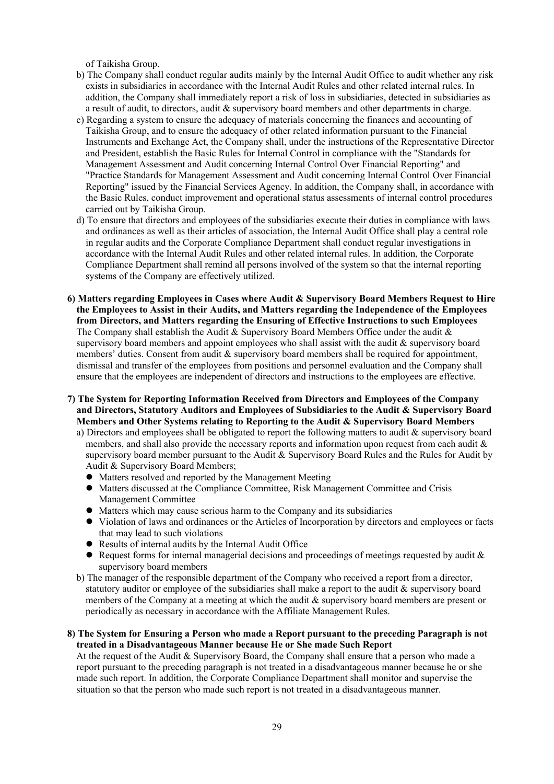of Taikisha Group.

- b) The Company shall conduct regular audits mainly by the Internal Audit Office to audit whether any risk exists in subsidiaries in accordance with the Internal Audit Rules and other related internal rules. In addition, the Company shall immediately report a risk of loss in subsidiaries, detected in subsidiaries as a result of audit, to directors, audit & supervisory board members and other departments in charge.
- c) Regarding a system to ensure the adequacy of materials concerning the finances and accounting of Taikisha Group, and to ensure the adequacy of other related information pursuant to the Financial Instruments and Exchange Act, the Company shall, under the instructions of the Representative Director and President, establish the Basic Rules for Internal Control in compliance with the "Standards for Management Assessment and Audit concerning Internal Control Over Financial Reporting" and "Practice Standards for Management Assessment and Audit concerning Internal Control Over Financial Reporting" issued by the Financial Services Agency. In addition, the Company shall, in accordance with the Basic Rules, conduct improvement and operational status assessments of internal control procedures carried out by Taikisha Group.
- d) To ensure that directors and employees of the subsidiaries execute their duties in compliance with laws and ordinances as well as their articles of association, the Internal Audit Office shall play a central role in regular audits and the Corporate Compliance Department shall conduct regular investigations in accordance with the Internal Audit Rules and other related internal rules. In addition, the Corporate Compliance Department shall remind all persons involved of the system so that the internal reporting systems of the Company are effectively utilized.
- **6) Matters regarding Employees in Cases where Audit & Supervisory Board Members Request to Hire the Employees to Assist in their Audits, and Matters regarding the Independence of the Employees from Directors, and Matters regarding the Ensuring of Effective Instructions to such Employees**  The Company shall establish the Audit & Supervisory Board Members Office under the audit  $\&$ supervisory board members and appoint employees who shall assist with the audit & supervisory board members' duties. Consent from audit & supervisory board members shall be required for appointment, dismissal and transfer of the employees from positions and personnel evaluation and the Company shall ensure that the employees are independent of directors and instructions to the employees are effective.
- **7) The System for Reporting Information Received from Directors and Employees of the Company and Directors, Statutory Auditors and Employees of Subsidiaries to the Audit & Supervisory Board Members and Other Systems relating to Reporting to the Audit & Supervisory Board Members** 
	- a) Directors and employees shall be obligated to report the following matters to audit & supervisory board members, and shall also provide the necessary reports and information upon request from each audit & supervisory board member pursuant to the Audit & Supervisory Board Rules and the Rules for Audit by Audit & Supervisory Board Members;
		- Matters resolved and reported by the Management Meeting
		- Matters discussed at the Compliance Committee, Risk Management Committee and Crisis Management Committee
		- Matters which may cause serious harm to the Company and its subsidiaries
		- Violation of laws and ordinances or the Articles of Incorporation by directors and employees or facts that may lead to such violations
		- Results of internal audits by the Internal Audit Office
		- Request forms for internal managerial decisions and proceedings of meetings requested by audit & supervisory board members
	- b) The manager of the responsible department of the Company who received a report from a director, statutory auditor or employee of the subsidiaries shall make a report to the audit & supervisory board members of the Company at a meeting at which the audit & supervisory board members are present or periodically as necessary in accordance with the Affiliate Management Rules.

#### **8) The System for Ensuring a Person who made a Report pursuant to the preceding Paragraph is not treated in a Disadvantageous Manner because He or She made Such Report**

At the request of the Audit & Supervisory Board, the Company shall ensure that a person who made a report pursuant to the preceding paragraph is not treated in a disadvantageous manner because he or she made such report. In addition, the Corporate Compliance Department shall monitor and supervise the situation so that the person who made such report is not treated in a disadvantageous manner.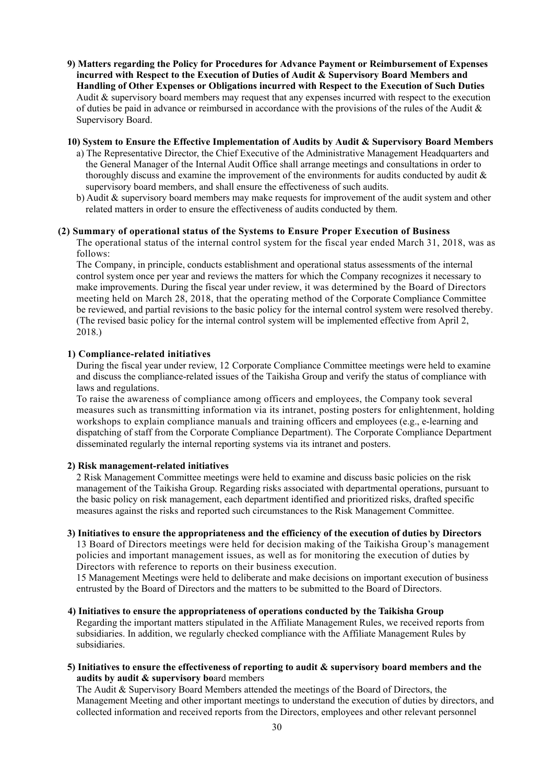**9) Matters regarding the Policy for Procedures for Advance Payment or Reimbursement of Expenses incurred with Respect to the Execution of Duties of Audit & Supervisory Board Members and Handling of Other Expenses or Obligations incurred with Respect to the Execution of Such Duties**  Audit & supervisory board members may request that any expenses incurred with respect to the execution of duties be paid in advance or reimbursed in accordance with the provisions of the rules of the Audit & Supervisory Board.

#### **10) System to Ensure the Effective Implementation of Audits by Audit & Supervisory Board Members**

- a) The Representative Director, the Chief Executive of the Administrative Management Headquarters and the General Manager of the Internal Audit Office shall arrange meetings and consultations in order to thoroughly discuss and examine the improvement of the environments for audits conducted by audit & supervisory board members, and shall ensure the effectiveness of such audits.
- b) Audit & supervisory board members may make requests for improvement of the audit system and other related matters in order to ensure the effectiveness of audits conducted by them.

#### **(2) Summary of operational status of the Systems to Ensure Proper Execution of Business**

The operational status of the internal control system for the fiscal year ended March 31, 2018, was as follows:

The Company, in principle, conducts establishment and operational status assessments of the internal control system once per year and reviews the matters for which the Company recognizes it necessary to make improvements. During the fiscal year under review, it was determined by the Board of Directors meeting held on March 28, 2018, that the operating method of the Corporate Compliance Committee be reviewed, and partial revisions to the basic policy for the internal control system were resolved thereby. (The revised basic policy for the internal control system will be implemented effective from April 2, 2018.)

#### **1) Compliance-related initiatives**

During the fiscal year under review, 12 Corporate Compliance Committee meetings were held to examine and discuss the compliance-related issues of the Taikisha Group and verify the status of compliance with laws and regulations.

To raise the awareness of compliance among officers and employees, the Company took several measures such as transmitting information via its intranet, posting posters for enlightenment, holding workshops to explain compliance manuals and training officers and employees (e.g., e-learning and dispatching of staff from the Corporate Compliance Department). The Corporate Compliance Department disseminated regularly the internal reporting systems via its intranet and posters.

#### **2) Risk management-related initiatives**

2 Risk Management Committee meetings were held to examine and discuss basic policies on the risk management of the Taikisha Group. Regarding risks associated with departmental operations, pursuant to the basic policy on risk management, each department identified and prioritized risks, drafted specific measures against the risks and reported such circumstances to the Risk Management Committee.

#### **3) Initiatives to ensure the appropriateness and the efficiency of the execution of duties by Directors**

13 Board of Directors meetings were held for decision making of the Taikisha Group's management policies and important management issues, as well as for monitoring the execution of duties by Directors with reference to reports on their business execution.

15 Management Meetings were held to deliberate and make decisions on important execution of business entrusted by the Board of Directors and the matters to be submitted to the Board of Directors.

#### **4) Initiatives to ensure the appropriateness of operations conducted by the Taikisha Group**

Regarding the important matters stipulated in the Affiliate Management Rules, we received reports from subsidiaries. In addition, we regularly checked compliance with the Affiliate Management Rules by subsidiaries.

**5) Initiatives to ensure the effectiveness of reporting to audit & supervisory board members and the audits by audit & supervisory bo**ard members

The Audit & Supervisory Board Members attended the meetings of the Board of Directors, the Management Meeting and other important meetings to understand the execution of duties by directors, and collected information and received reports from the Directors, employees and other relevant personnel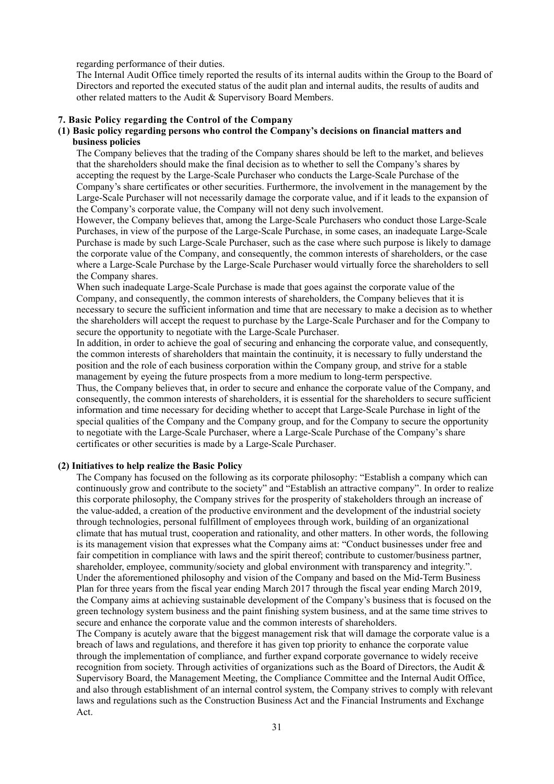regarding performance of their duties.

The Internal Audit Office timely reported the results of its internal audits within the Group to the Board of Directors and reported the executed status of the audit plan and internal audits, the results of audits and other related matters to the Audit & Supervisory Board Members.

#### **7. Basic Policy regarding the Control of the Company**

#### **(1) Basic policy regarding persons who control the Company's decisions on financial matters and business policies**

The Company believes that the trading of the Company shares should be left to the market, and believes that the shareholders should make the final decision as to whether to sell the Company's shares by accepting the request by the Large-Scale Purchaser who conducts the Large-Scale Purchase of the Company's share certificates or other securities. Furthermore, the involvement in the management by the Large-Scale Purchaser will not necessarily damage the corporate value, and if it leads to the expansion of the Company's corporate value, the Company will not deny such involvement.

However, the Company believes that, among the Large-Scale Purchasers who conduct those Large-Scale Purchases, in view of the purpose of the Large-Scale Purchase, in some cases, an inadequate Large-Scale Purchase is made by such Large-Scale Purchaser, such as the case where such purpose is likely to damage the corporate value of the Company, and consequently, the common interests of shareholders, or the case where a Large-Scale Purchase by the Large-Scale Purchaser would virtually force the shareholders to sell the Company shares.

When such inadequate Large-Scale Purchase is made that goes against the corporate value of the Company, and consequently, the common interests of shareholders, the Company believes that it is necessary to secure the sufficient information and time that are necessary to make a decision as to whether the shareholders will accept the request to purchase by the Large-Scale Purchaser and for the Company to secure the opportunity to negotiate with the Large-Scale Purchaser.

In addition, in order to achieve the goal of securing and enhancing the corporate value, and consequently, the common interests of shareholders that maintain the continuity, it is necessary to fully understand the position and the role of each business corporation within the Company group, and strive for a stable management by eyeing the future prospects from a more medium to long-term perspective.

Thus, the Company believes that, in order to secure and enhance the corporate value of the Company, and consequently, the common interests of shareholders, it is essential for the shareholders to secure sufficient information and time necessary for deciding whether to accept that Large-Scale Purchase in light of the special qualities of the Company and the Company group, and for the Company to secure the opportunity to negotiate with the Large-Scale Purchaser, where a Large-Scale Purchase of the Company's share certificates or other securities is made by a Large-Scale Purchaser.

#### **(2) Initiatives to help realize the Basic Policy**

The Company has focused on the following as its corporate philosophy: "Establish a company which can continuously grow and contribute to the society" and "Establish an attractive company". In order to realize this corporate philosophy, the Company strives for the prosperity of stakeholders through an increase of the value-added, a creation of the productive environment and the development of the industrial society through technologies, personal fulfillment of employees through work, building of an organizational climate that has mutual trust, cooperation and rationality, and other matters. In other words, the following is its management vision that expresses what the Company aims at: "Conduct businesses under free and fair competition in compliance with laws and the spirit thereof; contribute to customer/business partner, shareholder, employee, community/society and global environment with transparency and integrity.". Under the aforementioned philosophy and vision of the Company and based on the Mid-Term Business Plan for three years from the fiscal year ending March 2017 through the fiscal year ending March 2019, the Company aims at achieving sustainable development of the Company's business that is focused on the green technology system business and the paint finishing system business, and at the same time strives to secure and enhance the corporate value and the common interests of shareholders.

The Company is acutely aware that the biggest management risk that will damage the corporate value is a breach of laws and regulations, and therefore it has given top priority to enhance the corporate value through the implementation of compliance, and further expand corporate governance to widely receive recognition from society. Through activities of organizations such as the Board of Directors, the Audit & Supervisory Board, the Management Meeting, the Compliance Committee and the Internal Audit Office, and also through establishment of an internal control system, the Company strives to comply with relevant laws and regulations such as the Construction Business Act and the Financial Instruments and Exchange Act.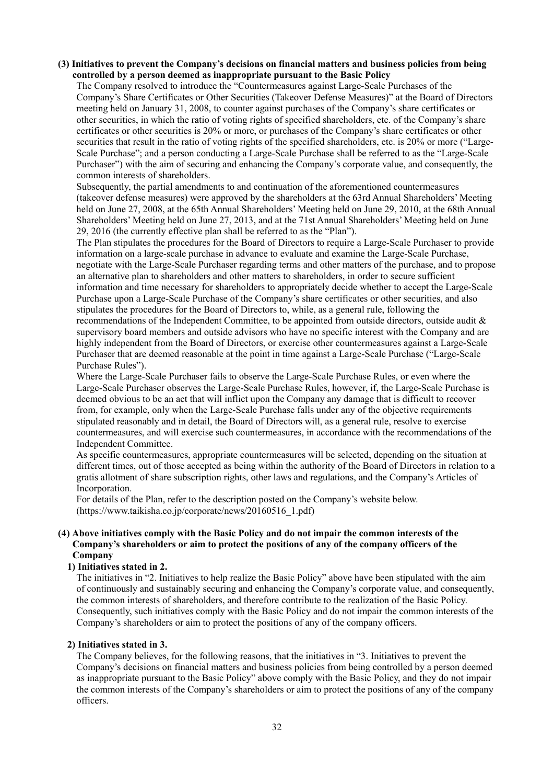#### **(3) Initiatives to prevent the Company's decisions on financial matters and business policies from being controlled by a person deemed as inappropriate pursuant to the Basic Policy**

The Company resolved to introduce the "Countermeasures against Large-Scale Purchases of the Company's Share Certificates or Other Securities (Takeover Defense Measures)" at the Board of Directors meeting held on January 31, 2008, to counter against purchases of the Company's share certificates or other securities, in which the ratio of voting rights of specified shareholders, etc. of the Company's share certificates or other securities is 20% or more, or purchases of the Company's share certificates or other securities that result in the ratio of voting rights of the specified shareholders, etc. is 20% or more ("Large-Scale Purchase"; and a person conducting a Large-Scale Purchase shall be referred to as the "Large-Scale Purchaser") with the aim of securing and enhancing the Company's corporate value, and consequently, the common interests of shareholders.

Subsequently, the partial amendments to and continuation of the aforementioned countermeasures (takeover defense measures) were approved by the shareholders at the 63rd Annual Shareholders' Meeting held on June 27, 2008, at the 65th Annual Shareholders' Meeting held on June 29, 2010, at the 68th Annual Shareholders' Meeting held on June 27, 2013, and at the 71st Annual Shareholders' Meeting held on June 29, 2016 (the currently effective plan shall be referred to as the "Plan").

The Plan stipulates the procedures for the Board of Directors to require a Large-Scale Purchaser to provide information on a large-scale purchase in advance to evaluate and examine the Large-Scale Purchase, negotiate with the Large-Scale Purchaser regarding terms and other matters of the purchase, and to propose an alternative plan to shareholders and other matters to shareholders, in order to secure sufficient information and time necessary for shareholders to appropriately decide whether to accept the Large-Scale Purchase upon a Large-Scale Purchase of the Company's share certificates or other securities, and also stipulates the procedures for the Board of Directors to, while, as a general rule, following the recommendations of the Independent Committee, to be appointed from outside directors, outside audit & supervisory board members and outside advisors who have no specific interest with the Company and are highly independent from the Board of Directors, or exercise other countermeasures against a Large-Scale Purchaser that are deemed reasonable at the point in time against a Large-Scale Purchase ("Large-Scale Purchase Rules").

Where the Large-Scale Purchaser fails to observe the Large-Scale Purchase Rules, or even where the Large-Scale Purchaser observes the Large-Scale Purchase Rules, however, if, the Large-Scale Purchase is deemed obvious to be an act that will inflict upon the Company any damage that is difficult to recover from, for example, only when the Large-Scale Purchase falls under any of the objective requirements stipulated reasonably and in detail, the Board of Directors will, as a general rule, resolve to exercise countermeasures, and will exercise such countermeasures, in accordance with the recommendations of the Independent Committee.

As specific countermeasures, appropriate countermeasures will be selected, depending on the situation at different times, out of those accepted as being within the authority of the Board of Directors in relation to a gratis allotment of share subscription rights, other laws and regulations, and the Company's Articles of Incorporation.

For details of the Plan, refer to the description posted on the Company's website below. (https://www.taikisha.co.jp/corporate/news/20160516\_1.pdf)

#### **(4) Above initiatives comply with the Basic Policy and do not impair the common interests of the Company's shareholders or aim to protect the positions of any of the company officers of the Company**

#### **1) Initiatives stated in 2.**

The initiatives in "2. Initiatives to help realize the Basic Policy" above have been stipulated with the aim of continuously and sustainably securing and enhancing the Company's corporate value, and consequently, the common interests of shareholders, and therefore contribute to the realization of the Basic Policy. Consequently, such initiatives comply with the Basic Policy and do not impair the common interests of the Company's shareholders or aim to protect the positions of any of the company officers.

### **2) Initiatives stated in 3.**

The Company believes, for the following reasons, that the initiatives in "3. Initiatives to prevent the Company's decisions on financial matters and business policies from being controlled by a person deemed as inappropriate pursuant to the Basic Policy" above comply with the Basic Policy, and they do not impair the common interests of the Company's shareholders or aim to protect the positions of any of the company officers.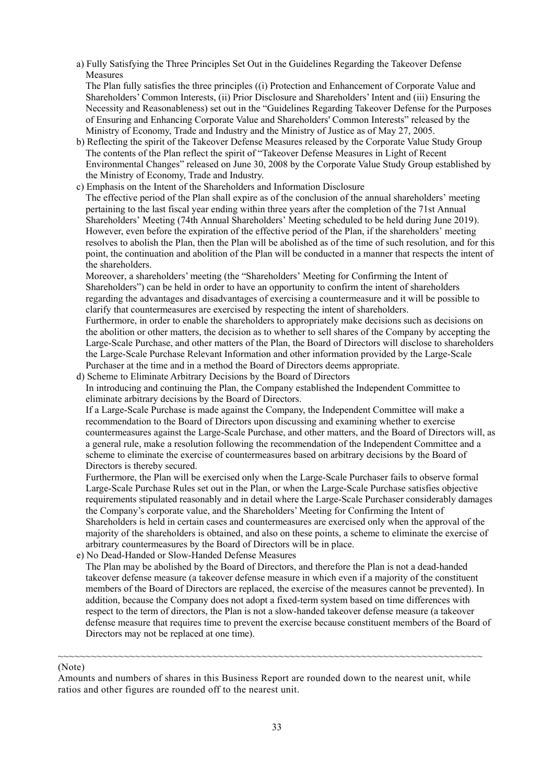a) Fully Satisfying the Three Principles Set Out in the Guidelines Regarding the Takeover Defense Measures

The Plan fully satisfies the three principles ((i) Protection and Enhancement of Corporate Value and Shareholders' Common Interests, (ii) Prior Disclosure and Shareholders' Intent and (iii) Ensuring the Necessity and Reasonableness) set out in the "Guidelines Regarding Takeover Defense for the Purposes of Ensuring and Enhancing Corporate Value and Shareholders' Common Interests" released by the Ministry of Economy, Trade and Industry and the Ministry of Justice as of May 27, 2005.

- b) Reflecting the spirit of the Takeover Defense Measures released by the Corporate Value Study Group The contents of the Plan reflect the spirit of "Takeover Defense Measures in Light of Recent Environmental Changes" released on June 30, 2008 by the Corporate Value Study Group established by the Ministry of Economy, Trade and Industry.
- c) Emphasis on the Intent of the Shareholders and Information Disclosure The effective period of the Plan shall expire as of the conclusion of the annual shareholders' meeting pertaining to the last fiscal year ending within three years after the completion of the 71st Annual Shareholders' Meeting (74th Annual Shareholders' Meeting scheduled to be held during June 2019). However, even before the expiration of the effective period of the Plan, if the shareholders' meeting resolves to abolish the Plan, then the Plan will be abolished as of the time of such resolution, and for this point, the continuation and abolition of the Plan will be conducted in a manner that respects the intent of the shareholders.

Moreover, a shareholders' meeting (the "Shareholders' Meeting for Confirming the Intent of Shareholders") can be held in order to have an opportunity to confirm the intent of shareholders regarding the advantages and disadvantages of exercising a countermeasure and it will be possible to clarify that countermeasures are exercised by respecting the intent of shareholders.

Furthermore, in order to enable the shareholders to appropriately make decisions such as decisions on the abolition or other matters, the decision as to whether to sell shares of the Company by accepting the Large-Scale Purchase, and other matters of the Plan, the Board of Directors will disclose to shareholders the Large-Scale Purchase Relevant Information and other information provided by the Large-Scale Purchaser at the time and in a method the Board of Directors deems appropriate.

d) Scheme to Eliminate Arbitrary Decisions by the Board of Directors

In introducing and continuing the Plan, the Company established the Independent Committee to eliminate arbitrary decisions by the Board of Directors.

If a Large-Scale Purchase is made against the Company, the Independent Committee will make a recommendation to the Board of Directors upon discussing and examining whether to exercise countermeasures against the Large-Scale Purchase, and other matters, and the Board of Directors will, as a general rule, make a resolution following the recommendation of the Independent Committee and a scheme to eliminate the exercise of countermeasures based on arbitrary decisions by the Board of Directors is thereby secured.

Furthermore, the Plan will be exercised only when the Large-Scale Purchaser fails to observe formal Large-Scale Purchase Rules set out in the Plan, or when the Large-Scale Purchase satisfies objective requirements stipulated reasonably and in detail where the Large-Scale Purchaser considerably damages the Company's corporate value, and the Shareholders' Meeting for Confirming the Intent of Shareholders is held in certain cases and countermeasures are exercised only when the approval of the majority of the shareholders is obtained, and also on these points, a scheme to eliminate the exercise of arbitrary countermeasures by the Board of Directors will be in place.

e) No Dead-Handed or Slow-Handed Defense Measures

The Plan may be abolished by the Board of Directors, and therefore the Plan is not a dead-handed takeover defense measure (a takeover defense measure in which even if a majority of the constituent members of the Board of Directors are replaced, the exercise of the measures cannot be prevented). In addition, because the Company does not adopt a fixed-term system based on time differences with respect to the term of directors, the Plan is not a slow-handed takeover defense measure (a takeover defense measure that requires time to prevent the exercise because constituent members of the Board of Directors may not be replaced at one time).

#### (Note)

Amounts and numbers of shares in this Business Report are rounded down to the nearest unit, while ratios and other figures are rounded off to the nearest unit.

~~~~~~~~~~~~~~~~~~~~~~~~~~~~~~~~~~~~~~~~~~~~~~~~~~~~~~~~~~~~~~~~~~~~~~~~~~~~~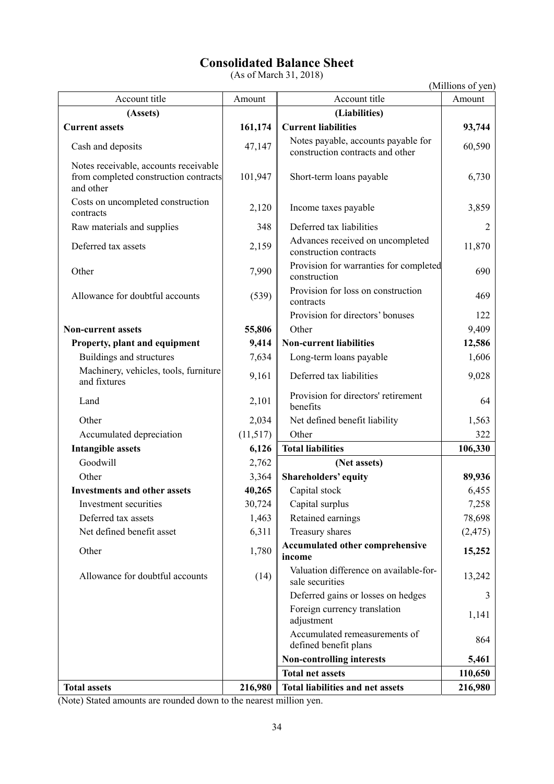# **Consolidated Balance Sheet**

(As of March 31, 2018)

| (Millions of yen) |  |
|-------------------|--|
|-------------------|--|

| Account title                                                                               | Amount   | Account title                                                           | (minions of you<br>Amount |
|---------------------------------------------------------------------------------------------|----------|-------------------------------------------------------------------------|---------------------------|
| (Assets)                                                                                    |          | (Liabilities)                                                           |                           |
| <b>Current assets</b>                                                                       | 161,174  | <b>Current liabilities</b>                                              | 93,744                    |
| Cash and deposits                                                                           | 47,147   | Notes payable, accounts payable for<br>construction contracts and other | 60,590                    |
| Notes receivable, accounts receivable<br>from completed construction contracts<br>and other | 101,947  | Short-term loans payable                                                | 6,730                     |
| Costs on uncompleted construction<br>contracts                                              | 2,120    | Income taxes payable                                                    | 3,859                     |
| Raw materials and supplies                                                                  | 348      | Deferred tax liabilities                                                | 2                         |
| Deferred tax assets                                                                         | 2,159    | Advances received on uncompleted<br>construction contracts              | 11,870                    |
| Other                                                                                       | 7,990    | Provision for warranties for completed<br>construction                  | 690                       |
| Allowance for doubtful accounts                                                             | (539)    | Provision for loss on construction<br>contracts                         | 469                       |
|                                                                                             |          | Provision for directors' bonuses                                        | 122                       |
| <b>Non-current assets</b>                                                                   | 55,806   | Other                                                                   | 9,409                     |
| Property, plant and equipment                                                               | 9,414    | <b>Non-current liabilities</b>                                          | 12,586                    |
| Buildings and structures                                                                    | 7,634    | Long-term loans payable                                                 | 1,606                     |
| Machinery, vehicles, tools, furniture<br>and fixtures                                       | 9,161    | Deferred tax liabilities                                                | 9,028                     |
| Land                                                                                        | 2,101    | Provision for directors' retirement<br>benefits                         | 64                        |
| Other                                                                                       | 2,034    | Net defined benefit liability                                           | 1,563                     |
| Accumulated depreciation                                                                    | (11,517) | Other                                                                   | 322                       |
| <b>Intangible assets</b>                                                                    | 6,126    | <b>Total liabilities</b>                                                | 106,330                   |
| Goodwill                                                                                    | 2,762    | (Net assets)                                                            |                           |
| Other                                                                                       | 3,364    | <b>Shareholders' equity</b>                                             | 89,936                    |
| <b>Investments and other assets</b>                                                         | 40,265   | Capital stock                                                           | 6,455                     |
| Investment securities                                                                       | 30,724   | Capital surplus                                                         | 7,258                     |
| Deferred tax assets                                                                         | 1,463    | Retained earnings                                                       | 78,698                    |
| Net defined benefit asset                                                                   | 6,311    | Treasury shares                                                         | (2, 475)                  |
| Other                                                                                       | 1,780    | <b>Accumulated other comprehensive</b><br>income                        | 15,252                    |
| Allowance for doubtful accounts                                                             | (14)     | Valuation difference on available-for-<br>sale securities               | 13,242                    |
|                                                                                             |          | Deferred gains or losses on hedges                                      | 3                         |
|                                                                                             |          | Foreign currency translation<br>adjustment                              | 1,141                     |
|                                                                                             |          | Accumulated remeasurements of<br>defined benefit plans                  | 864                       |
|                                                                                             |          | <b>Non-controlling interests</b>                                        | 5,461                     |
|                                                                                             |          | <b>Total net assets</b>                                                 | 110,650                   |
| <b>Total assets</b>                                                                         | 216,980  | Total liabilities and net assets                                        | 216,980                   |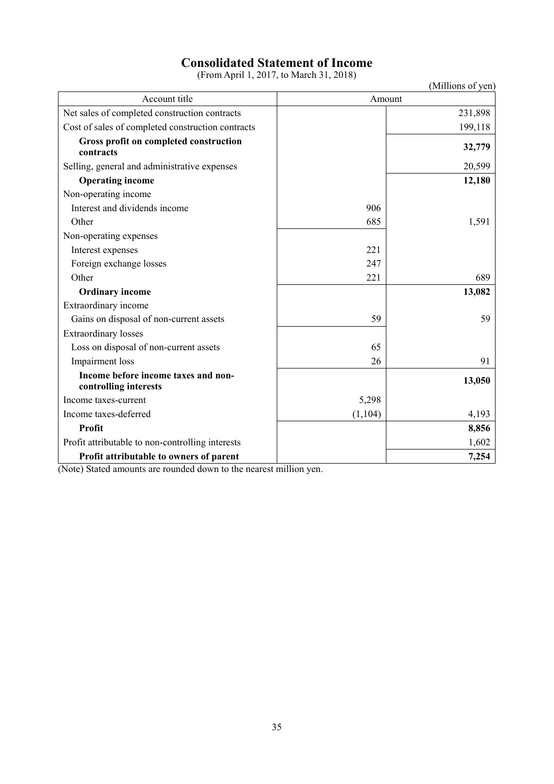# **Consolidated Statement of Income**

(From April 1, 2017, to March 31, 2018)

|                                                              |          | (Millions of yen) |
|--------------------------------------------------------------|----------|-------------------|
| Account title                                                | Amount   |                   |
| Net sales of completed construction contracts                |          | 231,898           |
| Cost of sales of completed construction contracts            |          | 199,118           |
| Gross profit on completed construction<br>contracts          |          | 32,779            |
| Selling, general and administrative expenses                 |          | 20,599            |
| <b>Operating income</b>                                      |          | 12,180            |
| Non-operating income                                         |          |                   |
| Interest and dividends income                                | 906      |                   |
| Other                                                        | 685      | 1,591             |
| Non-operating expenses                                       |          |                   |
| Interest expenses                                            | 221      |                   |
| Foreign exchange losses                                      | 247      |                   |
| Other                                                        | 221      | 689               |
| <b>Ordinary income</b>                                       |          | 13,082            |
| Extraordinary income                                         |          |                   |
| Gains on disposal of non-current assets                      | 59       | 59                |
| <b>Extraordinary losses</b>                                  |          |                   |
| Loss on disposal of non-current assets                       | 65       |                   |
| Impairment loss                                              | 26       | 91                |
| Income before income taxes and non-<br>controlling interests |          | 13,050            |
| Income taxes-current                                         | 5,298    |                   |
| Income taxes-deferred                                        | (1, 104) | 4,193             |
| Profit                                                       |          | 8,856             |
| Profit attributable to non-controlling interests             |          | 1,602             |
| Profit attributable to owners of parent                      |          | 7,254             |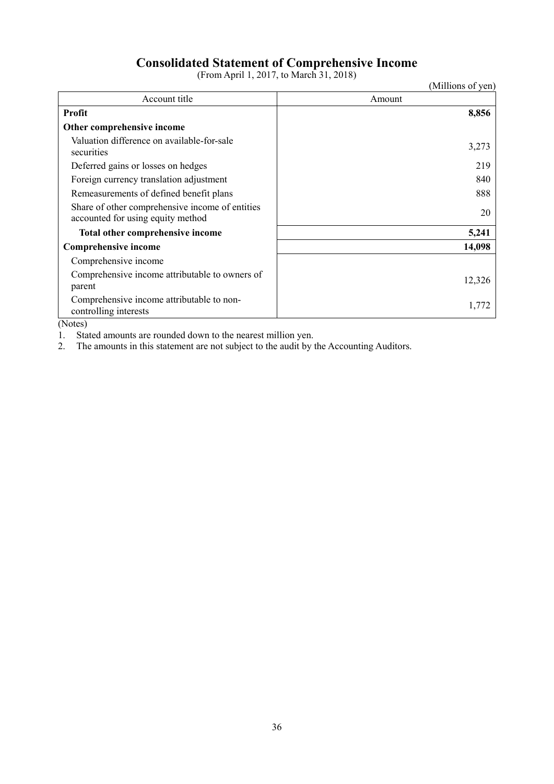# **Consolidated Statement of Comprehensive Income**

(From April 1, 2017, to March 31, 2018)

|                                                                                      | (Millions of yen) |
|--------------------------------------------------------------------------------------|-------------------|
| Account title                                                                        | Amount            |
| <b>Profit</b>                                                                        | 8,856             |
| Other comprehensive income                                                           |                   |
| Valuation difference on available-for-sale<br>securities                             | 3,273             |
| Deferred gains or losses on hedges                                                   | 219               |
| Foreign currency translation adjustment                                              | 840               |
| Remeasurements of defined benefit plans                                              | 888               |
| Share of other comprehensive income of entities<br>accounted for using equity method | 20                |
| Total other comprehensive income                                                     | 5,241             |
| Comprehensive income                                                                 | 14,098            |
| Comprehensive income                                                                 |                   |
| Comprehensive income attributable to owners of<br>parent                             | 12,326            |
| Comprehensive income attributable to non-<br>controlling interests                   | 1,772             |

(Notes)

1. Stated amounts are rounded down to the nearest million yen.

2. The amounts in this statement are not subject to the audit by the Accounting Auditors.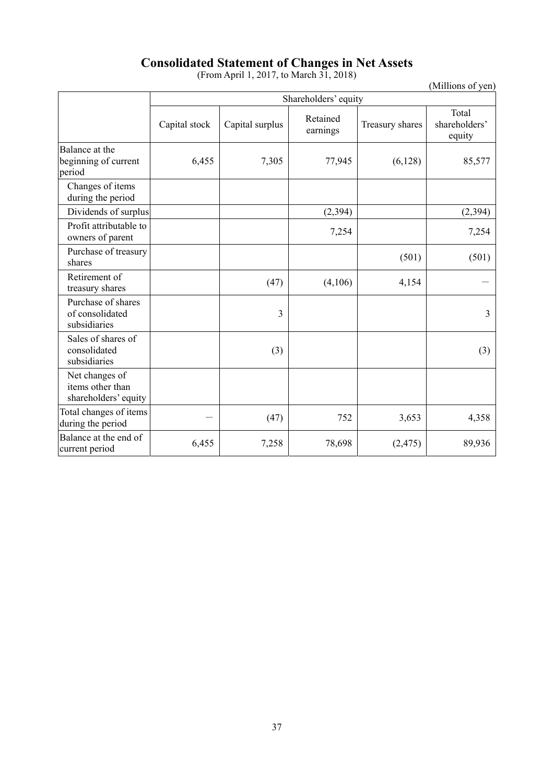# **Consolidated Statement of Changes in Net Assets**

(From April 1, 2017, to March 31, 2018)

(Millions of yen)

|                                                            | Shareholders' equity |                 |                      |                 |                                  |
|------------------------------------------------------------|----------------------|-----------------|----------------------|-----------------|----------------------------------|
|                                                            | Capital stock        | Capital surplus | Retained<br>earnings | Treasury shares | Total<br>shareholders'<br>equity |
| Balance at the<br>beginning of current<br>period           | 6,455                | 7,305           | 77,945               | (6,128)         | 85,577                           |
| Changes of items<br>during the period                      |                      |                 |                      |                 |                                  |
| Dividends of surplus                                       |                      |                 | (2, 394)             |                 | (2, 394)                         |
| Profit attributable to<br>owners of parent                 |                      |                 | 7,254                |                 | 7,254                            |
| Purchase of treasury<br>shares                             |                      |                 |                      | (501)           | (501)                            |
| Retirement of<br>treasury shares                           |                      | (47)            | (4,106)              | 4,154           |                                  |
| Purchase of shares<br>of consolidated<br>subsidiaries      |                      | 3               |                      |                 | 3                                |
| Sales of shares of<br>consolidated<br>subsidiaries         |                      | (3)             |                      |                 | (3)                              |
| Net changes of<br>items other than<br>shareholders' equity |                      |                 |                      |                 |                                  |
| Total changes of items<br>during the period                |                      | (47)            | 752                  | 3,653           | 4,358                            |
| Balance at the end of<br>current period                    | 6,455                | 7,258           | 78,698               | (2, 475)        | 89,936                           |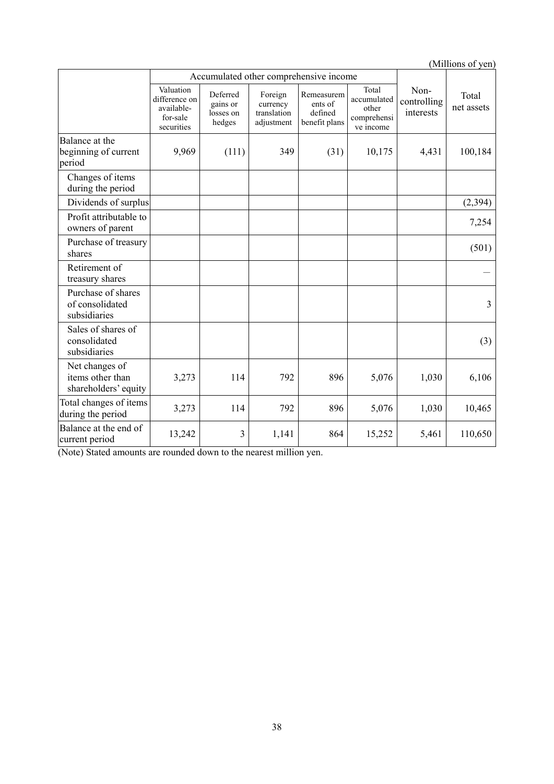(Millions of yen)

|                                                            | Accumulated other comprehensive income                             |                                             |                                                  |                                                   |                                                           |                                  |                     |
|------------------------------------------------------------|--------------------------------------------------------------------|---------------------------------------------|--------------------------------------------------|---------------------------------------------------|-----------------------------------------------------------|----------------------------------|---------------------|
|                                                            | Valuation<br>difference on<br>available-<br>for-sale<br>securities | Deferred<br>gains or<br>losses on<br>hedges | Foreign<br>currency<br>translation<br>adjustment | Remeasurem<br>ents of<br>defined<br>benefit plans | Total<br>accumulated<br>other<br>comprehensi<br>ve income | Non-<br>controlling<br>interests | Total<br>net assets |
| Balance at the<br>beginning of current<br>period           | 9,969                                                              | (111)                                       | 349                                              | (31)                                              | 10,175                                                    | 4,431                            | 100,184             |
| Changes of items<br>during the period                      |                                                                    |                                             |                                                  |                                                   |                                                           |                                  |                     |
| Dividends of surplus                                       |                                                                    |                                             |                                                  |                                                   |                                                           |                                  | (2, 394)            |
| Profit attributable to<br>owners of parent                 |                                                                    |                                             |                                                  |                                                   |                                                           |                                  | 7,254               |
| Purchase of treasury<br>shares                             |                                                                    |                                             |                                                  |                                                   |                                                           |                                  | (501)               |
| Retirement of<br>treasury shares                           |                                                                    |                                             |                                                  |                                                   |                                                           |                                  |                     |
| Purchase of shares<br>of consolidated<br>subsidiaries      |                                                                    |                                             |                                                  |                                                   |                                                           |                                  | 3                   |
| Sales of shares of<br>consolidated<br>subsidiaries         |                                                                    |                                             |                                                  |                                                   |                                                           |                                  | (3)                 |
| Net changes of<br>items other than<br>shareholders' equity | 3,273                                                              | 114                                         | 792                                              | 896                                               | 5,076                                                     | 1,030                            | 6,106               |
| Total changes of items<br>during the period                | 3,273                                                              | 114                                         | 792                                              | 896                                               | 5,076                                                     | 1,030                            | 10,465              |
| Balance at the end of<br>current period                    | 13,242                                                             | 3                                           | 1,141                                            | 864                                               | 15,252                                                    | 5,461                            | 110,650             |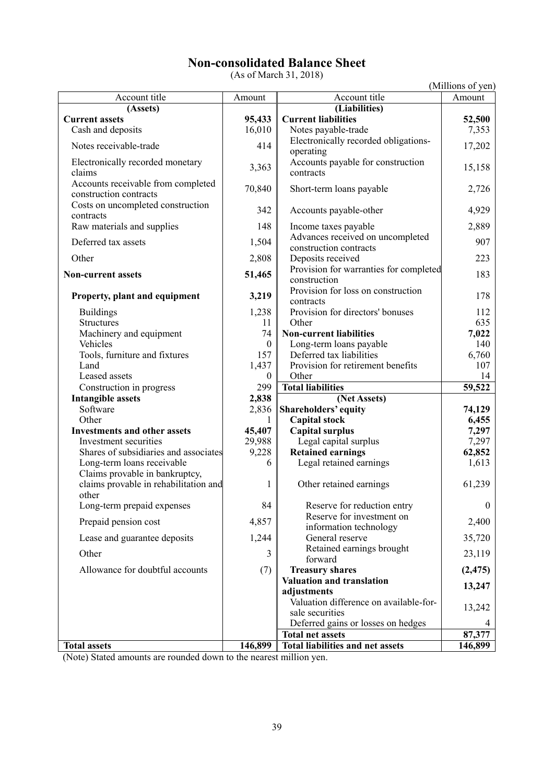# **Non-consolidated Balance Sheet**

(As of March 31, 2018)

|                                                                         |              |                                                           | (Millions of yen) |
|-------------------------------------------------------------------------|--------------|-----------------------------------------------------------|-------------------|
| Account title                                                           | Amount       | Account title                                             | Amount            |
| (Assets)                                                                |              | (Liabilities)                                             |                   |
| <b>Current assets</b>                                                   | 95,433       | <b>Current liabilities</b>                                | 52,500            |
| Cash and deposits                                                       | 16,010       | Notes payable-trade                                       | 7,353             |
| Notes receivable-trade                                                  | 414          | Electronically recorded obligations-<br>operating         | 17,202            |
| Electronically recorded monetary<br>claims                              | 3,363        | Accounts payable for construction<br>contracts            | 15,158            |
| Accounts receivable from completed<br>construction contracts            | 70,840       | Short-term loans payable                                  | 2,726             |
| Costs on uncompleted construction<br>contracts                          | 342          | Accounts payable-other                                    | 4,929             |
| Raw materials and supplies                                              | 148          | Income taxes payable                                      | 2,889             |
| Deferred tax assets                                                     | 1,504        | Advances received on uncompleted                          | 907               |
|                                                                         |              | construction contracts                                    |                   |
| Other                                                                   | 2,808        | Deposits received                                         | 223               |
| <b>Non-current assets</b>                                               | 51,465       | Provision for warranties for completed                    | 183               |
|                                                                         |              | construction                                              |                   |
| Property, plant and equipment                                           | 3,219        | Provision for loss on construction<br>contracts           | 178               |
| <b>Buildings</b>                                                        | 1,238        | Provision for directors' bonuses                          | 112               |
| <b>Structures</b>                                                       | 11           | Other                                                     | 635               |
| Machinery and equipment                                                 | 74           | <b>Non-current liabilities</b>                            | 7,022             |
| Vehicles                                                                | $\mathbf{0}$ | Long-term loans payable                                   | 140               |
| Tools, furniture and fixtures                                           | 157          | Deferred tax liabilities                                  | 6,760             |
| Land                                                                    | 1,437        | Provision for retirement benefits                         | 107               |
| Leased assets                                                           | $\mathbf{0}$ | Other                                                     | 14                |
| Construction in progress                                                | 299          | <b>Total liabilities</b>                                  | 59,522            |
| <b>Intangible assets</b>                                                | 2,838        | (Net Assets)                                              |                   |
| Software                                                                | 2,836        | Shareholders' equity                                      | 74,129            |
| Other                                                                   | 1            | <b>Capital stock</b>                                      | 6,455             |
| <b>Investments and other assets</b>                                     | 45,407       | <b>Capital surplus</b>                                    | 7,297             |
| Investment securities                                                   | 29,988       | Legal capital surplus                                     | 7,297             |
| Shares of subsidiaries and associates                                   | 9,228        | <b>Retained earnings</b>                                  | 62,852            |
| Long-term loans receivable                                              | 6            | Legal retained earnings                                   | 1,613             |
| Claims provable in bankruptcy,<br>claims provable in rehabilitation and | 1            | Other retained earnings                                   | 61,239            |
| other                                                                   |              |                                                           |                   |
| Long-term prepaid expenses                                              | 84           | Reserve for reduction entry                               | $\overline{0}$    |
| Prepaid pension cost                                                    | 4,857        | Reserve for investment on<br>information technology       | 2,400             |
| Lease and guarantee deposits                                            | 1,244        | General reserve                                           | 35,720            |
| Other                                                                   | 3            | Retained earnings brought                                 | 23,119            |
|                                                                         |              | forward                                                   |                   |
| Allowance for doubtful accounts                                         | (7)          | <b>Treasury shares</b>                                    | (2, 475)          |
|                                                                         |              | Valuation and translation                                 | 13,247            |
|                                                                         |              | adjustments                                               |                   |
|                                                                         |              | Valuation difference on available-for-<br>sale securities | 13,242            |
|                                                                         |              | Deferred gains or losses on hedges                        |                   |
|                                                                         |              | <b>Total net assets</b>                                   | 87,377            |
| <b>Total assets</b>                                                     | 146,899      | <b>Total liabilities and net assets</b>                   | 146,899           |
|                                                                         |              |                                                           |                   |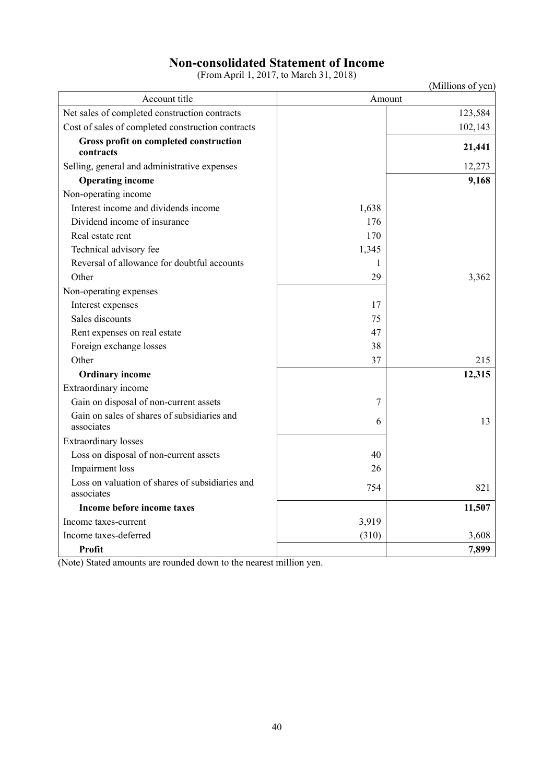# **Non-consolidated Statement of Income**

(From April 1, 2017, to March 31, 2018)

|                                                               |       | (Millions of yen) |
|---------------------------------------------------------------|-------|-------------------|
| Account title                                                 |       | Amount            |
| Net sales of completed construction contracts                 |       | 123,584           |
| Cost of sales of completed construction contracts             |       | 102,143           |
| Gross profit on completed construction<br>contracts           |       | 21,441            |
| Selling, general and administrative expenses                  |       | 12,273            |
| <b>Operating income</b>                                       |       | 9,168             |
| Non-operating income                                          |       |                   |
| Interest income and dividends income                          | 1,638 |                   |
| Dividend income of insurance                                  | 176   |                   |
| Real estate rent                                              | 170   |                   |
| Technical advisory fee                                        | 1,345 |                   |
| Reversal of allowance for doubtful accounts                   | 1     |                   |
| Other                                                         | 29    | 3,362             |
| Non-operating expenses                                        |       |                   |
| Interest expenses                                             | 17    |                   |
| Sales discounts                                               | 75    |                   |
| Rent expenses on real estate                                  | 47    |                   |
| Foreign exchange losses                                       | 38    |                   |
| Other                                                         | 37    | 215               |
| <b>Ordinary income</b>                                        |       | 12,315            |
| Extraordinary income                                          |       |                   |
| Gain on disposal of non-current assets                        | 7     |                   |
| Gain on sales of shares of subsidiaries and<br>associates     | 6     | 13                |
| <b>Extraordinary</b> losses                                   |       |                   |
| Loss on disposal of non-current assets                        | 40    |                   |
| Impairment loss                                               | 26    |                   |
| Loss on valuation of shares of subsidiaries and<br>associates | 754   | 821               |
| Income before income taxes                                    |       | 11,507            |
| Income taxes-current                                          | 3,919 |                   |
| Income taxes-deferred                                         | (310) | 3,608             |
| Profit                                                        |       | 7,899             |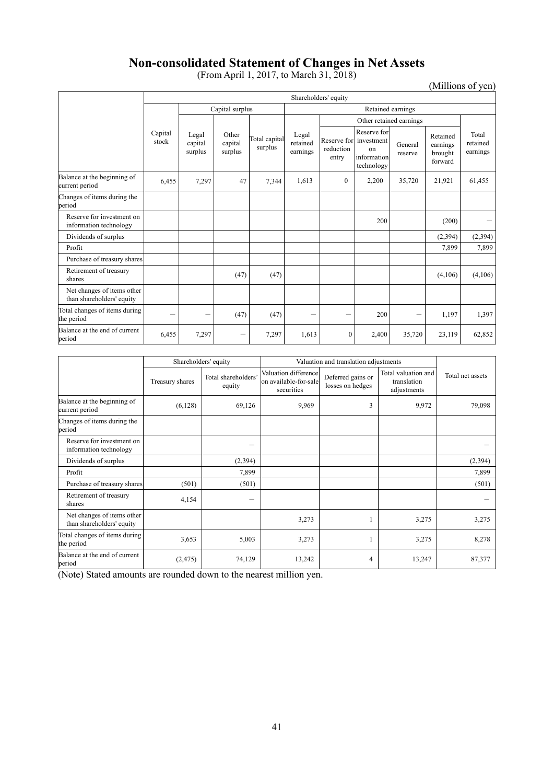# **Non-consolidated Statement of Changes in Net Assets**

(From April 1, 2017, to March 31, 2018)

(Millions of yen)

|                                                         |                  | Shareholders' equity        |                             |                          |                               |                         |                                                                                     |                    |                                            |                               |
|---------------------------------------------------------|------------------|-----------------------------|-----------------------------|--------------------------|-------------------------------|-------------------------|-------------------------------------------------------------------------------------|--------------------|--------------------------------------------|-------------------------------|
|                                                         |                  |                             | Capital surplus             |                          |                               |                         |                                                                                     | Retained earnings  |                                            |                               |
|                                                         |                  |                             |                             |                          |                               | Other retained earnings |                                                                                     |                    |                                            |                               |
|                                                         | Capital<br>stock | Legal<br>capital<br>surplus | Other<br>capital<br>surplus | Total capital<br>surplus | Legal<br>retained<br>earnings | reduction<br>entry      | Reserve for<br>Reserve for investment<br><sub>on</sub><br>information<br>technology | General<br>reserve | Retained<br>earnings<br>brought<br>forward | Total<br>retained<br>earnings |
| Balance at the beginning of<br>current period           | 6.455            | 7,297                       | 47                          | 7,344                    | 1.613                         | $\theta$                | 2,200                                                                               | 35,720             | 21,921                                     | 61,455                        |
| Changes of items during the<br>period                   |                  |                             |                             |                          |                               |                         |                                                                                     |                    |                                            |                               |
| Reserve for investment on<br>information technology     |                  |                             |                             |                          |                               |                         | 200                                                                                 |                    | (200)                                      |                               |
| Dividends of surplus                                    |                  |                             |                             |                          |                               |                         |                                                                                     |                    | (2,394)                                    | (2, 394)                      |
| Profit                                                  |                  |                             |                             |                          |                               |                         |                                                                                     |                    | 7,899                                      | 7,899                         |
| Purchase of treasury shares                             |                  |                             |                             |                          |                               |                         |                                                                                     |                    |                                            |                               |
| Retirement of treasury<br>shares                        |                  |                             | (47)                        | (47)                     |                               |                         |                                                                                     |                    | (4,106)                                    | (4,106)                       |
| Net changes of items other<br>than shareholders' equity |                  |                             |                             |                          |                               |                         |                                                                                     |                    |                                            |                               |
| Total changes of items during<br>the period             |                  | -                           | (47)                        | (47)                     |                               | -                       | 200                                                                                 | -                  | 1,197                                      | 1,397                         |
| Balance at the end of current<br>period                 | 6.455            | 7,297                       | -                           | 7,297                    | 1.613                         | $\mathbf{0}$            | 2,400                                                                               | 35,720             | 23.119                                     | 62.852                        |

|                                                         |                 | Shareholders' equity          |                                                             | Valuation and translation adjustments |                                                   |                  |  |
|---------------------------------------------------------|-----------------|-------------------------------|-------------------------------------------------------------|---------------------------------------|---------------------------------------------------|------------------|--|
|                                                         | Treasury shares | Total shareholders'<br>equity | Valuation difference<br>on available-for-sale<br>securities | Deferred gains or<br>losses on hedges | Total valuation and<br>translation<br>adjustments | Total net assets |  |
| Balance at the beginning of<br>current period           | (6,128)         | 69,126                        | 9,969                                                       | 3                                     | 9,972                                             | 79,098           |  |
| Changes of items during the<br>period                   |                 |                               |                                                             |                                       |                                                   |                  |  |
| Reserve for investment on<br>information technology     |                 |                               |                                                             |                                       |                                                   |                  |  |
| Dividends of surplus                                    |                 | (2,394)                       |                                                             |                                       |                                                   | (2,394)          |  |
| Profit                                                  |                 | 7,899                         |                                                             |                                       |                                                   | 7,899            |  |
| Purchase of treasury shares                             | (501)           | (501)                         |                                                             |                                       |                                                   | (501)            |  |
| Retirement of treasury<br>shares                        | 4,154           |                               |                                                             |                                       |                                                   |                  |  |
| Net changes of items other<br>than shareholders' equity |                 |                               | 3,273                                                       |                                       | 3,275                                             | 3,275            |  |
| Total changes of items during<br>the period             | 3,653           | 5,003                         | 3,273                                                       |                                       | 3,275                                             | 8,278            |  |
| Balance at the end of current<br>period                 | (2, 475)        | 74,129                        | 13,242                                                      | 4                                     | 13,247                                            | 87,377           |  |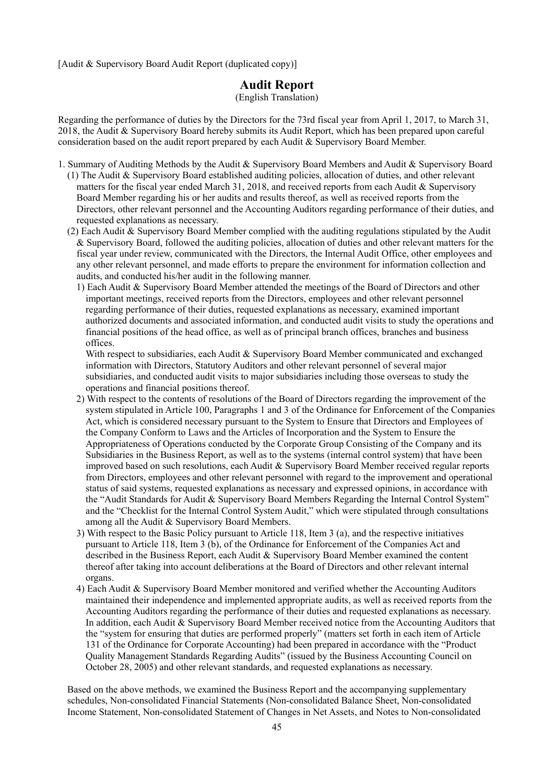[Audit & Supervisory Board Audit Report (duplicated copy)]

## **Audit Report**

(English Translation)

Regarding the performance of duties by the Directors for the 73rd fiscal year from April 1, 2017, to March 31, 2018, the Audit & Supervisory Board hereby submits its Audit Report, which has been prepared upon careful consideration based on the audit report prepared by each Audit & Supervisory Board Member.

- 1. Summary of Auditing Methods by the Audit & Supervisory Board Members and Audit & Supervisory Board
- (1) The Audit & Supervisory Board established auditing policies, allocation of duties, and other relevant matters for the fiscal year ended March 31, 2018, and received reports from each Audit & Supervisory Board Member regarding his or her audits and results thereof, as well as received reports from the Directors, other relevant personnel and the Accounting Auditors regarding performance of their duties, and requested explanations as necessary.
- (2) Each Audit & Supervisory Board Member complied with the auditing regulations stipulated by the Audit & Supervisory Board, followed the auditing policies, allocation of duties and other relevant matters for the fiscal year under review, communicated with the Directors, the Internal Audit Office, other employees and any other relevant personnel, and made efforts to prepare the environment for information collection and audits, and conducted his/her audit in the following manner.
	- 1) Each Audit & Supervisory Board Member attended the meetings of the Board of Directors and other important meetings, received reports from the Directors, employees and other relevant personnel regarding performance of their duties, requested explanations as necessary, examined important authorized documents and associated information, and conducted audit visits to study the operations and financial positions of the head office, as well as of principal branch offices, branches and business offices.

With respect to subsidiaries, each Audit & Supervisory Board Member communicated and exchanged information with Directors, Statutory Auditors and other relevant personnel of several major subsidiaries, and conducted audit visits to major subsidiaries including those overseas to study the operations and financial positions thereof.

- 2) With respect to the contents of resolutions of the Board of Directors regarding the improvement of the system stipulated in Article 100, Paragraphs 1 and 3 of the Ordinance for Enforcement of the Companies Act, which is considered necessary pursuant to the System to Ensure that Directors and Employees of the Company Conform to Laws and the Articles of Incorporation and the System to Ensure the Appropriateness of Operations conducted by the Corporate Group Consisting of the Company and its Subsidiaries in the Business Report, as well as to the systems (internal control system) that have been improved based on such resolutions, each Audit & Supervisory Board Member received regular reports from Directors, employees and other relevant personnel with regard to the improvement and operational status of said systems, requested explanations as necessary and expressed opinions, in accordance with the "Audit Standards for Audit & Supervisory Board Members Regarding the Internal Control System" and the "Checklist for the Internal Control System Audit," which were stipulated through consultations among all the Audit & Supervisory Board Members.
- 3) With respect to the Basic Policy pursuant to Article 118, Item 3 (a), and the respective initiatives pursuant to Article 118, Item 3 (b), of the Ordinance for Enforcement of the Companies Act and described in the Business Report, each Audit & Supervisory Board Member examined the content thereof after taking into account deliberations at the Board of Directors and other relevant internal organs.
- 4) Each Audit & Supervisory Board Member monitored and verified whether the Accounting Auditors maintained their independence and implemented appropriate audits, as well as received reports from the Accounting Auditors regarding the performance of their duties and requested explanations as necessary. In addition, each Audit & Supervisory Board Member received notice from the Accounting Auditors that the "system for ensuring that duties are performed properly" (matters set forth in each item of Article 131 of the Ordinance for Corporate Accounting) had been prepared in accordance with the "Product Quality Management Standards Regarding Audits" (issued by the Business Accounting Council on October 28, 2005) and other relevant standards, and requested explanations as necessary.

Based on the above methods, we examined the Business Report and the accompanying supplementary schedules, Non-consolidated Financial Statements (Non-consolidated Balance Sheet, Non-consolidated Income Statement, Non-consolidated Statement of Changes in Net Assets, and Notes to Non-consolidated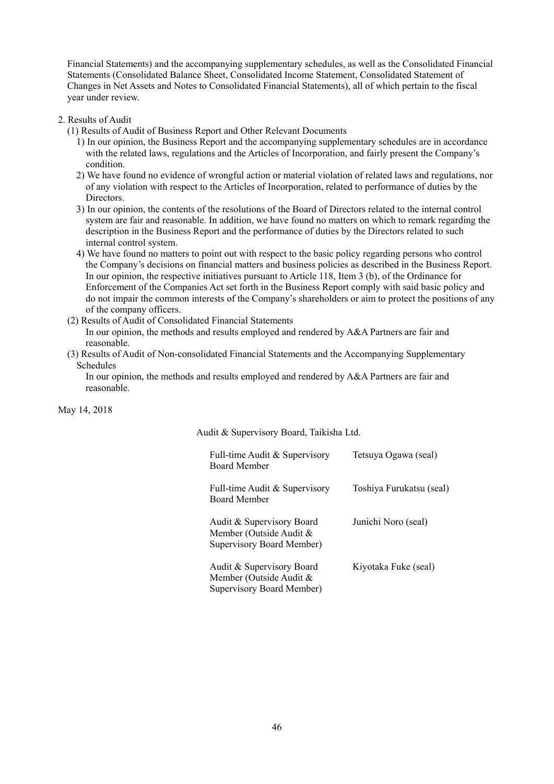Financial Statements) and the accompanying supplementary schedules, as well as the Consolidated Financial Statements (Consolidated Balance Sheet, Consolidated Income Statement, Consolidated Statement of Changes in Net Assets and Notes to Consolidated Financial Statements), all of which pertain to the fiscal year under review.

#### 2. Results of Audit

- (1) Results of Audit of Business Report and Other Relevant Documents
	- 1) In our opinion, the Business Report and the accompanying supplementary schedules are in accordance with the related laws, regulations and the Articles of Incorporation, and fairly present the Company's condition.
	- 2) We have found no evidence of wrongful action or material violation of related laws and regulations, nor of any violation with respect to the Articles of Incorporation, related to performance of duties by the Directors.
	- 3) In our opinion, the contents of the resolutions of the Board of Directors related to the internal control system are fair and reasonable. In addition, we have found no matters on which to remark regarding the description in the Business Report and the performance of duties by the Directors related to such internal control system.
	- 4) We have found no matters to point out with respect to the basic policy regarding persons who control the Company's decisions on financial matters and business policies as described in the Business Report. In our opinion, the respective initiatives pursuant to Article 118, Item 3 (b), of the Ordinance for Enforcement of the Companies Act set forth in the Business Report comply with said basic policy and do not impair the common interests of the Company's shareholders or aim to protect the positions of any of the company officers.
- (2) Results of Audit of Consolidated Financial Statements In our opinion, the methods and results employed and rendered by A&A Partners are fair and reasonable.
- (3) Results of Audit of Non-consolidated Financial Statements and the Accompanying Supplementary Schedules

In our opinion, the methods and results employed and rendered by A&A Partners are fair and reasonable.

May 14, 2018

Audit & Supervisory Board, Taikisha Ltd.

| Full-time Audit & Supervisory<br>Board Member                                     | Tetsuya Ogawa (seal)     |
|-----------------------------------------------------------------------------------|--------------------------|
| Full-time Audit & Supervisory<br>Board Member                                     | Toshiya Furukatsu (seal) |
| Audit & Supervisory Board<br>Member (Outside Audit &<br>Supervisory Board Member) | Junichi Noro (seal)      |
| Audit & Supervisory Board<br>Member (Outside Audit &<br>Supervisory Board Member) | Kiyotaka Fuke (seal)     |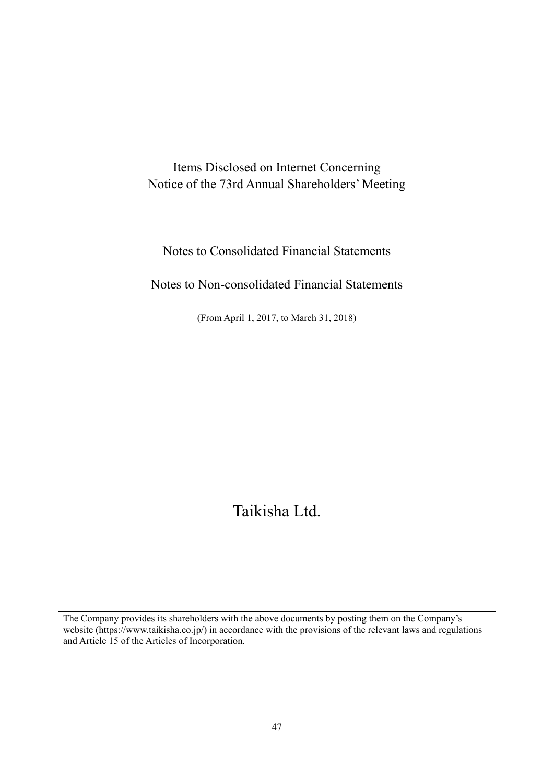Items Disclosed on Internet Concerning Notice of the 73rd Annual Shareholders' Meeting

Notes to Consolidated Financial Statements

Notes to Non-consolidated Financial Statements

(From April 1, 2017, to March 31, 2018)

# Taikisha Ltd.

The Company provides its shareholders with the above documents by posting them on the Company's website (https://www.taikisha.co.jp/) in accordance with the provisions of the relevant laws and regulations and Article 15 of the Articles of Incorporation.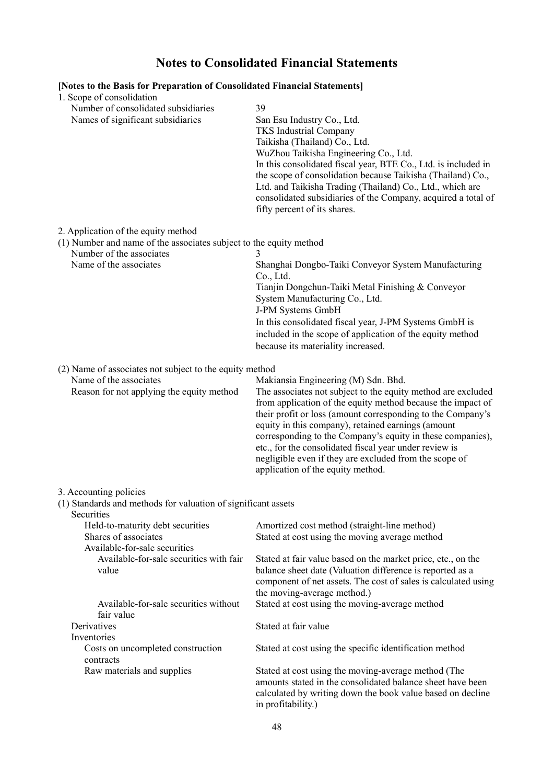# **Notes to Consolidated Financial Statements**

| [Notes to the Basis for Preparation of Consolidated Financial Statements]<br>1. Scope of consolidation |                                                                                                                      |
|--------------------------------------------------------------------------------------------------------|----------------------------------------------------------------------------------------------------------------------|
| Number of consolidated subsidiaries                                                                    | 39                                                                                                                   |
| Names of significant subsidiaries                                                                      | San Esu Industry Co., Ltd.                                                                                           |
|                                                                                                        | <b>TKS</b> Industrial Company                                                                                        |
|                                                                                                        | Taikisha (Thailand) Co., Ltd.                                                                                        |
|                                                                                                        | WuZhou Taikisha Engineering Co., Ltd.                                                                                |
|                                                                                                        | In this consolidated fiscal year, BTE Co., Ltd. is included in                                                       |
|                                                                                                        | the scope of consolidation because Taikisha (Thailand) Co.,                                                          |
|                                                                                                        | Ltd. and Taikisha Trading (Thailand) Co., Ltd., which are                                                            |
|                                                                                                        | consolidated subsidiaries of the Company, acquired a total of                                                        |
|                                                                                                        | fifty percent of its shares.                                                                                         |
| 2. Application of the equity method                                                                    |                                                                                                                      |
| (1) Number and name of the associates subject to the equity method                                     |                                                                                                                      |
| Number of the associates                                                                               | 3                                                                                                                    |
| Name of the associates                                                                                 | Shanghai Dongbo-Taiki Conveyor System Manufacturing                                                                  |
|                                                                                                        | Co., Ltd.                                                                                                            |
|                                                                                                        | Tianjin Dongchun-Taiki Metal Finishing & Conveyor                                                                    |
|                                                                                                        | System Manufacturing Co., Ltd.<br>J-PM Systems GmbH                                                                  |
|                                                                                                        | In this consolidated fiscal year, J-PM Systems GmbH is                                                               |
|                                                                                                        | included in the scope of application of the equity method                                                            |
|                                                                                                        | because its materiality increased.                                                                                   |
|                                                                                                        |                                                                                                                      |
| (2) Name of associates not subject to the equity method                                                |                                                                                                                      |
| Name of the associates                                                                                 | Makiansia Engineering (M) Sdn. Bhd.                                                                                  |
| Reason for not applying the equity method                                                              | The associates not subject to the equity method are excluded                                                         |
|                                                                                                        | from application of the equity method because the impact of                                                          |
|                                                                                                        | their profit or loss (amount corresponding to the Company's                                                          |
|                                                                                                        | equity in this company), retained earnings (amount                                                                   |
|                                                                                                        | corresponding to the Company's equity in these companies),<br>etc., for the consolidated fiscal year under review is |
|                                                                                                        | negligible even if they are excluded from the scope of                                                               |
|                                                                                                        | application of the equity method.                                                                                    |
|                                                                                                        |                                                                                                                      |
| 3. Accounting policies                                                                                 |                                                                                                                      |
| (1) Standards and methods for valuation of significant assets<br><b>Securities</b>                     |                                                                                                                      |
| Held-to-maturity debt securities                                                                       | Amortized cost method (straight-line method)                                                                         |
| Shares of associates                                                                                   | Stated at cost using the moving average method                                                                       |
| Available-for-sale securities                                                                          |                                                                                                                      |
| Available-for-sale securities with fair                                                                | Stated at fair value based on the market price, etc., on the                                                         |
| value                                                                                                  | balance sheet date (Valuation difference is reported as a                                                            |
|                                                                                                        | component of net assets. The cost of sales is calculated using                                                       |
|                                                                                                        | the moving-average method.)                                                                                          |
| Available-for-sale securities without                                                                  | Stated at cost using the moving-average method                                                                       |
| fair value                                                                                             |                                                                                                                      |
| Derivatives                                                                                            | Stated at fair value                                                                                                 |
| Inventories<br>Costs on uncompleted construction                                                       | Stated at cost using the specific identification method                                                              |
| contracts                                                                                              |                                                                                                                      |
| Raw materials and supplies                                                                             | Stated at cost using the moving-average method (The                                                                  |
|                                                                                                        | amounts stated in the consolidated balance sheet have been                                                           |
|                                                                                                        | calculated by writing down the book value based on decline                                                           |
|                                                                                                        | in profitability.)                                                                                                   |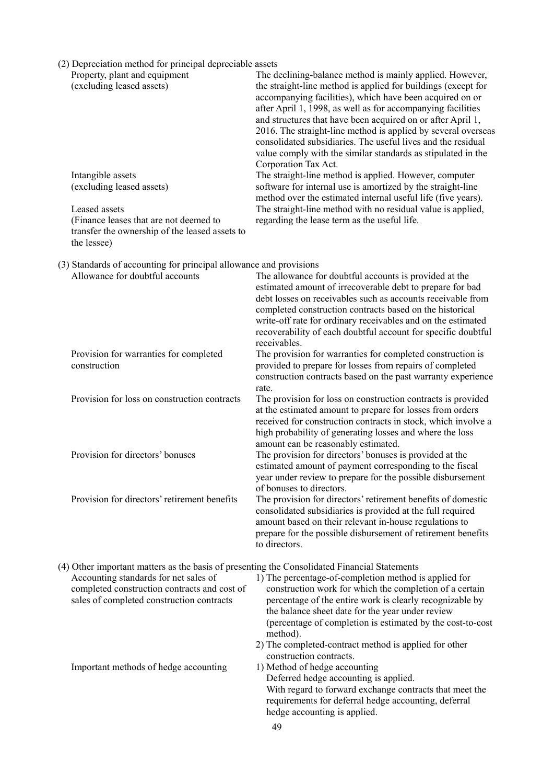| (2) Depreciation method for principal depreciable assets<br>Property, plant and equipment<br>(excluding leased assets)                                                                                                             | The declining-balance method is mainly applied. However,<br>the straight-line method is applied for buildings (except for<br>accompanying facilities), which have been acquired on or<br>after April 1, 1998, as well as for accompanying facilities<br>and structures that have been acquired on or after April 1,<br>2016. The straight-line method is applied by several overseas<br>consolidated subsidiaries. The useful lives and the residual<br>value comply with the similar standards as stipulated in the |
|------------------------------------------------------------------------------------------------------------------------------------------------------------------------------------------------------------------------------------|----------------------------------------------------------------------------------------------------------------------------------------------------------------------------------------------------------------------------------------------------------------------------------------------------------------------------------------------------------------------------------------------------------------------------------------------------------------------------------------------------------------------|
| Intangible assets<br>(excluding leased assets)<br>Leased assets<br>(Finance leases that are not deemed to<br>transfer the ownership of the leased assets to<br>the lessee)                                                         | Corporation Tax Act.<br>The straight-line method is applied. However, computer<br>software for internal use is amortized by the straight-line<br>method over the estimated internal useful life (five years).<br>The straight-line method with no residual value is applied,<br>regarding the lease term as the useful life.                                                                                                                                                                                         |
| (3) Standards of accounting for principal allowance and provisions<br>Allowance for doubtful accounts                                                                                                                              | The allowance for doubtful accounts is provided at the<br>estimated amount of irrecoverable debt to prepare for bad<br>debt losses on receivables such as accounts receivable from<br>completed construction contracts based on the historical<br>write-off rate for ordinary receivables and on the estimated<br>recoverability of each doubtful account for specific doubtful<br>receivables.                                                                                                                      |
| Provision for warranties for completed<br>construction                                                                                                                                                                             | The provision for warranties for completed construction is<br>provided to prepare for losses from repairs of completed<br>construction contracts based on the past warranty experience<br>rate.                                                                                                                                                                                                                                                                                                                      |
| Provision for loss on construction contracts                                                                                                                                                                                       | The provision for loss on construction contracts is provided<br>at the estimated amount to prepare for losses from orders<br>received for construction contracts in stock, which involve a<br>high probability of generating losses and where the loss<br>amount can be reasonably estimated.                                                                                                                                                                                                                        |
| Provision for directors' bonuses                                                                                                                                                                                                   | The provision for directors' bonuses is provided at the<br>estimated amount of payment corresponding to the fiscal<br>year under review to prepare for the possible disbursement<br>of bonuses to directors.                                                                                                                                                                                                                                                                                                         |
| Provision for directors' retirement benefits                                                                                                                                                                                       | The provision for directors' retirement benefits of domestic<br>consolidated subsidiaries is provided at the full required<br>amount based on their relevant in-house regulations to<br>prepare for the possible disbursement of retirement benefits<br>to directors.                                                                                                                                                                                                                                                |
| (4) Other important matters as the basis of presenting the Consolidated Financial Statements<br>Accounting standards for net sales of<br>completed construction contracts and cost of<br>sales of completed construction contracts | 1) The percentage-of-completion method is applied for<br>construction work for which the completion of a certain<br>percentage of the entire work is clearly recognizable by<br>the balance sheet date for the year under review<br>(percentage of completion is estimated by the cost-to-cost<br>method).<br>2) The completed-contract method is applied for other                                                                                                                                                  |
| Important methods of hedge accounting                                                                                                                                                                                              | construction contracts.<br>1) Method of hedge accounting<br>Deferred hedge accounting is applied.<br>With regard to forward exchange contracts that meet the<br>requirements for deferral hedge accounting, deferral<br>hedge accounting is applied.                                                                                                                                                                                                                                                                 |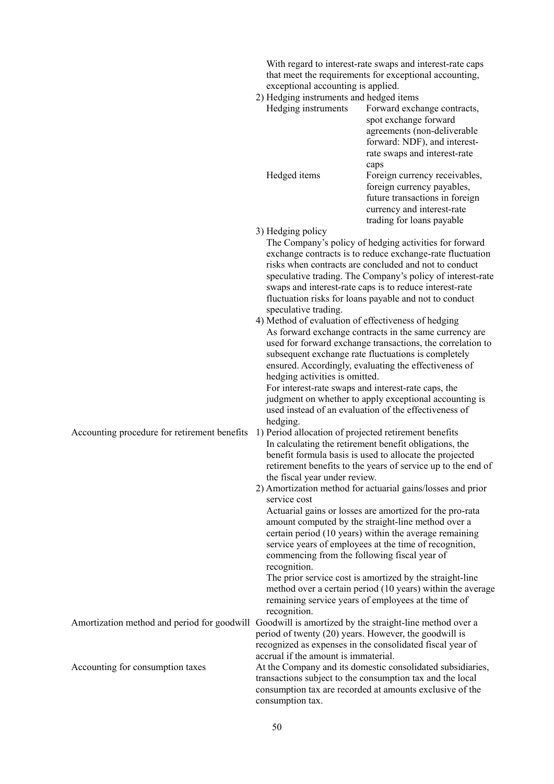|                                              | exceptional accounting is applied.<br>2) Hedging instruments and hedged items<br>Hedging instruments<br>Hedged items                         | With regard to interest-rate swaps and interest-rate caps<br>that meet the requirements for exceptional accounting,<br>Forward exchange contracts,<br>spot exchange forward<br>agreements (non-deliverable<br>forward: NDF), and interest-<br>rate swaps and interest-rate<br>caps<br>Foreign currency receivables,<br>foreign currency payables,<br>future transactions in foreign<br>currency and interest-rate |
|----------------------------------------------|----------------------------------------------------------------------------------------------------------------------------------------------|-------------------------------------------------------------------------------------------------------------------------------------------------------------------------------------------------------------------------------------------------------------------------------------------------------------------------------------------------------------------------------------------------------------------|
|                                              | 3) Hedging policy                                                                                                                            | trading for loans payable<br>The Company's policy of hedging activities for forward<br>exchange contracts is to reduce exchange-rate fluctuation                                                                                                                                                                                                                                                                  |
|                                              | speculative trading.                                                                                                                         | risks when contracts are concluded and not to conduct<br>speculative trading. The Company's policy of interest-rate<br>swaps and interest-rate caps is to reduce interest-rate<br>fluctuation risks for loans payable and not to conduct                                                                                                                                                                          |
|                                              | 4) Method of evaluation of effectiveness of hedging<br>hedging activities is omitted.<br>For interest-rate swaps and interest-rate caps, the | As forward exchange contracts in the same currency are<br>used for forward exchange transactions, the correlation to<br>subsequent exchange rate fluctuations is completely<br>ensured. Accordingly, evaluating the effectiveness of<br>judgment on whether to apply exceptional accounting is<br>used instead of an evaluation of the effectiveness of                                                           |
| Accounting procedure for retirement benefits | hedging.<br>1) Period allocation of projected retirement benefits<br>the fiscal year under review.                                           | In calculating the retirement benefit obligations, the<br>benefit formula basis is used to allocate the projected<br>retirement benefits to the years of service up to the end of<br>2) Amortization method for actuarial gains/losses and prior                                                                                                                                                                  |
|                                              | service cost<br>commencing from the following fiscal year of<br>recognition.                                                                 | Actuarial gains or losses are amortized for the pro-rata<br>amount computed by the straight-line method over a<br>certain period (10 years) within the average remaining<br>service years of employees at the time of recognition,                                                                                                                                                                                |
|                                              | recognition.                                                                                                                                 | The prior service cost is amortized by the straight-line<br>method over a certain period (10 years) within the average<br>remaining service years of employees at the time of                                                                                                                                                                                                                                     |
| Amortization method and period for goodwill  | period of twenty (20) years. However, the goodwill is<br>accrual if the amount is immaterial.                                                | Goodwill is amortized by the straight-line method over a<br>recognized as expenses in the consolidated fiscal year of                                                                                                                                                                                                                                                                                             |
| Accounting for consumption taxes             | consumption tax.                                                                                                                             | At the Company and its domestic consolidated subsidiaries,<br>transactions subject to the consumption tax and the local<br>consumption tax are recorded at amounts exclusive of the                                                                                                                                                                                                                               |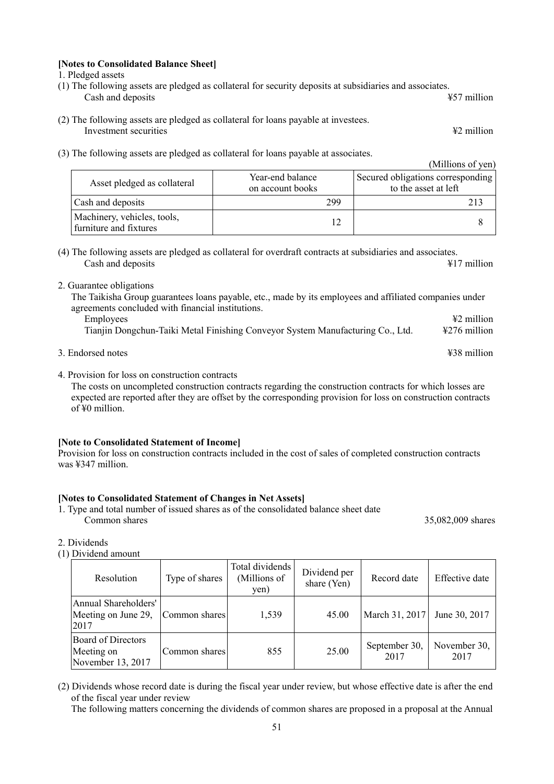#### **[Notes to Consolidated Balance Sheet]**

1. Pledged assets

- (1) The following assets are pledged as collateral for security deposits at subsidiaries and associates. Cash and deposits **EXA** under the set of the set of the set of the set of the set of the set of the set of the set of the set of the set of the set of the set of the set of the set of the set of the set of the set of the s
- (2) The following assets are pledged as collateral for loans payable at investees. Investment securities ¥2 million
- (3) The following assets are pledged as collateral for loans payable at associates.

|                                                       | The following wooded with president we commented fourth perpects we wood charge. | (Millions of yen)                                         |
|-------------------------------------------------------|----------------------------------------------------------------------------------|-----------------------------------------------------------|
| Asset pledged as collateral                           | Year-end balance<br>on account books                                             | Secured obligations corresponding<br>to the asset at left |
| Cash and deposits                                     | 299                                                                              |                                                           |
| Machinery, vehicles, tools,<br>furniture and fixtures |                                                                                  |                                                           |

- (4) The following assets are pledged as collateral for overdraft contracts at subsidiaries and associates. Cash and deposits **All 2** million
- 2. Guarantee obligations

The Taikisha Group guarantees loans payable, etc., made by its employees and affiliated companies under agreements concluded with financial institutions.

- Employees **Account 2** million **Employees Account 2** million Tianjin Dongchun-Taiki Metal Finishing Conveyor System Manufacturing Co., Ltd. ¥276 million
- 3. Endorsed notes ¥38 million
- 4. Provision for loss on construction contracts

The costs on uncompleted construction contracts regarding the construction contracts for which losses are expected are reported after they are offset by the corresponding provision for loss on construction contracts of ¥0 million.

#### **[Note to Consolidated Statement of Income]**

Provision for loss on construction contracts included in the cost of sales of completed construction contracts was ¥347 million.

#### **[Notes to Consolidated Statement of Changes in Net Assets]**

1. Type and total number of issued shares as of the consolidated balance sheet date Common shares 35,082,009 shares

#### 2. Dividends

(1) Dividend amount

| Resolution                                                   | Type of shares | Total dividends<br>(Millions of<br>yen) | Dividend per<br>share (Yen) | Record date           | Effective date       |
|--------------------------------------------------------------|----------------|-----------------------------------------|-----------------------------|-----------------------|----------------------|
| Annual Shareholders'<br>Meeting on June 29,<br>2017          | Common shares  | 1,539                                   | 45.00                       | March 31, 2017        | June 30, 2017        |
| <b>Board of Directors</b><br>Meeting on<br>November 13, 2017 | Common shares  | 855                                     | 25.00                       | September 30,<br>2017 | November 30,<br>2017 |

(2) Dividends whose record date is during the fiscal year under review, but whose effective date is after the end of the fiscal year under review

The following matters concerning the dividends of common shares are proposed in a proposal at the Annual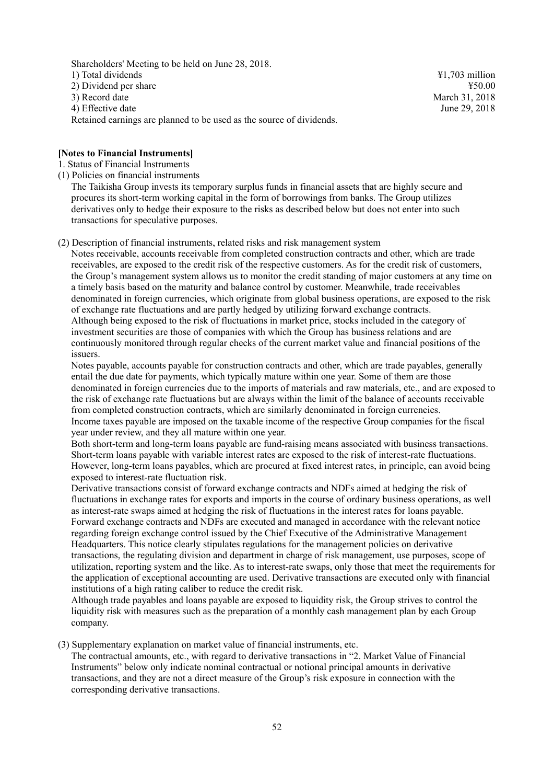Shareholders' Meeting to be held on June 28, 2018. 1) Total dividends ¥1,703 million 2) Dividend per share  $\frac{450.00}{2}$ 3) Record date March 31, 2018 4) Effective date June 29, 2018 Retained earnings are planned to be used as the source of dividends.

#### **[Notes to Financial Instruments]**

1. Status of Financial Instruments

(1) Policies on financial instruments

The Taikisha Group invests its temporary surplus funds in financial assets that are highly secure and procures its short-term working capital in the form of borrowings from banks. The Group utilizes derivatives only to hedge their exposure to the risks as described below but does not enter into such transactions for speculative purposes.

(2) Description of financial instruments, related risks and risk management system

Notes receivable, accounts receivable from completed construction contracts and other, which are trade receivables, are exposed to the credit risk of the respective customers. As for the credit risk of customers, the Group's management system allows us to monitor the credit standing of major customers at any time on a timely basis based on the maturity and balance control by customer. Meanwhile, trade receivables denominated in foreign currencies, which originate from global business operations, are exposed to the risk of exchange rate fluctuations and are partly hedged by utilizing forward exchange contracts. Although being exposed to the risk of fluctuations in market price, stocks included in the category of investment securities are those of companies with which the Group has business relations and are continuously monitored through regular checks of the current market value and financial positions of the issuers.

Notes payable, accounts payable for construction contracts and other, which are trade payables, generally entail the due date for payments, which typically mature within one year. Some of them are those denominated in foreign currencies due to the imports of materials and raw materials, etc., and are exposed to the risk of exchange rate fluctuations but are always within the limit of the balance of accounts receivable from completed construction contracts, which are similarly denominated in foreign currencies. Income taxes payable are imposed on the taxable income of the respective Group companies for the fiscal year under review, and they all mature within one year.

Both short-term and long-term loans payable are fund-raising means associated with business transactions. Short-term loans payable with variable interest rates are exposed to the risk of interest-rate fluctuations. However, long-term loans payables, which are procured at fixed interest rates, in principle, can avoid being exposed to interest-rate fluctuation risk.

Derivative transactions consist of forward exchange contracts and NDFs aimed at hedging the risk of fluctuations in exchange rates for exports and imports in the course of ordinary business operations, as well as interest-rate swaps aimed at hedging the risk of fluctuations in the interest rates for loans payable. Forward exchange contracts and NDFs are executed and managed in accordance with the relevant notice regarding foreign exchange control issued by the Chief Executive of the Administrative Management Headquarters. This notice clearly stipulates regulations for the management policies on derivative transactions, the regulating division and department in charge of risk management, use purposes, scope of utilization, reporting system and the like. As to interest-rate swaps, only those that meet the requirements for the application of exceptional accounting are used. Derivative transactions are executed only with financial institutions of a high rating caliber to reduce the credit risk.

Although trade payables and loans payable are exposed to liquidity risk, the Group strives to control the liquidity risk with measures such as the preparation of a monthly cash management plan by each Group company.

(3) Supplementary explanation on market value of financial instruments, etc.

The contractual amounts, etc., with regard to derivative transactions in "2. Market Value of Financial Instruments" below only indicate nominal contractual or notional principal amounts in derivative transactions, and they are not a direct measure of the Group's risk exposure in connection with the corresponding derivative transactions.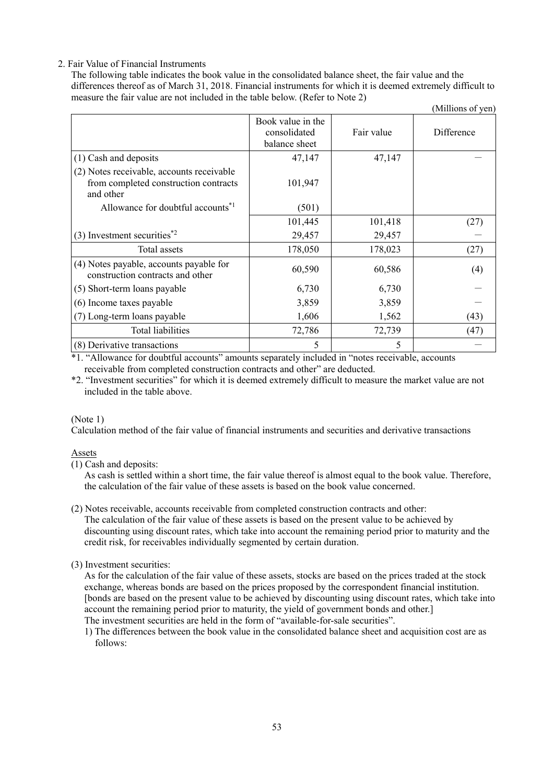## 2. Fair Value of Financial Instruments

The following table indicates the book value in the consolidated balance sheet, the fair value and the differences thereof as of March 31, 2018. Financial instruments for which it is deemed extremely difficult to measure the fair value are not included in the table below. (Refer to Note 2)

|                                                                                                 |                                                    |            | (Millions of yen) |
|-------------------------------------------------------------------------------------------------|----------------------------------------------------|------------|-------------------|
|                                                                                                 | Book value in the<br>consolidated<br>balance sheet | Fair value | Difference        |
| (1) Cash and deposits                                                                           | 47,147                                             | 47,147     |                   |
| (2) Notes receivable, accounts receivable<br>from completed construction contracts<br>and other | 101,947                                            |            |                   |
| Allowance for doubtful accounts <sup>*1</sup>                                                   | (501)                                              |            |                   |
|                                                                                                 | 101,445                                            | 101,418    | (27)              |
| $(3)$ Investment securities <sup>*2</sup>                                                       | 29,457                                             | 29,457     |                   |
| Total assets                                                                                    | 178,050                                            | 178,023    | (27)              |
| (4) Notes payable, accounts payable for<br>construction contracts and other                     | 60,590                                             | 60,586     | (4)               |
| (5) Short-term loans payable                                                                    | 6,730                                              | 6,730      |                   |
| (6) Income taxes payable                                                                        | 3,859                                              | 3,859      |                   |
| (7) Long-term loans payable                                                                     | 1,606                                              | 1,562      | (43)              |
| <b>Total liabilities</b>                                                                        | 72,786                                             | 72,739     | (47)              |
| (8) Derivative transactions                                                                     | 5                                                  | 5          |                   |

\*1. "Allowance for doubtful accounts" amounts separately included in "notes receivable, accounts receivable from completed construction contracts and other" are deducted.

\*2. "Investment securities" for which it is deemed extremely difficult to measure the market value are not included in the table above.

### (Note 1)

Calculation method of the fair value of financial instruments and securities and derivative transactions

#### Assets

(1) Cash and deposits:

As cash is settled within a short time, the fair value thereof is almost equal to the book value. Therefore, the calculation of the fair value of these assets is based on the book value concerned.

(2) Notes receivable, accounts receivable from completed construction contracts and other: The calculation of the fair value of these assets is based on the present value to be achieved by discounting using discount rates, which take into account the remaining period prior to maturity and the credit risk, for receivables individually segmented by certain duration.

### (3) Investment securities:

As for the calculation of the fair value of these assets, stocks are based on the prices traded at the stock exchange, whereas bonds are based on the prices proposed by the correspondent financial institution. [bonds are based on the present value to be achieved by discounting using discount rates, which take into account the remaining period prior to maturity, the yield of government bonds and other.] The investment securities are held in the form of "available-for-sale securities".

1) The differences between the book value in the consolidated balance sheet and acquisition cost are as follows: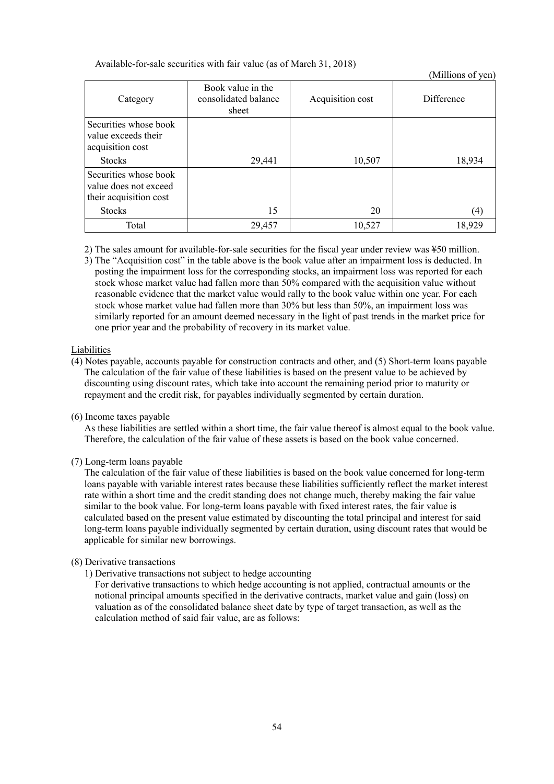#### Available-for-sale securities with fair value (as of March 31, 2018)

|                                                                          |                                                    |                  | $\ldots$   |
|--------------------------------------------------------------------------|----------------------------------------------------|------------------|------------|
| Category                                                                 | Book value in the<br>consolidated balance<br>sheet | Acquisition cost | Difference |
| Securities whose book<br>value exceeds their<br>acquisition cost         |                                                    |                  |            |
| <b>Stocks</b>                                                            | 29,441                                             | 10,507           | 18,934     |
| Securities whose book<br>value does not exceed<br>their acquisition cost |                                                    |                  |            |
| <b>Stocks</b>                                                            | 15                                                 | 20               | (4)        |
| Total                                                                    | 29,457                                             | 10,527           | 18,929     |

(Millions of yen)

2) The sales amount for available-for-sale securities for the fiscal year under review was ¥50 million.

3) The "Acquisition cost" in the table above is the book value after an impairment loss is deducted. In posting the impairment loss for the corresponding stocks, an impairment loss was reported for each stock whose market value had fallen more than 50% compared with the acquisition value without reasonable evidence that the market value would rally to the book value within one year. For each stock whose market value had fallen more than 30% but less than 50%, an impairment loss was similarly reported for an amount deemed necessary in the light of past trends in the market price for one prior year and the probability of recovery in its market value.

#### Liabilities

- (4) Notes payable, accounts payable for construction contracts and other, and (5) Short-term loans payable The calculation of the fair value of these liabilities is based on the present value to be achieved by discounting using discount rates, which take into account the remaining period prior to maturity or repayment and the credit risk, for payables individually segmented by certain duration.
- (6) Income taxes payable

As these liabilities are settled within a short time, the fair value thereof is almost equal to the book value. Therefore, the calculation of the fair value of these assets is based on the book value concerned.

(7) Long-term loans payable

The calculation of the fair value of these liabilities is based on the book value concerned for long-term loans payable with variable interest rates because these liabilities sufficiently reflect the market interest rate within a short time and the credit standing does not change much, thereby making the fair value similar to the book value. For long-term loans payable with fixed interest rates, the fair value is calculated based on the present value estimated by discounting the total principal and interest for said long-term loans payable individually segmented by certain duration, using discount rates that would be applicable for similar new borrowings.

### (8) Derivative transactions

1) Derivative transactions not subject to hedge accounting

For derivative transactions to which hedge accounting is not applied, contractual amounts or the notional principal amounts specified in the derivative contracts, market value and gain (loss) on valuation as of the consolidated balance sheet date by type of target transaction, as well as the calculation method of said fair value, are as follows: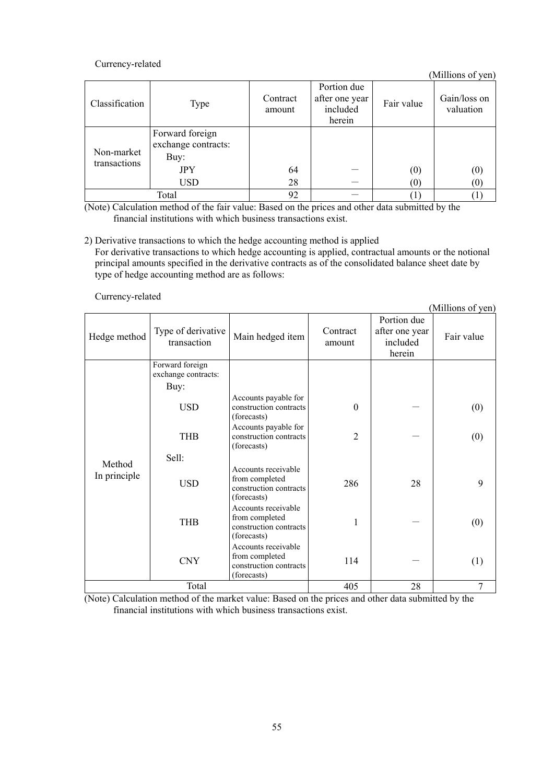## Currency-related

(Millions of yen)

| Classification             | Type                                           | Contract<br>amount | Portion due<br>after one year<br>included<br>herein | Fair value       | Gain/loss on<br>valuation |
|----------------------------|------------------------------------------------|--------------------|-----------------------------------------------------|------------------|---------------------------|
| Non-market<br>transactions | Forward foreign<br>exchange contracts:<br>Buy: |                    |                                                     |                  |                           |
|                            | <b>JPY</b>                                     | 64                 |                                                     | (0)              | $\left( 0\right)$         |
|                            | <b>USD</b>                                     | 28                 |                                                     | $\left(0\right)$ | $\left( 0\right)$         |
|                            | Total                                          | 92                 |                                                     |                  |                           |

(Note) Calculation method of the fair value: Based on the prices and other data submitted by the financial institutions with which business transactions exist.

#### 2) Derivative transactions to which the hedge accounting method is applied

For derivative transactions to which hedge accounting is applied, contractual amounts or the notional principal amounts specified in the derivative contracts as of the consolidated balance sheet date by type of hedge accounting method are as follows:

Currency-related

|                        |                                        |                                                                                |                    |                                                     | (Millions of yen) |
|------------------------|----------------------------------------|--------------------------------------------------------------------------------|--------------------|-----------------------------------------------------|-------------------|
| Hedge method           | Type of derivative<br>transaction      | Main hedged item                                                               | Contract<br>amount | Portion due<br>after one year<br>included<br>herein | Fair value        |
|                        | Forward foreign<br>exchange contracts: |                                                                                |                    |                                                     |                   |
|                        | Buy:                                   |                                                                                |                    |                                                     |                   |
|                        | <b>USD</b>                             | Accounts payable for<br>construction contracts<br>(forecasts)                  | $\mathbf{0}$       |                                                     | (0)               |
|                        | <b>THB</b>                             | Accounts payable for<br>construction contracts<br>(forecasts)                  | $\overline{2}$     |                                                     | (0)               |
|                        | Sell:                                  |                                                                                |                    |                                                     |                   |
| Method<br>In principle | <b>USD</b>                             | Accounts receivable<br>from completed<br>construction contracts<br>(forecasts) | 286                | 28                                                  | 9                 |
|                        | <b>THB</b>                             | Accounts receivable<br>from completed<br>construction contracts<br>(forecasts) | 1                  |                                                     | (0)               |
|                        | <b>CNY</b>                             | Accounts receivable<br>from completed<br>construction contracts<br>(forecasts) | 114                |                                                     | (1)               |
|                        | Total                                  |                                                                                | 405                | 28                                                  | 7                 |

(Note) Calculation method of the market value: Based on the prices and other data submitted by the financial institutions with which business transactions exist.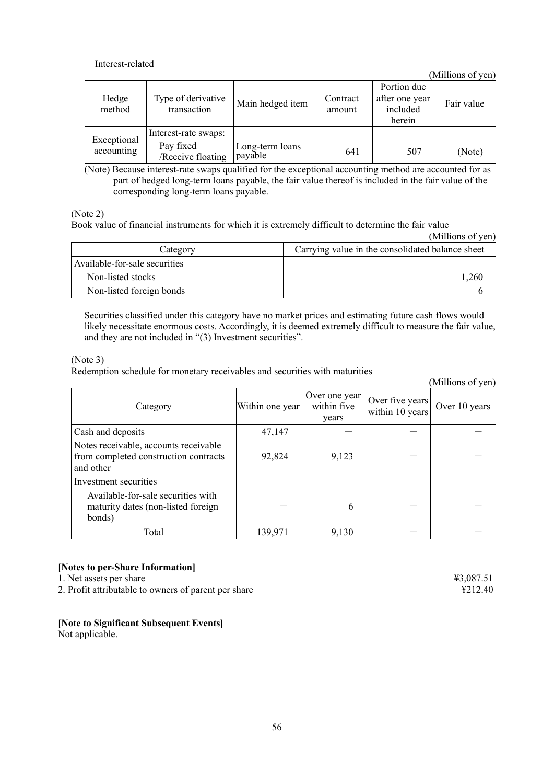### Interest-related

(Millions of yen)

| Hedge<br>method           | Type of derivative<br>transaction | Main hedged item           | Contract<br>amount | Portion due<br>after one year<br>included | Fair value |
|---------------------------|-----------------------------------|----------------------------|--------------------|-------------------------------------------|------------|
|                           |                                   |                            |                    | herein                                    |            |
| Exceptional<br>accounting | Interest-rate swaps:              |                            |                    |                                           |            |
|                           | Pay fixed<br>/Receive floating    | Long-term loans<br>payable | 641                | 507                                       | (Note)     |

(Note) Because interest-rate swaps qualified for the exceptional accounting method are accounted for as part of hedged long-term loans payable, the fair value thereof is included in the fair value of the corresponding long-term loans payable.

(Note 2)

Book value of financial instruments for which it is extremely difficult to determine the fair value

|                               | (Millions of yen)                                |
|-------------------------------|--------------------------------------------------|
| Category                      | Carrying value in the consolidated balance sheet |
| Available-for-sale securities |                                                  |
| Non-listed stocks             | 1.260                                            |
| Non-listed foreign bonds      |                                                  |

Securities classified under this category have no market prices and estimating future cash flows would likely necessitate enormous costs. Accordingly, it is deemed extremely difficult to measure the fair value, and they are not included in "(3) Investment securities".

#### (Note 3)

Redemption schedule for monetary receivables and securities with maturities

|                                                                                             |                 |                                       |                                    | (Millions of yen) |
|---------------------------------------------------------------------------------------------|-----------------|---------------------------------------|------------------------------------|-------------------|
| Category                                                                                    | Within one year | Over one year<br>within five<br>years | Over five years<br>within 10 years | Over 10 years     |
| Cash and deposits                                                                           | 47,147          |                                       |                                    |                   |
| Notes receivable, accounts receivable<br>from completed construction contracts<br>and other | 92,824          | 9,123                                 |                                    |                   |
| Investment securities                                                                       |                 |                                       |                                    |                   |
| Available-for-sale securities with<br>maturity dates (non-listed foreign<br>bonds)          |                 | 6                                     |                                    |                   |
| Total                                                                                       | 139,971         | 9,130                                 |                                    |                   |

# **[Notes to per-Share Information]**

1. Net assets per share  $\frac{43,087.51}{2}$ 

2. Profit attributable to owners of parent per share ¥212.40

# **[Note to Significant Subsequent Events]**

Not applicable.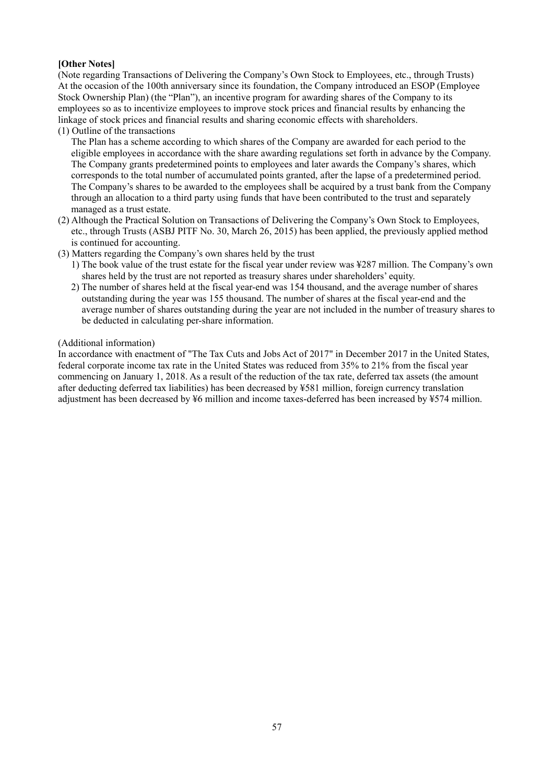## **[Other Notes]**

(Note regarding Transactions of Delivering the Company's Own Stock to Employees, etc., through Trusts) At the occasion of the 100th anniversary since its foundation, the Company introduced an ESOP (Employee Stock Ownership Plan) (the "Plan"), an incentive program for awarding shares of the Company to its employees so as to incentivize employees to improve stock prices and financial results by enhancing the linkage of stock prices and financial results and sharing economic effects with shareholders.

(1) Outline of the transactions

The Plan has a scheme according to which shares of the Company are awarded for each period to the eligible employees in accordance with the share awarding regulations set forth in advance by the Company. The Company grants predetermined points to employees and later awards the Company's shares, which corresponds to the total number of accumulated points granted, after the lapse of a predetermined period. The Company's shares to be awarded to the employees shall be acquired by a trust bank from the Company through an allocation to a third party using funds that have been contributed to the trust and separately managed as a trust estate.

- (2) Although the Practical Solution on Transactions of Delivering the Company's Own Stock to Employees, etc., through Trusts (ASBJ PITF No. 30, March 26, 2015) has been applied, the previously applied method is continued for accounting.
- (3) Matters regarding the Company's own shares held by the trust
	- 1) The book value of the trust estate for the fiscal year under review was ¥287 million. The Company's own shares held by the trust are not reported as treasury shares under shareholders' equity.
	- 2) The number of shares held at the fiscal year-end was 154 thousand, and the average number of shares outstanding during the year was 155 thousand. The number of shares at the fiscal year-end and the average number of shares outstanding during the year are not included in the number of treasury shares to be deducted in calculating per-share information.

#### (Additional information)

In accordance with enactment of "The Tax Cuts and Jobs Act of 2017" in December 2017 in the United States, federal corporate income tax rate in the United States was reduced from 35% to 21% from the fiscal year commencing on January 1, 2018. As a result of the reduction of the tax rate, deferred tax assets (the amount after deducting deferred tax liabilities) has been decreased by ¥581 million, foreign currency translation adjustment has been decreased by ¥6 million and income taxes-deferred has been increased by ¥574 million.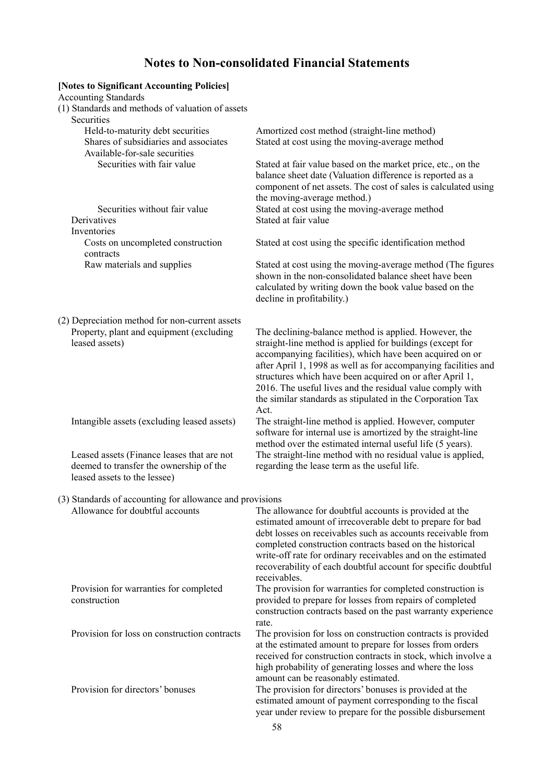# **Notes to Non-consolidated Financial Statements**

| [Notes to Significant Accounting Policies]<br><b>Accounting Standards</b><br>(1) Standards and methods of valuation of assets<br>Securities |                                                                                                                                                                                                                                                                                                                                                                                                                                                 |
|---------------------------------------------------------------------------------------------------------------------------------------------|-------------------------------------------------------------------------------------------------------------------------------------------------------------------------------------------------------------------------------------------------------------------------------------------------------------------------------------------------------------------------------------------------------------------------------------------------|
| Held-to-maturity debt securities<br>Shares of subsidiaries and associates<br>Available-for-sale securities                                  | Amortized cost method (straight-line method)<br>Stated at cost using the moving-average method                                                                                                                                                                                                                                                                                                                                                  |
| Securities with fair value                                                                                                                  | Stated at fair value based on the market price, etc., on the<br>balance sheet date (Valuation difference is reported as a<br>component of net assets. The cost of sales is calculated using<br>the moving-average method.)                                                                                                                                                                                                                      |
| Securities without fair value<br>Derivatives<br>Inventories                                                                                 | Stated at cost using the moving-average method<br>Stated at fair value                                                                                                                                                                                                                                                                                                                                                                          |
| Costs on uncompleted construction<br>contracts                                                                                              | Stated at cost using the specific identification method                                                                                                                                                                                                                                                                                                                                                                                         |
| Raw materials and supplies                                                                                                                  | Stated at cost using the moving-average method (The figures<br>shown in the non-consolidated balance sheet have been<br>calculated by writing down the book value based on the<br>decline in profitability.)                                                                                                                                                                                                                                    |
| (2) Depreciation method for non-current assets<br>Property, plant and equipment (excluding<br>leased assets)                                | The declining-balance method is applied. However, the<br>straight-line method is applied for buildings (except for<br>accompanying facilities), which have been acquired on or<br>after April 1, 1998 as well as for accompanying facilities and<br>structures which have been acquired on or after April 1,<br>2016. The useful lives and the residual value comply with<br>the similar standards as stipulated in the Corporation Tax<br>Act. |
| Intangible assets (excluding leased assets)                                                                                                 | The straight-line method is applied. However, computer<br>software for internal use is amortized by the straight-line<br>method over the estimated internal useful life (5 years).                                                                                                                                                                                                                                                              |
| Leased assets (Finance leases that are not<br>deemed to transfer the ownership of the<br>leased assets to the lessee)                       | The straight-line method with no residual value is applied,<br>regarding the lease term as the useful life.                                                                                                                                                                                                                                                                                                                                     |
| (3) Standards of accounting for allowance and provisions                                                                                    |                                                                                                                                                                                                                                                                                                                                                                                                                                                 |
| Allowance for doubtful accounts                                                                                                             | The allowance for doubtful accounts is provided at the<br>estimated amount of irrecoverable debt to prepare for bad<br>debt losses on receivables such as accounts receivable from<br>completed construction contracts based on the historical<br>write-off rate for ordinary receivables and on the estimated<br>recoverability of each doubtful account for specific doubtful<br>receivables.                                                 |
| Provision for warranties for completed<br>construction                                                                                      | The provision for warranties for completed construction is<br>provided to prepare for losses from repairs of completed<br>construction contracts based on the past warranty experience                                                                                                                                                                                                                                                          |
| Provision for loss on construction contracts                                                                                                | rate.<br>The provision for loss on construction contracts is provided<br>at the estimated amount to prepare for losses from orders<br>received for construction contracts in stock, which involve a<br>high probability of generating losses and where the loss<br>amount can be reasonably estimated.                                                                                                                                          |
| Provision for directors' bonuses                                                                                                            | The provision for directors' bonuses is provided at the<br>estimated amount of payment corresponding to the fiscal<br>year under review to prepare for the possible disbursement                                                                                                                                                                                                                                                                |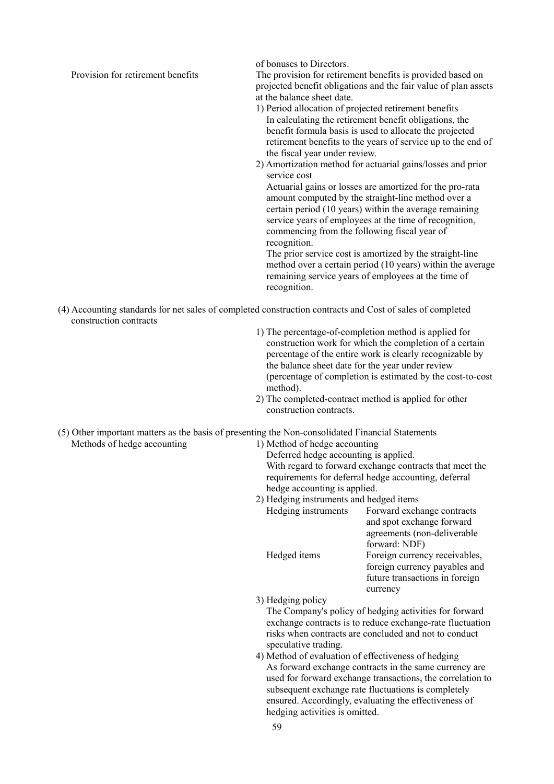of bonuses to Directors.

Provision for retirement benefits The provision for retirement benefits is provided based on projected benefit obligations and the fair value of plan assets at the balance sheet date.

- 1) Period allocation of projected retirement benefits In calculating the retirement benefit obligations, the benefit formula basis is used to allocate the projected retirement benefits to the years of service up to the end of the fiscal year under review.
- 2) Amortization method for actuarial gains/losses and prior service cost

Actuarial gains or losses are amortized for the pro-rata amount computed by the straight-line method over a certain period (10 years) within the average remaining service years of employees at the time of recognition, commencing from the following fiscal year of recognition.

The prior service cost is amortized by the straight-line method over a certain period (10 years) within the average remaining service years of employees at the time of recognition.

- (4) Accounting standards for net sales of completed construction contracts and Cost of sales of completed construction contracts
	- 1) The percentage-of-completion method is applied for construction work for which the completion of a certain percentage of the entire work is clearly recognizable by the balance sheet date for the year under review (percentage of completion is estimated by the cost-to-cost method).
	- 2) The completed-contract method is applied for other construction contracts.

(5) Other important matters as the basis of presenting the Non-consolidated Financial Statements

Methods of hedge accounting 1) Method of hedge accounting

Deferred hedge accounting is applied. With regard to forward exchange contracts that meet the requirements for deferral hedge accounting, deferral hedge accounting is applied.

2) Hedging instruments and hedged items

| Hedging instruments | Forward exchange contracts     |
|---------------------|--------------------------------|
|                     | and spot exchange forward      |
|                     | agreements (non-deliverable)   |
|                     | forward: NDF)                  |
| Hedged items        | Foreign currency receivables,  |
|                     | foreign currency payables and  |
|                     | future transactions in foreign |
|                     | currency                       |
|                     |                                |

3) Hedging policy

The Company's policy of hedging activities for forward exchange contracts is to reduce exchange-rate fluctuation risks when contracts are concluded and not to conduct speculative trading.

 4) Method of evaluation of effectiveness of hedging As forward exchange contracts in the same currency are used for forward exchange transactions, the correlation to subsequent exchange rate fluctuations is completely ensured. Accordingly, evaluating the effectiveness of hedging activities is omitted.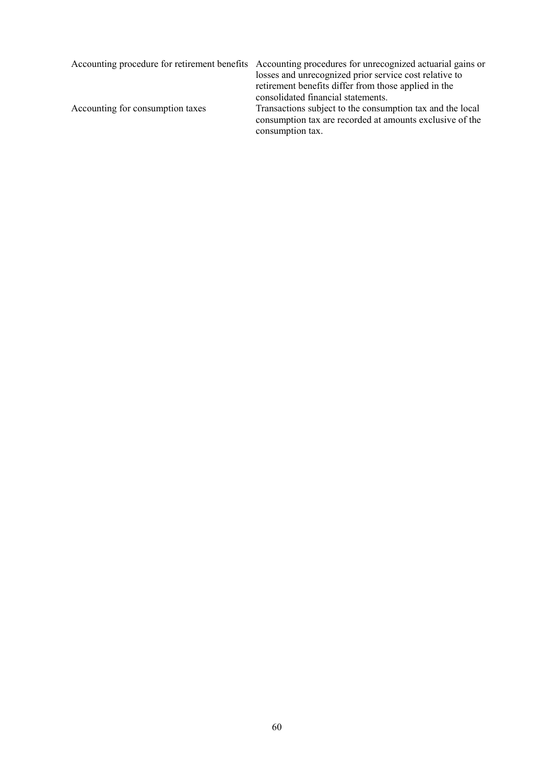|                                  | Accounting procedure for retirement benefits Accounting procedures for unrecognized actuarial gains or<br>losses and unrecognized prior service cost relative to<br>retirement benefits differ from those applied in the<br>consolidated financial statements. |
|----------------------------------|----------------------------------------------------------------------------------------------------------------------------------------------------------------------------------------------------------------------------------------------------------------|
| Accounting for consumption taxes | Transactions subject to the consumption tax and the local<br>consumption tax are recorded at amounts exclusive of the<br>consumption tax.                                                                                                                      |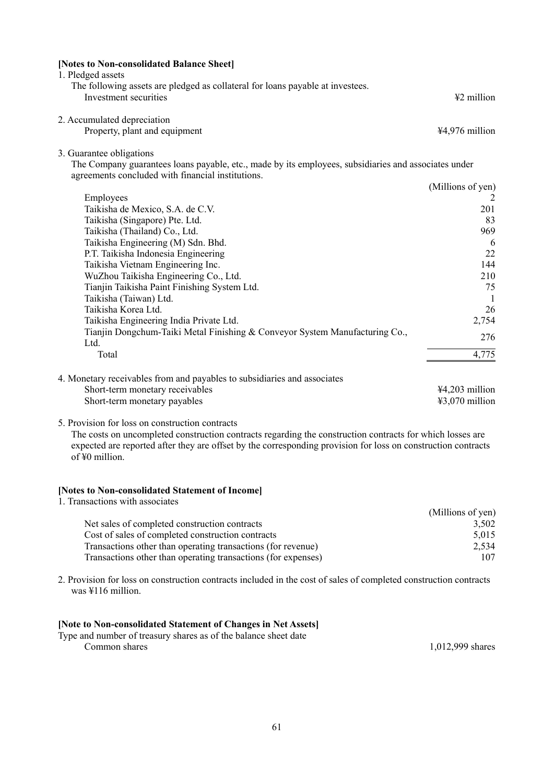| [Notes to Non-consolidated Balance Sheet]<br>1. Pledged assets                                                                                                                        |                   |
|---------------------------------------------------------------------------------------------------------------------------------------------------------------------------------------|-------------------|
| The following assets are pledged as collateral for loans payable at investees.<br>Investment securities                                                                               | ¥2 million        |
| 2. Accumulated depreciation<br>Property, plant and equipment                                                                                                                          | ¥4,976 million    |
| 3. Guarantee obligations<br>The Company guarantees loans payable, etc., made by its employees, subsidiaries and associates under<br>agreements concluded with financial institutions. |                   |
|                                                                                                                                                                                       | (Millions of yen) |
| Employees                                                                                                                                                                             |                   |
| Taikisha de Mexico, S.A. de C.V.                                                                                                                                                      | 201               |
| Taikisha (Singapore) Pte. Ltd.                                                                                                                                                        | 83                |
| Taikisha (Thailand) Co., Ltd.                                                                                                                                                         | 969               |
| Taikisha Engineering (M) Sdn. Bhd.                                                                                                                                                    | 6                 |
| P.T. Taikisha Indonesia Engineering                                                                                                                                                   | 22                |
| Taikisha Vietnam Engineering Inc.                                                                                                                                                     | 144               |
| WuZhou Taikisha Engineering Co., Ltd.                                                                                                                                                 | 210               |
| Tianjin Taikisha Paint Finishing System Ltd.                                                                                                                                          | 75                |
| Taikisha (Taiwan) Ltd.                                                                                                                                                                | $\overline{1}$    |
| Taikisha Korea Ltd.                                                                                                                                                                   | 26                |
| Taikisha Engineering India Private Ltd.                                                                                                                                               | 2,754             |
| Tianjin Dongchum-Taiki Metal Finishing & Conveyor System Manufacturing Co.,                                                                                                           | 276               |
| Ltd.                                                                                                                                                                                  |                   |
| Total                                                                                                                                                                                 | 4,775             |
| 4. Monetary receivables from and payables to subsidiaries and associates                                                                                                              |                   |
| Short-term monetary receivables                                                                                                                                                       | ¥4,203 million    |
| Short-term monetary payables                                                                                                                                                          | ¥3,070 million    |

5. Provision for loss on construction contracts

The costs on uncompleted construction contracts regarding the construction contracts for which losses are expected are reported after they are offset by the corresponding provision for loss on construction contracts of ¥0 million.

## **[Notes to Non-consolidated Statement of Income]**

| 1. Transactions with associates                               |                   |
|---------------------------------------------------------------|-------------------|
|                                                               | (Millions of yen) |
| Net sales of completed construction contracts                 | 3,502             |
| Cost of sales of completed construction contracts             | 5,015             |
| Transactions other than operating transactions (for revenue)  | 2,534             |
| Transactions other than operating transactions (for expenses) | 107               |

2. Provision for loss on construction contracts included in the cost of sales of completed construction contracts was ¥116 million.

#### **[Note to Non-consolidated Statement of Changes in Net Assets]**

Type and number of treasury shares as of the balance sheet date Common shares 1,012,999 shares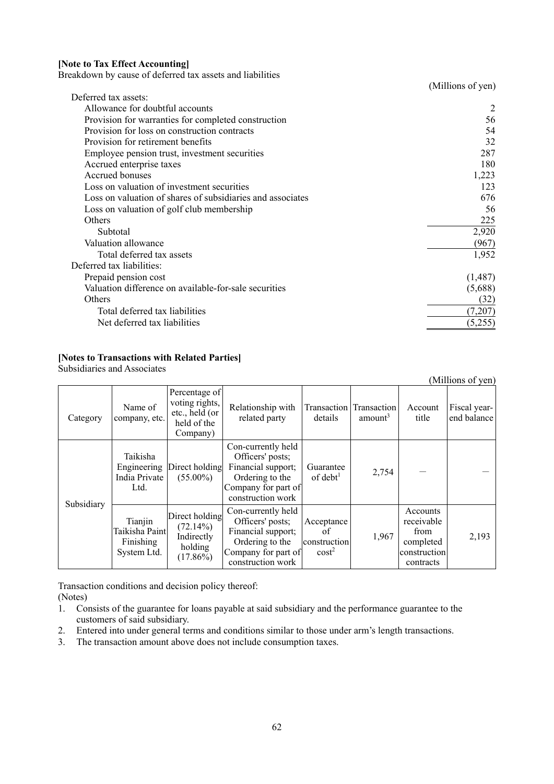#### **[Note to Tax Effect Accounting]**

Breakdown by cause of deferred tax assets and liabilities

|                                                            | (Millions of yen) |
|------------------------------------------------------------|-------------------|
| Deferred tax assets:                                       |                   |
| Allowance for doubtful accounts                            |                   |
| Provision for warranties for completed construction        | 56                |
| Provision for loss on construction contracts               | 54                |
| Provision for retirement benefits                          | 32                |
| Employee pension trust, investment securities              | 287               |
| Accrued enterprise taxes                                   | 180               |
| Accrued bonuses                                            | 1,223             |
| Loss on valuation of investment securities                 | 123               |
| Loss on valuation of shares of subsidiaries and associates | 676               |
| Loss on valuation of golf club membership                  | 56                |
| Others                                                     | 225               |
| Subtotal                                                   | 2,920             |
| Valuation allowance                                        | (967)             |
| Total deferred tax assets                                  | 1,952             |
| Deferred tax liabilities:                                  |                   |
| Prepaid pension cost                                       | (1,487)           |
| Valuation difference on available-for-sale securities      | (5,688)           |
| Others                                                     | (32)              |
| Total deferred tax liabilities                             | (7,207)           |
| Net deferred tax liabilities                               | (5,255)           |

## **[Notes to Transactions with Related Parties]**

Subsidiaries and Associates

| (Millions of yen) |                                                        |                                                                              |                                                                                                                             |                                                       |                     |                                                                          |                             |
|-------------------|--------------------------------------------------------|------------------------------------------------------------------------------|-----------------------------------------------------------------------------------------------------------------------------|-------------------------------------------------------|---------------------|--------------------------------------------------------------------------|-----------------------------|
| Category          | Name of<br>company, etc.                               | Percentage of<br>voting rights,<br>etc., held (or<br>held of the<br>Company) | Relationship with<br>related party                                                                                          | Transaction Transaction<br>details                    | amount <sup>3</sup> | Account<br>title                                                         | Fiscal year-<br>end balance |
|                   | Taikisha<br>Engineering<br>India Private<br>Ltd.       | Direct holding<br>$(55.00\%)$                                                | Con-currently held<br>Officers' posts;<br>Financial support;<br>Ordering to the<br>Company for part of<br>construction work | Guarantee<br>$of$ debt <sup>1</sup>                   | 2,754               |                                                                          |                             |
| Subsidiary        | Tianjin<br>Taikisha Paint <br>Finishing<br>System Ltd. | Direct holding<br>(72.14%)<br>Indirectly<br>holding<br>$(17.86\%)$           | Con-currently held<br>Officers' posts;<br>Financial support;<br>Ordering to the<br>Company for part of<br>construction work | Acceptance<br>of<br>construction<br>cost <sup>2</sup> | 1,967               | Accounts<br>receivable<br>from<br>completed<br>construction<br>contracts | 2,193                       |

Transaction conditions and decision policy thereof: (Notes)

- 1. Consists of the guarantee for loans payable at said subsidiary and the performance guarantee to the customers of said subsidiary.
- 2. Entered into under general terms and conditions similar to those under arm's length transactions.
- 3. The transaction amount above does not include consumption taxes.